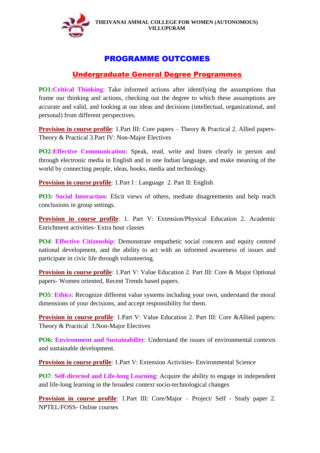

# PROGRAMME OUTCOMES

# Undergraduate General Degree Programmes

**PO1:Critical Thinking**: Take informed actions after identifying the assumptions that frame our thinking and actions, checking out the degree to which these assumptions are accurate and valid, and looking at our ideas and decisions (intellectual, organizational, and personal) from different perspectives.

**Provision in course profile**: 1.Part III: Core papers – Theory & Practical 2. Allied papers-Theory & Practical 3.Part IV: Non-Major Electives

**PO2:Effective Communication**: Speak, read, write and listen clearly in person and through electronic media in English and in one Indian language, and make meaning of the world by connecting people, ideas, books, media and technology.

**Provision in course profile**: 1.Part I: Language 2. Part II: English

**PO3: Social Interaction**: Elicit views of others, mediate disagreements and help reach conclusions in group settings.

**Provision in course profile**: 1. Part V: Extension/Physical Education 2. Academic Enrichment activities- Extra hour classes

**PO4**: **Effective Citizenship**: Demonstrate empathetic social concern and equity centred national development, and the ability to act with an informed awareness of issues and participate in civic life through volunteering.

**Provision in course profile**: 1. Part V: Value Education 2. Part III: Core & Major Optional papers- Women oriented, Recent Trends based papers.

**PO5**: **Ethics**: Recognize different value systems including your own, understand the moral dimensions of your decisions, and accept responsibility for them.

**Provision in course profile**: 1.Part V: Value Education 2. Part III: Core &Allied papers: Theory & Practical 3.Non-Major Electives

**PO6: Environment and Sustainability**: Understand the issues of environmental contexts and sustainable development.

**Provision in course profile**: 1.Part V: Extension Activities- Environmental Science

**PO7**: **Self-directed and Life-long Learning**: Acquire the ability to engage in independent and life-long learning in the broadest context socio-technological changes

**Provision in course profile**: 1.Part III: Core/Major – Project/ Self - Study paper 2. NPTEL/FOSS- Online courses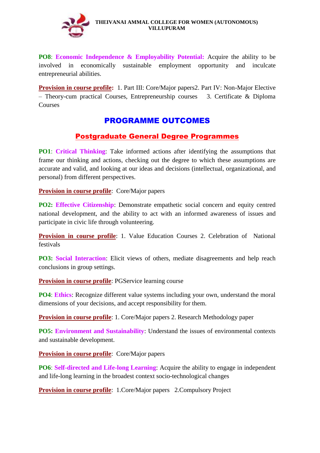

**PO8**: **Economic Independence & Employability Potential:** Acquire the ability to be involved in economically sustainable employment opportunity and inculcate entrepreneurial abilities.

**Provision in course profile:** 1. Part III: Core/Major papers2. Part IV: Non-Major Elective – Theory-cum practical Courses, Entrepreneurship courses 3. Certificate & Diploma Courses

# PROGRAMME OUTCOMES

# Postgraduate General Degree Programmes

**PO1**: **Critical Thinking**: Take informed actions after identifying the assumptions that frame our thinking and actions, checking out the degree to which these assumptions are accurate and valid, and looking at our ideas and decisions (intellectual, organizational, and personal) from different perspectives.

**Provision in course profile**: Core/Major papers

**PO2: Effective Citizenship**: Demonstrate empathetic social concern and equity centred national development, and the ability to act with an informed awareness of issues and participate in civic life through volunteering.

**Provision in course profile**: 1. Value Education Courses 2. Celebration of National festivals

**PO3: Social Interaction**: Elicit views of others, mediate disagreements and help reach conclusions in group settings.

**Provision in course profile**: PGService learning course

**PO4**: **Ethics**: Recognize different value systems including your own, understand the moral dimensions of your decisions, and accept responsibility for them.

**Provision in course profile**: 1. Core/Major papers 2. Research Methodology paper

**PO5: Environment and Sustainability**: Understand the issues of environmental contexts and sustainable development.

**Provision in course profile**: Core/Major papers

**PO6**: **Self-directed and Life-long Learning**: Acquire the ability to engage in independent and life-long learning in the broadest context socio-technological changes

**Provision in course profile**: 1. Core/Major papers 2. Compulsory Project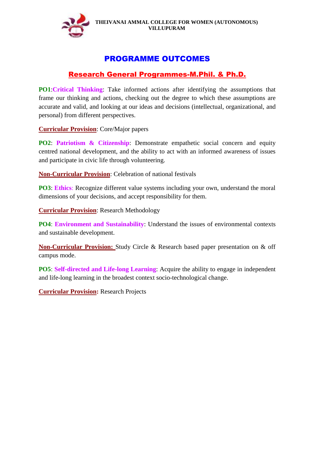

# PROGRAMME OUTCOMES

# Research General Programmes-M.Phil. & Ph.D.

**PO1**:**Critical Thinking**: Take informed actions after identifying the assumptions that frame our thinking and actions, checking out the degree to which these assumptions are accurate and valid, and looking at our ideas and decisions (intellectual, organizational, and personal) from different perspectives.

**Curricular Provision**: Core/Major papers

**PO2**: **Patriotism & Citizenship**: Demonstrate empathetic social concern and equity centred national development, and the ability to act with an informed awareness of issues and participate in civic life through volunteering.

**Non-Curricular Provision**: Celebration of national festivals

**PO3**: **Ethics**: Recognize different value systems including your own, understand the moral dimensions of your decisions, and accept responsibility for them.

**Curricular Provision**: Research Methodology

**PO4**: **Environment and Sustainability**: Understand the issues of environmental contexts and sustainable development.

**Non-Curricular Provision:** Study Circle & Research based paper presentation on & off campus mode.

**PO5**: **Self-directed and Life-long Learning**: Acquire the ability to engage in independent and life-long learning in the broadest context socio-technological change.

**Curricular Provision:** Research Projects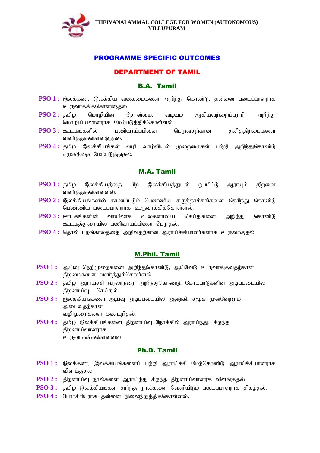

## DEPARTMENT OF TAMIL

# B.A. Tamil

- **PSO 1 :** இலக்கண, இலக்கிய வகைமைகளை அறிந்து கொண்டு, தன்னை படைப்பாளராக உருவாக்கிக்கொள்ளுகல்.
- $PSO 2$ : தமிழ் மொழியின் தொன்மை, வடிவம் ஆகியவர்ளைப்பர்றி அறிந்து மொழியியலாளராக மேம்படுத்திக்கொள்ளல்.
- **PSO 3 :** ஊடகங்களில் பணிவாய்ப்பினை பெறுவதற்கான தனித்திறமைகளை வளர்த்துக்கொள்ளுதல்.
- **PSO 4 :** தமிழ் இலக்கியங்கள் வழி வாழ்வியல் முறைமைகள் பற்றி அறிந்துகொண்டு சமூகத்தை மேம்படுத்துதல்.

## M.A. Tamil

- **PSO 1 :** தமிழ் இலக்கியத்தை பிற இலக்கியத்துடன் ஒப்பிட்டு ஆராயும் திறனை வளர்த்துக்கொள்ளல்.
- **PSO 2 :** இலக்கியங்களில் காணப்படும் பெண்ணிய கருத்தாக்கங்களை தெரிந்து கொண்டு பெண்ணிய படைப்பாளராக உருவாக்கிக்கொள்ளல்.
- **PSO 3 :** ஊடகங்களின் வாயிலாக உலகளாவிய செய்திகளை அறிந்து கொண்டு ஊடகத்துறையில் பணிவாய்ப்பினை பெறுதல்.
- **PSO 4 :** தொல் பழங்காலத்தை அறிவதற்கான ஆராய்ச்சியாளர்களாக உருவாகுதல்

## M.Phil. Tamil

- **PSO 1 :** ஆய்வு நெறிமுறைகளை அறிந்துகொண்டு, ஆய்வேடு உருவாக்குவதற்கான திறமைகளை வளர்க்குக்கொள்ளல்.
- **PSO 2 :** தமிழ் ஆராய்ச்சி வரலாற்றை அறிந்துகொண்டு, கோட்பாடுகளின் அடிப்படையில திறனாய்வு செய்தல்.
- **PSO 3 :** இலக்கியங்களை ஆய்வு அடிப்படையில் அணுகி, சமூக முன்னேற்றம் அடைவகர்கான வழிமுறைகளை கண்டறிதல்.
- $PSO 4:$  5 கமிம் இலக்கியங்களை கிறனாய்வ நோக்கில் ஆராய்ந்து, சிறந்த கிறனாய்வாளராக உருவாக்கிக்கொள்ளல்

## Ph.D. Tamil

- **PSO 1 :** இலக்கண, இலக்கியங்களைப் பற்றி ஆராய்ச்சி மேற்கொண்டு ஆராய்ச்சியாளராக விளங்குகல்
- **PSO 2 :** திறனாய்வு நூல்களை ஆராய்ந்து சிறந்த திறனாய்வாளரக விளங்குதல்.
- $\bf{PSO}$   $\bf{3}:$  தமிம் இலக்கியங்கள் சாா்ந்த நூல்களை வெளியிடும் படைப்பாளராக திகம்தல்.
- **PSO 4 :** பேராசிரியராக தன்னை நிலைநிறுத்திக்கொள்ளல்.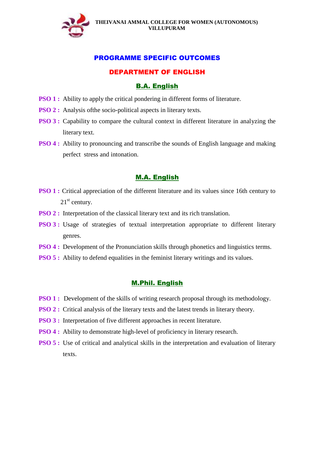

## DEPARTMENT OF ENGLISH

### B.A. English

- **PSO 1 :** Ability to apply the critical pondering in different forms of literature.
- **PSO 2 :** Analysis of the socio-political aspects in literary texts.
- **PSO 3 :** Capability to compare the cultural context in different literature in analyzing the literary text.
- **PSO 4 :** Ability to pronouncing and transcribe the sounds of English language and making perfect stress and intonation.

### M.A. English

- **PSO 1 :** Critical appreciation of the different literature and its values since 16th century to  $21<sup>st</sup>$  century.
- **PSO 2 :** Interpretation of the classical literary text and its rich translation.
- **PSO 3 :** Usage of strategies of textual interpretation appropriate to different literary genres.
- **PSO 4 :** Development of the Pronunciation skills through phonetics and linguistics terms.
- **PSO 5 :** Ability to defend equalities in the feminist literary writings and its values.

### M.Phil. English

- **PSO 1 :** Development of the skills of writing research proposal through its methodology.
- **PSO 2 :** Critical analysis of the literary texts and the latest trends in literary theory.
- **PSO 3 :** Interpretation of five different approaches in recent literature.
- **PSO 4 :** Ability to demonstrate high-level of proficiency in literary research.
- **PSO 5 :** Use of critical and analytical skills in the interpretation and evaluation of literary texts.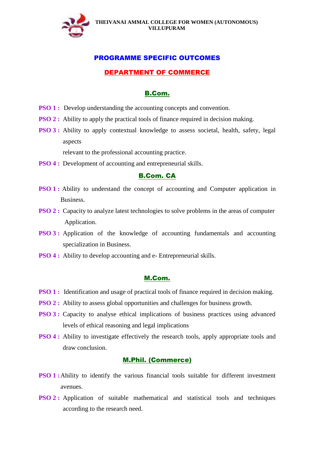

## DEPARTMENT OF COMMERCE

### B.Com.

- **PSO 1 :** Develop understanding the accounting concepts and convention.
- **PSO 2 :** Ability to apply the practical tools of finance required in decision making.
- **PSO 3 :** Ability to apply contextual knowledge to assess societal, health, safety, legal aspects

relevant to the professional accounting practice.

**PSO 4 :** Development of accounting and entrepreneurial skills.

## B.Com. CA

- **PSO 1 :** Ability to understand the concept of accounting and Computer application in Business.
- **PSO 2 :** Capacity to analyze latest technologies to solve problems in the areas of computer Application.
- **PSO 3 :** Application of the knowledge of accounting fundamentals and accounting specialization in Business.
- **PSO 4 :** Ability to develop accounting and e- Entrepreneurial skills.

### M.Com.

- **PSO 1 :** Identification and usage of practical tools of finance required in decision making.
- **PSO 2 :** Ability to assess global opportunities and challenges for business growth.
- **PSO 3 :** Capacity to analyse ethical implications of business practices using advanced levels of ethical reasoning and legal implications
- **PSO 4 :** Ability to investigate effectively the research tools, apply appropriate tools and draw conclusion.

## M.Phil. (Commerce)

- **PSO 1 :**Ability to identify the various financial tools suitable for different investment avenues.
- **PSO 2 :** Application of suitable mathematical and statistical tools and techniques according to the research need.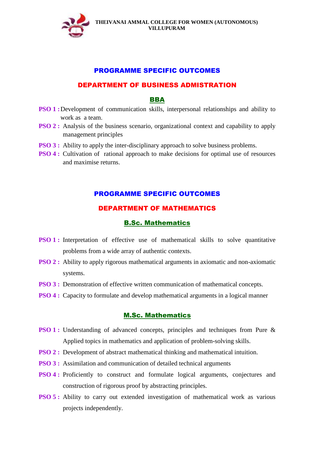

### DEPARTMENT OF BUSINESS ADMISTRATION

### BBA

- **PSO 1**: Development of communication skills, interpersonal relationships and ability to work as a team.
- **PSO 2 :** Analysis of the business scenario, organizational context and capability to apply management principles
- **PSO 3 :** Ability to apply the inter-disciplinary approach to solve business problems.
- **PSO 4 :** Cultivation of rational approach to make decisions for optimal use of resources and maximise returns.

## PROGRAMME SPECIFIC OUTCOMES

## DEPARTMENT OF MATHEMATICS

## B.Sc. Mathematics

- **PSO 1 :** Interpretation of effective use of mathematical skills to solve quantitative problems from a wide array of authentic contexts.
- **PSO 2 :** Ability to apply rigorous mathematical arguments in axiomatic and non-axiomatic systems.
- **PSO 3 :** Demonstration of effective written communication of mathematical concepts.
- **PSO 4 :** Capacity to formulate and develop mathematical arguments in a logical manner

### M.Sc. Mathematics

- **PSO 1 :** Understanding of advanced concepts, principles and techniques from Pure & Applied topics in mathematics and application of problem-solving skills.
- **PSO 2 :** Development of abstract mathematical thinking and mathematical intuition.
- **PSO 3 :** Assimilation and communication of detailed technical arguments
- **PSO 4 :** Proficiently to construct and formulate logical arguments, conjectures and construction of rigorous proof by abstracting principles.
- **PSO 5 :** Ability to carry out extended investigation of mathematical work as various projects independently.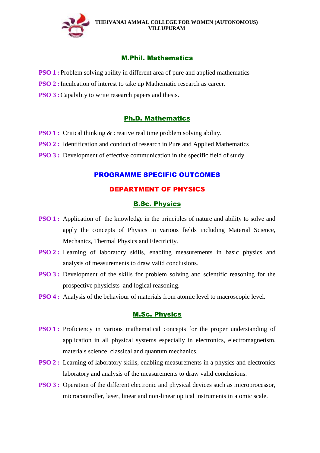

## M.Phil. Mathematics

- **PSO 1**: Problem solving ability in different area of pure and applied mathematics
- **PSO 2 :** Inculcation of interest to take up Mathematic research as career.
- **PSO 3 :** Capability to write research papers and thesis.

## Ph.D. Mathematics

- **PSO 1 :** Critical thinking & creative real time problem solving ability.
- **PSO 2 :** Identification and conduct of research in Pure and Applied Mathematics
- **PSO 3 :** Development of effective communication in the specific field of study.

## PROGRAMME SPECIFIC OUTCOMES

## DEPARTMENT OF PHYSICS

### B.Sc. Physics

- **PSO 1 :** Application of the knowledge in the principles of nature and ability to solve and apply the concepts of Physics in various fields including Material Science, Mechanics, Thermal Physics and Electricity.
- **PSO 2 :** Learning of laboratory skills, enabling measurements in basic physics and analysis of measurements to draw valid conclusions.
- **PSO 3 :** Development of the skills for problem solving and scientific reasoning for the prospective physicists and logical reasoning.
- **PSO 4 :** Analysis of the behaviour of materials from atomic level to macroscopic level.

## M.Sc. Physics

- **PSO 1 :** Proficiency in various mathematical concepts for the proper understanding of application in all physical systems especially in electronics, electromagnetism, materials science, classical and quantum mechanics.
- **PSO 2 :** Learning of laboratory skills, enabling measurements in a physics and electronics laboratory and analysis of the measurements to draw valid conclusions.
- **PSO 3 :** Operation of the different electronic and physical devices such as microprocessor, microcontroller, laser, linear and non-linear optical instruments in atomic scale.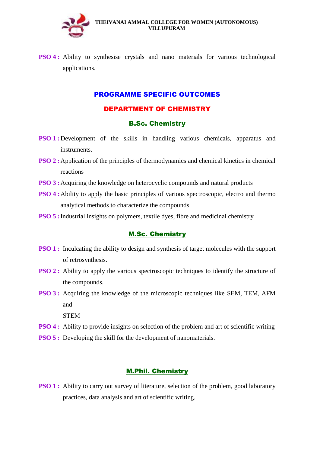

**PSO 4 :** Ability to synthesise crystals and nano materials for various technological applications.

## PROGRAMME SPECIFIC OUTCOMES

## DEPARTMENT OF CHEMISTRY

## B.Sc. Chemistry

- **PSO 1 :**Development of the skills in handling various chemicals, apparatus and instruments.
- **PSO 2 :**Application of the principles of thermodynamics and chemical kinetics in chemical reactions
- **PSO 3 :** Acquiring the knowledge on heterocyclic compounds and natural products
- **PSO 4:** Ability to apply the basic principles of various spectroscopic, electro and thermo analytical methods to characterize the compounds
- **PSO 5 :** Industrial insights on polymers, textile dyes, fibre and medicinal chemistry.

## M.Sc. Chemistry

- **PSO 1 :** Inculcating the ability to design and synthesis of target molecules with the support of retrosynthesis.
- **PSO 2 :** Ability to apply the various spectroscopic techniques to identify the structure of the compounds.
- **PSO 3 :** Acquiring the knowledge of the microscopic techniques like SEM, TEM, AFM and
	- **STEM**
- **PSO 4 :** Ability to provide insights on selection of the problem and art of scientific writing
- **PSO 5 :** Developing the skill for the development of nanomaterials.

## M.Phil. Chemistry

**PSO 1 :** Ability to carry out survey of literature, selection of the problem, good laboratory practices, data analysis and art of scientific writing.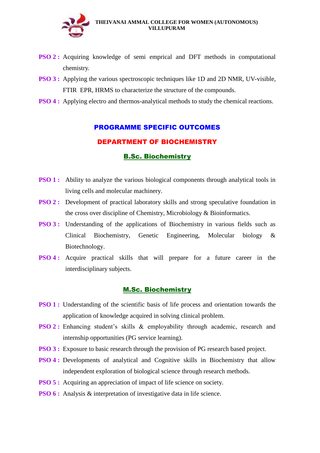

- **PSO 2 :** Acquiring knowledge of semi emprical and DFT methods in computational chemistry.
- **PSO 3 :** Applying the various spectroscopic techniques like 1D and 2D NMR, UV-visible, FTIR EPR, HRMS to characterize the structure of the compounds.
- **PSO 4 :** Applying electro and thermos-analytical methods to study the chemical reactions.

## DEPARTMENT OF BIOCHEMISTRY

### B.Sc. Biochemistry

- **PSO 1 :** Ability to analyze the various biological components through analytical tools in living cells and molecular machinery.
- **PSO 2 :** Development of practical laboratory skills and strong speculative foundation in the cross over discipline of Chemistry, Microbiology & Bioinformatics.
- **PSO 3 :** Understanding of the applications of Biochemistry in various fields such as Clinical Biochemistry, Genetic Engineering, Molecular biology & Biotechnology.
- **PSO 4 :** Acquire practical skills that will prepare for a future career in the interdisciplinary subjects.

### M.Sc. Biochemistry

- **PSO 1 :** Understanding of the scientific basis of life process and orientation towards the application of knowledge acquired in solving clinical problem.
- **PSO 2 :** Enhancing student's skills & employability through academic, research and internship opportunities (PG service learning).
- **PSO 3 :** Exposure to basic research through the provision of PG research based project.
- **PSO 4 :** Developments of analytical and Cognitive skills in Biochemistry that allow independent exploration of biological science through research methods.
- **PSO 5 :** Acquiring an appreciation of impact of life science on society.
- **PSO 6 :** Analysis & interpretation of investigative data in life science.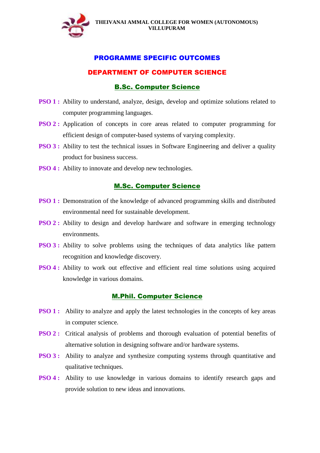

## DEPARTMENT OF COMPUTER SCIENCE

## B.Sc. Computer Science

- **PSO 1 :** Ability to understand, analyze, design, develop and optimize solutions related to computer programming languages.
- **PSO 2 :** Application of concepts in core areas related to computer programming for efficient design of computer-based systems of varying complexity.
- **PSO 3 :** Ability to test the technical issues in Software Engineering and deliver a quality product for business success.
- **PSO 4 :** Ability to innovate and develop new technologies.

## M.Sc. Computer Science

- **PSO 1 :** Demonstration of the knowledge of advanced programming skills and distributed environmental need for sustainable development.
- **PSO 2 :** Ability to design and develop hardware and software in emerging technology environments.
- **PSO 3 :** Ability to solve problems using the techniques of data analytics like pattern recognition and knowledge discovery.
- **PSO 4 :** Ability to work out effective and efficient real time solutions using acquired knowledge in various domains.

## M.Phil. Computer Science

- **PSO 1 :** Ability to analyze and apply the latest technologies in the concepts of key areas in computer science.
- **PSO 2 :** Critical analysis of problems and thorough evaluation of potential benefits of alternative solution in designing software and/or hardware systems.
- **PSO 3:** Ability to analyze and synthesize computing systems through quantitative and qualitative techniques.
- **PSO 4:** Ability to use knowledge in various domains to identify research gaps and provide solution to new ideas and innovations.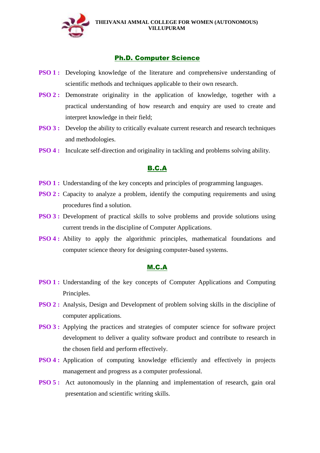

## Ph.D. Computer Science

- **PSO 1:** Developing knowledge of the literature and comprehensive understanding of scientific methods and techniques applicable to their own research.
- **PSO 2 :** Demonstrate originality in the application of knowledge, together with a practical understanding of how research and enquiry are used to create and interpret knowledge in their field;
- **PSO 3:** Develop the ability to critically evaluate current research and research techniques and methodologies.
- **PSO 4 :** Inculcate self-direction and originality in tackling and problems solving ability.

# B.C.A

- **PSO 1 :** Understanding of the key concepts and principles of programming languages.
- **PSO 2 :** Capacity to analyze a problem, identify the computing requirements and using procedures find a solution.
- **PSO 3 :** Development of practical skills to solve problems and provide solutions using current trends in the discipline of Computer Applications.
- **PSO 4 :** Ability to apply the algorithmic principles, mathematical foundations and computer science theory for designing computer-based systems.

## M.C.A

- **PSO 1 :** Understanding of the key concepts of Computer Applications and Computing Principles.
- **PSO 2 :** Analysis, Design and Development of problem solving skills in the discipline of computer applications.
- **PSO 3 :** Applying the practices and strategies of computer science for software project development to deliver a quality software product and contribute to research in the chosen field and perform effectively.
- **PSO 4 :** Application of computing knowledge efficiently and effectively in projects management and progress as a computer professional.
- **PSO 5:** Act autonomously in the planning and implementation of research, gain oral presentation and scientific writing skills.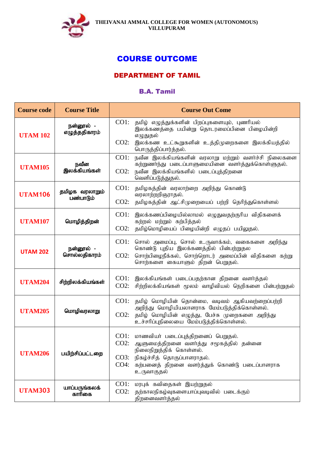

# COURSE OUTCOME

# DEPARTMENT OF TAMIL

# B.A. Tamil

| <b>Course code</b> | <b>Course Title</b>         | <b>Course Out Come</b>                                                                                                                                                                                                                  |
|--------------------|-----------------------------|-----------------------------------------------------------------------------------------------------------------------------------------------------------------------------------------------------------------------------------------|
| <b>UTAM 102</b>    | நன்னூல் -<br>எழுத்ததிகாரம்  | CO1:<br>தமிழ் எழுத்துக்களின் பிறப்புகளையும், புணரியல்<br>இலக்கணத்தை பயின்று தொடரமைப்பினை பிழையின்றி<br>எழுதுதல்<br>$CO2$ :<br>இலக்கண உட்கூறுகளின் உத்திமுறைகளை இலக்கியத்தில்<br>பொருத்திப்பார்த்தல்.                                    |
| <b>UTAM105</b>     | நவீன<br>இலக்கியங்கள்        | $CO1$ :<br>நவீன இலக்கியங்களின் வரலாறு மற்றும் வளர்ச்சி நிலைகளை<br>கற்றுணா்ந்து படைப்பாளுமையினை வளா்த்துக்கொள்ளுதல்.<br>நவீன இலக்கியங்களில் படைப்புத்திறனை<br>$CO2$ :<br>வெளிப்படுத்துதல்.                                               |
| <b>UTAM106</b>     | தமிழக வரலாறும்<br>பண்பாடும் | CO1:<br>தமிழகத்தின் வரலாற்றை அறிந்து கொண்டு<br>வரலாற்றறிஞராதல்.<br>$CO2$ :<br>தமிழகத்தின் ஆட்சிமுறையைப் பற்றி தெரிந்துகொள்ளல்                                                                                                           |
| <b>UTAM107</b>     | மொழித்திறன்                 | CO1:<br>இலக்கணப்பிழையில்லாமல் எழுதுவதற்குரிய விதிகளைக்<br>கற்றல் மற்றும் கற்பித்தல்<br>$CO2$ :<br>தமிழ்மொழியைப் பிழையின்றி எழுதப் பயிலுதல்.                                                                                             |
| <b>UTAM 202</b>    | நன்னூல் -<br>சொல்லதிகாரம்   | CO1:<br>சொல் அமைப்பு, சொல் உருவாக்கம், வகைகளை அறிந்து<br>கொண்டு புதிய இலக்கணத்தில் பின்பற்றுதல<br>சொற்பிழைநீக்கல், சொற்றொடர் அமைப்பின் விதிகளை கற்று<br>$CO2$ :<br>சொற்களை கையாளும் திறன் பெறுதல்.                                      |
| <b>UTAM204</b>     | சிற்றிலக்கியங்கள்           | CO1:<br>இலக்கியங்கள் படைப்பதற்கான திறனை வளர்த்தல்<br>$CO2$ :<br>சிற்றிலக்கியங்கள் மூலம் வாழிவியல் நெறிகளை பின்பற்றுதல்                                                                                                                  |
| <b>UTAM205</b>     | மொழிவரலாறு                  | $CO1$ :<br>தமிழ் மொழியின் தொன்மை, வடிவம் ஆகியவற்றைப்பற்றி<br>அறிந்து மொழியியலாளராக மேம்படுத்திக்கொள்ளல்.<br>தமிழ் மொழியின் எழுத்து, பேச்சு முறைகளை அறிந்து<br>$CO2$ :<br>உச்சரிப்புநிலையை மேம்படுத்திக்கொள்ளல்.                         |
| <b>UTAM206</b>     | பயிற்சிப்பட்டறை             | CO1: மாணவியா் படைப்புத்திறனைப் பெறுதல்.<br>$CO2$ :<br>ஆளுமைத்திறனை வளர்த்து சமூகத்தில் தன்னை<br>நிலைநிறுத்திக் கொள்ளல்.<br>நிகழ்ச்சித் தொகுப்பாளராதல்.<br>CO3:<br>கற்பனைத் திறனை வளர்த்துக் கொண்டு படைப்பாளராக<br>$CO4$ :<br>உருவாகுதல் |
| <b>UTAM303</b>     | யாப்பருங்கலக்<br>காரிகை     | CO1:<br>மரபுக் கவிதைகள் இயற்றுதல்<br>$CO2$ :<br>தற்காலநிகழ்வுகளையாப்புவடிவில் படைக்கும்<br>திறனைவளர்த்தல்                                                                                                                               |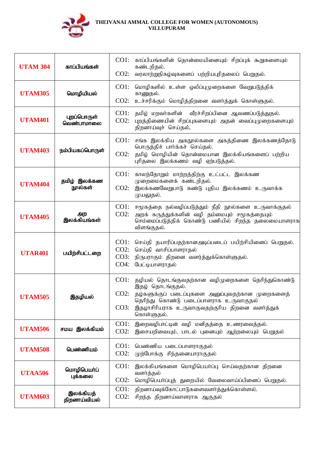

| <b>UTAM 304</b> | காப்பியங்கள்              | CO1:<br>காப்பியங்களின் தொன்மையினையும் சிறப்புக் கூறுகளையும்<br>கண்டறிதல்.<br>$CO2$ :<br>வரலாற்றுநிகழ்வுகளைப் பற்றியபுரிதலைப் பெறுதல்.                                                                                                                     |
|-----------------|---------------------------|-----------------------------------------------------------------------------------------------------------------------------------------------------------------------------------------------------------------------------------------------------------|
| <b>UTAM305</b>  | மொழியியல்                 | CO1:<br>மொழிகளில் உள்ள ஒலிப்புமுறைகளை வேறுபடுத்திக்<br>காணுதல்.<br>$CO2$ :<br>உச்சரிக்கும் மொழித்திறனை வளர்த்துக் கொள்ளுதல்.                                                                                                                              |
| <b>UTAM401</b>  | புறப்பொருள்<br>வெண்பாமாலை | CO1:<br>தமிழ் மறவர்களின் வீரச்சிறப்பினை ஆவணப்படுத்துதல்.<br>$CO2$ :<br>புறத்திணையின் சிறப்புகளையும் அதன் வைப்புமுறைகளையும்<br>திறனாய்வுச் செய்தல்.                                                                                                        |
| <b>UTAM403</b>  | நம்பியகப்பொருள்           | CO1:<br>சங்க இலக்கிய அகநூல்களை அகத்திணை இலக்கணத்தோடு<br>பொருத்திச் பார்க்கச் செய்தல்.<br>தமிழ் மொழியின் தொன்மையான இலக்கியங்களைப் பற்றிய<br>$CO2$ :<br>புரிதலை இலக்கணம் வழி ஏற்படுத்தல்.                                                                   |
| <b>UTAM404</b>  | தமிழ் இலக்கண<br>நூல்கள்   | CO1:<br>காலந்தோறும் மாற்றத்திற்கு உட்பட்ட இலக்கண<br>முறைமைகளைக் கண்டறிதல்.<br>$CO2$ :<br>இலக்கணவேறுபாடு கண்டு புதிய இலக்கணம் உருவாக்க<br>முயலுதல்.                                                                                                        |
| <b>UTAM405</b>  | அற<br>இலக்கியங்கள்        | CO1:<br>சமூகத்தை நல்வழிப்படுத்தும் நீதி நூல்களை உருவாக்குதல்<br>$CO2$ :<br>அறக் கருத்துக்களின் வழி தம்மையும் சமூகத்தையும்<br>செம்மைப்படுத்திக் கொண்டு பணியில் சிறந்த தலைமையாளராக<br>விளங்குதல்.                                                           |
| <b>UTAR401</b>  | பயிற்சிபட்டறை             | CO1:<br>செய்தி தயாரிப்பதற்கானஅடிப்படைப் பயிற்சியினைப் பெறுதல்.<br>$CO2$ :<br>செய்தி வாசிப்பாளராதல்<br>CO3:<br>நிருபராகும் திறனை வளர்த்துக்கொள்ளுதல்.<br>$CO4$ :<br>பேட்டியாளராகல்                                                                         |
| <b>UTAM505</b>  | இதழியல்                   | CO1:<br>தழியல் தொடங்குவதற்கான வழிமுறைகளை தெரிந்துகொண்டு<br>இதழ் தொடங்குதல்.<br>CO2:<br>தழ்களுக்குப் படைப்புகளை அனுப்புவதற்கான முறைகளைத்<br>தெரிந்து கொண்டு படைப்பாளராக உருவாகுதல்<br>CO3:<br>இதழாசிரியராக உருவாகுவதற்குரிய திறனை வளர்த்துக்<br>கொள்ளுதல். |
| <b>UTAM506</b>  | சமய இலக்கியம்             | CO1:<br>இறைவழிபாட்டின் வழி மனிதத்தை உணரவைத்தல்.<br>$CO2$ :<br>இசையறிவையும், பாடல் புனையும் ஆற்றலையும் பெறுதல்                                                                                                                                             |
| <b>UTAM508</b>  | பெண்ணியம்                 | CO1:<br>பெண்ணிய படைப்பாளராகுதல்<br>$CO2$ :<br>முற்போக்கு சிந்தனையாராகுதல்                                                                                                                                                                                 |
| <b>UTAA506</b>  | மொழிபெயா்ப்<br>புக்கலை    | CO1:<br>இலக்கியங்களை மொழிபெயர்ப்பு செய்வதற்கான திறனை<br>வளர்த்தல்<br>$CO2$ :<br>மொழிபெயா்ப்புத் துறையில் வேலைவாய்ப்பினைப் பெறுதல்.                                                                                                                        |
| <b>UTAM603</b>  | இலக்கியத்<br>திறனாய்வியல் | CO1:<br>திறனாய்வுக்கோட்பாடுகளைவளர்த்துக்கொள்ளல்.<br>$CO2$ :<br>சிறந்த திறனாய்வாளராக ஆகுதல்                                                                                                                                                                |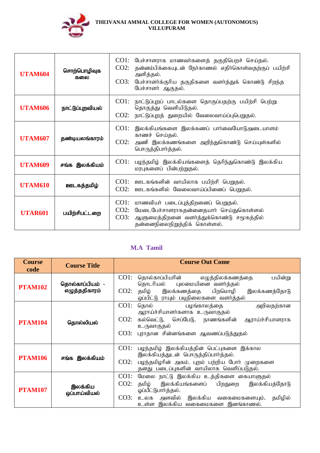

| <b>UTAM604</b> | சொற்பொழிவுக<br>கலை | பேச்சாளராக மாணவர்களைத் தகுதிபெறச் செய்தல்.<br>CO1:<br>தன்னம்பிக்கையுடன் நேர்காணல் எதிர்கொள்வதற்குப் பயிற்சி<br>CO2:<br>அளித்தல்.<br>CO3:<br>பேச்சாளர்க்குரிய தகுதிகளை வளர்த்துக் கொண்டு சிறந்த<br>பேச்சாளர் ஆகுதல். |
|----------------|--------------------|---------------------------------------------------------------------------------------------------------------------------------------------------------------------------------------------------------------------|
| <b>UTAM606</b> | நாட்டுப்புறவியல்   | நாட்டுப்புறப் பாடல்களை தொகுப்பதற்கு பயிற்சி பெற்று<br>CO1:<br>தொகுத்து வெளியிடுதல்.<br>CO2:<br>நாட்டுப்புறத் துறையில் வேலைவாய்ப்புபெறுதல்.                                                                          |
| <b>UTAM607</b> | தண்டியலங்காரம்     | CO1:<br>இலக்கியங்களை இலக்கணப் பார்வையோடுஅடையாளம்<br>காணச் செய்தல்.<br>$CO2$ :<br>அணி இலக்கணங்களை அறிந்துகொண்டு செய்யுள்களில்<br>பொருத்திபார்த்தல்.                                                                  |
| <b>UTAM609</b> | சங்க இலக்கியம்     | CO1:<br>பழந்தமிழ் இலக்கியங்களைத் தெரிந்துகொண்டு இலக்கிய<br>மரபுகளைப் பின்பற்றுதல்.                                                                                                                                  |
| <b>UTAM610</b> | ஊடகத்தமிழ்         | CO1: ஊடகங்களின் வாயிலாக பயிற்சி பெறுதல்.<br>CO2:<br>ஊடகங்களில் வேலைவாய்ப்பினைப் பெறுதல்.                                                                                                                            |
| <b>UTAR601</b> | பயிற்சிபட்டறை      | CO1: மாணவியர் படைப்புத்திறனைப் பெறுதல்.<br>மேடைபேச்சாளராகதன்னைதயார் செய்துகொள்ளல்<br>$CO2$ :<br>ஆளுமைத்திறனை வளர்த்துக்கொண்டு சமூகத்தில்<br>CO3:<br>தன்னைநிலைநிறுத்திக் கொள்ளல்.                                    |

# **M.A Tamil**

| <b>Course</b><br>code | <b>Course Title</b>              | <b>Course Out Come</b>                                                                                                                                                                                                          |
|-----------------------|----------------------------------|---------------------------------------------------------------------------------------------------------------------------------------------------------------------------------------------------------------------------------|
| <b>PTAM102</b>        | தொல்காப்பியம் -<br>எழுத்ததிகாரம் | $CO1$ :<br>தொல்காப்பியரின் எழுத்திலக்கணத்தை<br>பயின்று<br>தொடரியல் புலமையினை வளர்த்தல்<br>$CO2$ :<br>தமிழ் இலக்கணத்தை பிறமொழி<br>இலக்கணத்தோடு<br>ஒப்பிட்டு ராயும் படிநிலைகளை வளர்த்தல்                                          |
| <b>PTAM104</b>        | தொல்லியல்                        | $CO1$ :<br>தொல் பழங்காலத்தை<br>அறிவதற்கான<br>ஆராய்ச்சியாளர்களாக உருவாகுதல்<br>கல்வெட்டு, செப்பேடு, நாணங்களின்<br>$CO2$ :<br>ஆராய்ச்சியாளராக<br>உருவாகுதல்<br>CO3:<br>புராதான சின்னங்களை ஆவணப்படுத்துதல்                         |
| <b>PTAM106</b>        | சங்க இலக்கியம்                   | CO1:<br>பழந்தமிழ் இலக்கியத்தின் பெட்புகளை இக்கால<br>இலக்கியத்துடன் பொருத்திப்பார்த்தல்.<br>$CO2$ :<br>பழந்தமிழரின் அகம், புறம் பற்றிய போர் முறைகளை<br>தனது படைப்புகளின் வாயிலாக வெளிப்படுதல்.                                   |
| <b>PTAM107</b>        | இலக்கிய<br>ஒப்பாய்வியல்          | CO1:<br>மேலை நாட்டு இலக்கிய உத்திகளை கையாளுதல்<br>$CO2$ :<br>கமிழ்<br>இலக்கியங்களைப் பிறதுறை<br>இலக்கியத்தோடு<br>ஓப்பீட்டுபார்த்தல்.<br>CO3:<br>உலக அளவில் இலக்கிய வகைமைகளையும்,<br>தமிழில்<br>உள்ள இலக்கிய வகைமைகளை இனங்காணல். |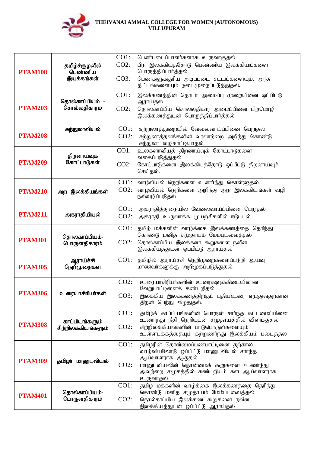

|                |                                       | CO1:    | பெண்படைப்பாளர்களாக உருவாகுதல்                                                     |
|----------------|---------------------------------------|---------|-----------------------------------------------------------------------------------|
| <b>PTAM108</b> | தமிழ்ச்சூழலில்<br>பெண்ணிய             | $CO2$ : | பிற இலக்கியத்தோடு பெண்ணிய இலக்கியங்களை                                            |
|                |                                       |         | பொருத்திப்பார்த்தல்                                                               |
|                | இயக்கங்கள்                            | CO3:    | பெண்களுக்குரிய அடிப்படை சட்டங்களையும், அரசு                                       |
|                |                                       |         | திட்டங்களையும் நடைமுறைப்படுத்துதல்.                                               |
|                |                                       | CO1:    | இலக்கணத்தின் தொடர் அமைப்பு முறையினை ஒப்பிட்டு                                     |
| <b>PTAM203</b> | தொல்காப்பியம் -<br>சொல்லதிகாரம்       |         | ஆராய்தல்                                                                          |
|                |                                       | $CO2$ : | தொல்காப்பிய சொல்லதிகார அமைப்பினை பிறமொழி<br>இலக்கணத்துடன் பொருத்திப்பார்த்தல்     |
|                |                                       |         |                                                                                   |
|                | சுற்றுலாவியல்                         | CO1:    | சுற்றுலாத்துறையில் வேலைவாய்ப்பினை பெறுதல்                                         |
| <b>PTAM208</b> |                                       | $CO2$ : | சுற்றுலாத்தலங்களின் வரலாற்றை அறிந்து கொண்டு                                       |
|                |                                       |         | சுற்றுலா வழிகாட்டியாதல்                                                           |
|                | திறனாய்வுக்                           | CO1:    | உலகளாவியத் திறனாய்வுக் கோட்பாடுகளை<br>வகைப்படுத்துதல்                             |
| <b>PTAM209</b> | கோட்பாடுகள்                           | $CO2$ : | கோட்பாடுகளை இலக்கியத்தோடு ஒப்பீட்டு திறனாய்வுச்                                   |
|                |                                       |         | செய்தல்.                                                                          |
|                |                                       | $CO1$ : | வாழ்வியல் நெறிகளை உணர்ந்து கொள்ளுதல்.                                             |
| <b>PTAM210</b> | இலக்கியங்கள்<br>அற                    | $CO2$ : | வாழ்வியல் நெறிகளை அறிந்து அற இலக்கியங்கள் வழி                                     |
|                |                                       |         | நல்வழிப்படுதல்                                                                    |
|                |                                       | CO1:    | அகராதித்துறையில் வேலைவாய்ப்பினை பெறுதல்                                           |
| <b>PTAM211</b> | அகராதியியல்                           | $CO2$ : | அகராதி உருவாக்க முயற்சிகளில் ஈடுபடல்.                                             |
|                |                                       | $CO1$ : |                                                                                   |
| <b>PTAM301</b> | தொல்காப்பியம்-<br>பொருளதிகாரம்        |         | தமிழ் மக்களின் வாழ்க்கை இலக்கணத்தை தெரிந்து<br>கொண்டு மனித சமுதாயம் மேம்படவைத்தல் |
|                |                                       | $CO2$ : | தொல்காப்பிய இலக்கண கூறுகளை நவீன                                                   |
|                |                                       |         | இலக்கியத்துடன் ஒப்பிட்டு ஆராய்தல்                                                 |
|                | ஆராய்ச்சி                             | CO1:    | தமிழில் ஆராய்ச்சி நெறிமுறைகளைப்பற்றி ஆய்வு                                        |
| <b>PTAM305</b> | நெறிமுறைகள்                           |         | மாணவர்களுக்கு அறிமுகப்படுத்துதல்.                                                 |
|                |                                       |         |                                                                                   |
|                | உரையாசிரியா்கள்                       | $CO2$ : | உரையாசிரியர்களின் உரைகளுக்கிடையிலான<br>வேறுபாட்டினைக் கண்டறிதல்.                  |
| <b>PTAM306</b> |                                       | CO3:    | இலக்கிய இலக்கணத்திற்குப் புதியஉரை எழுதுவதற்கான                                    |
|                |                                       |         | திறன் பெற்று எழுதுதல்.                                                            |
|                |                                       | CO1:    | தமிழ்க் காப்பியங்களின் பொருள் சாா்ந்த கட்டமைப்பினை                                |
|                | காப்பியங்களும்<br>சிற்றிலக்கியங்களும் |         | உணர்ந்து நீதி நெறியுடன் சமுதாயத்தில் விளங்குதல்                                   |
| <b>PTAM308</b> |                                       | $CO2$ : | சிற்றிலக்கியங்களின் பாடுபொருள்களையும்                                             |
|                |                                       |         | உள்ளடக்கத்தையும் கற்றுணர்ந்து இலக்கியம் படைத்தல்                                  |
|                |                                       | CO1:    | தமிழரின் தொன்மைப்பண்பாட்டினை தற்கால                                               |
| <b>PTAM309</b> |                                       |         | வாழ்வியலோடு ஒப்பிட்டு மானுடவியல் சாாந்த<br>ஆய்வாளராக ஆகுதல்                       |
|                | தமிழா் மானுடவியல்                     | $CO2$ : | மானுடவியலின் தொன்மைக் கூறுகளை உணர்ந்து                                            |
|                |                                       |         | அவற்றை சமூகத்தில் கண்டறியும் கள ஆய்வாளராக                                         |
|                |                                       |         | உருவாதல்                                                                          |
|                |                                       | CO1:    | தமிழ் மக்களின் வாழ்க்கை இலக்கணத்தை தெரிந்து<br>கொண்டு மனித சமுதாயம் மேம்படவைத்தல் |
| <b>PTAM401</b> | தொல்காப்பியம்-<br>பொருளதிகாரம்        | $CO2$ : | தொல்காப்பிய இலக்கண கூறுகளை நவீன                                                   |
|                |                                       |         | இலக்கியத்துடன் ஒப்பிட்டு ஆராய்தல்                                                 |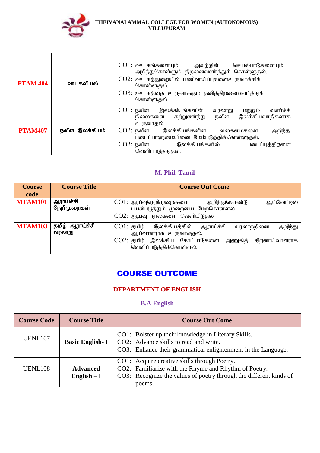

| <b>PTAM 404</b> | ஊடகவியல்       | CO1: ஊடகங்களையும்<br>அவற்றின் செயல்பாடுகளையும்<br>அறிந்துகொள்ளும் திறனைவளர்த்துக் கொள்ளுதல்.<br>CO2: ஊடகத்துறையில் பணிவாய்ப்புகளைஉருவாக்கிக்<br>கொள்ளுதல்.<br>$CO3:$ ஊடகத்தை உருவாக்கும் தனித்திறனைவளர்த்துக்<br>கொள்ளுதல்.                                                                        |
|-----------------|----------------|----------------------------------------------------------------------------------------------------------------------------------------------------------------------------------------------------------------------------------------------------------------------------------------------------|
| <b>PTAM407</b>  | நவீன இலக்கியம் | CO1: நவீன<br>இலக்கியங்களின்<br>வளர்ச்சி<br>மற்றும்<br>வரலாறு<br>இலக்கியவாதிகளாக<br>நிலைகளை கற்றுணர்ந்து<br>நவீன<br>உருவாதல்<br>CO2: நவீன<br>இலக்கியங்களின்<br>அறிந்து<br>வகைமைகளை<br>படைப்பாளுமையினை மேம்படுத்திக்கொள்ளுதல்.<br>இலக்கியங்களில்<br>CO3: நவீன<br>படைப்புத்திறனை<br>வெளிப்படுத்துதல். |

### **M. Phil. Tamil**

| <b>Course</b><br>code | <b>Course Title</b>       | <b>Course Out Come</b>                                                                                                                                                             |
|-----------------------|---------------------------|------------------------------------------------------------------------------------------------------------------------------------------------------------------------------------|
| <b>MTAM101</b>        | ஆராய்ச்சி<br>நெறிமுறைகள்  | CO1: ஆய்வுநெறிமுறைகளை<br>அறிந்துகொண்டு<br>ஆய்வேட்டில்<br>பயன்படுத்தும் முறையை மேற்கொள்ளல்<br>CO2: ஆய்வு நூல்களை வெளியிடுதல்                                                        |
| <b>MTAM103</b>        | தமிழ் ஆராய்ச்சி<br>வரலாறு | $CO1:$ தமிழ்<br>இலக்கியத்தில்<br>அறிந்து<br>வரலாற்றினை<br>ஆராய்ச்சி<br>ஆய்வாளராக உருவாகுதல்.<br>CO2: தமிழ் இலக்கிய கோட்பாடுகளை அணுகித்<br>திறனாய்வாளராக<br>வெளிப்படுத்திக்கொள்ளல். |

# COURSE OUTCOME

## **DEPARTMENT OF ENGLISH**

## **B.A English**

| <b>Course Code</b>  | <b>Course Title</b>             | <b>Course Out Come</b>                                                                                                                                                                |
|---------------------|---------------------------------|---------------------------------------------------------------------------------------------------------------------------------------------------------------------------------------|
| <b>UENL107</b>      | <b>Basic English-I</b>          | CO1: Bolster up their knowledge in Literary Skills.<br>CO2: Advance skills to read and write.<br>CO3: Enhance their grammatical enlightenment in the Language.                        |
| UENL <sub>108</sub> | <b>Advanced</b><br>English $-I$ | CO1: Acquire creative skills through Poetry.<br>CO2: Familiarize with the Rhyme and Rhythm of Poetry.<br>CO3: Recognize the values of poetry through the different kinds of<br>poems. |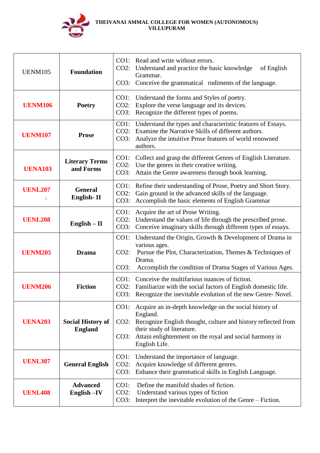

| <b>UENM105</b> | <b>Foundation</b>                          | $CO2$ :<br>CO3:            | CO1: Read and write without errors.<br>Understand and practice the basic knowledge<br>of English<br>Grammar.<br>Conceive the grammatical rudiments of the language.                                                                           |
|----------------|--------------------------------------------|----------------------------|-----------------------------------------------------------------------------------------------------------------------------------------------------------------------------------------------------------------------------------------------|
| <b>UENM106</b> | <b>Poetry</b>                              | CO1:<br>$CO2$ :<br>CO3:    | Understand the forms and Styles of poetry.<br>Explore the verse language and its devices.<br>Recognize the different types of poems.                                                                                                          |
| <b>UENM107</b> | <b>Prose</b>                               | $CO1$ :<br>CO2:<br>CO3:    | Understand the types and characteristic features of Essays.<br>Examine the Narrative Skills of different authors.<br>Analyze the intuitive Prose features of world renowned<br>authors.                                                       |
| <b>UENA103</b> | <b>Literary Terms</b><br>and Forms         | CO1:<br>$CO2$ :<br>CO3:    | Collect and grasp the different Genres of English Literature.<br>Use the genres in their creative writing.<br>Attain the Genre awareness through book learning.                                                                               |
| <b>UENL207</b> | <b>General</b><br>English-II               | CO1:<br>$CO2$ :<br>CO3:    | Refine their understanding of Prose, Poetry and Short Story.<br>Gain ground in the advanced skills of the language.<br>Accomplish the basic elements of English Grammar                                                                       |
| <b>UENL208</b> | English $-$ II                             | $CO1$ :<br>$CO2$ :<br>CO3: | Acquire the art of Prose Writing.<br>Understand the values of life through the prescribed prose.<br>Conceive imaginary skills through different types of essays.                                                                              |
| <b>UENM205</b> | <b>Drama</b>                               | $CO1$ :<br>$CO2$ :<br>CO3: | Understand the Origin, Growth & Development of Drama in<br>various ages.<br>Pursue the Plot, Characterization, Themes & Techniques of<br>Drama.<br>Accomplish the condition of Drama Stages of Various Ages.                                  |
| <b>UENM206</b> | <b>Fiction</b>                             | CO1:<br>CO2:               | Conceive the multifarious nuances of fiction.<br>Familiarize with the social factors of English domestic life.<br>CO3: Recognize the inevitable evolution of the new Genre-Novel.                                                             |
| <b>UENA203</b> | <b>Social History of</b><br><b>England</b> | $CO1$ :<br>$CO2$ :<br>CO3: | Acquire an in-depth knowledge on the social history of<br>England.<br>Recognize English thought, culture and history reflected from<br>their study of literature.<br>Attain enlightenment on the royal and social harmony in<br>English Life. |
| <b>UENL307</b> | <b>General English</b>                     | $CO1$ :<br>$CO2$ :<br>CO3: | Understand the importance of language.<br>Acquire knowledge of different genres.<br>Enhance their grammatical skills in English Language.                                                                                                     |
| <b>UENL408</b> | <b>Advanced</b><br>English -IV             | $CO1$ :<br>$CO2$ :<br>CO3: | Define the manifold shades of fiction.<br>Understand various types of fiction<br>Interpret the inevitable evolution of the Genre – Fiction.                                                                                                   |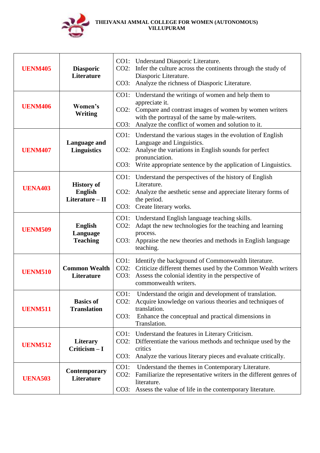

| <b>UENM405</b> | <b>Diasporic</b><br><b>Literature</b>                    | CO2:                    | CO1: Understand Diasporic Literature.<br>Infer the culture across the continents through the study of<br>Diasporic Literature.<br>CO3: Analyze the richness of Diasporic Literature.                                                      |
|----------------|----------------------------------------------------------|-------------------------|-------------------------------------------------------------------------------------------------------------------------------------------------------------------------------------------------------------------------------------------|
| <b>UENM406</b> | Women's<br><b>Writing</b>                                | $CO2$ :<br>CO3:         | CO1: Understand the writings of women and help them to<br>appreciate it.<br>Compare and contrast images of women by women writers<br>with the portrayal of the same by male-writers.<br>Analyze the conflict of women and solution to it. |
| <b>UENM407</b> | Language and<br><b>Linguistics</b>                       | CO1:<br>$CO2$ :<br>CO3: | Understand the various stages in the evolution of English<br>Language and Linguistics.<br>Analyse the variations in English sounds for perfect<br>pronunciation.<br>Write appropriate sentence by the application of Linguistics.         |
| <b>UENA403</b> | <b>History of</b><br><b>English</b><br>Literature $-$ II | $CO2$ :<br>CO3:         | CO1: Understand the perspectives of the history of English<br>Literature.<br>Analyze the aesthetic sense and appreciate literary forms of<br>the period.<br>Create literary works.                                                        |
| <b>UENM509</b> | <b>English</b><br>Language<br><b>Teaching</b>            | $CO2$ :<br>CO3:         | CO1: Understand English language teaching skills.<br>Adapt the new technologies for the teaching and learning<br>process.<br>Appraise the new theories and methods in English language<br>teaching.                                       |
| <b>UENM510</b> | <b>Common Wealth</b><br><b>Literature</b>                | CO2:<br>CO3:            | CO1: Identify the background of Commonwealth literature.<br>Criticize different themes used by the Common Wealth writers<br>Assess the colonial identity in the perspective of<br>commonwealth writers.                                   |
| <b>UENM511</b> | <b>Basics of</b><br><b>Translation</b>                   | $CO1$ :<br>CO3:         | Understand the origin and development of translation.<br>CO2: Acquire knowledge on various theories and techniques of<br>translation.<br>Enhance the conceptual and practical dimensions in<br>Translation.                               |
| <b>UENM512</b> | <b>Literary</b><br>$Criticism - I$                       | CO1:<br>CO2:<br>CO3:    | Understand the features in Literary Criticism.<br>Differentiate the various methods and technique used by the<br>critics<br>Analyze the various literary pieces and evaluate critically.                                                  |
| <b>UENA503</b> | <b>Contemporary</b><br>Literature                        | $CO1$ :<br>$CO2$ :      | Understand the themes in Contemporary Literature.<br>Familiarize the representative writers in the different genres of<br>literature.<br>CO3: Assess the value of life in the contemporary literature.                                    |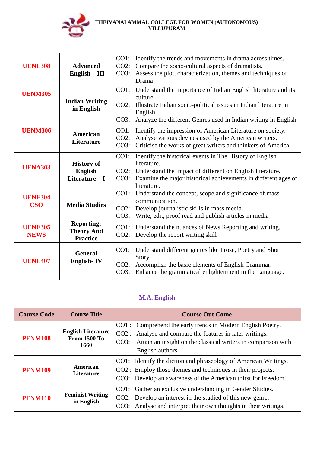

| <b>UENL308</b>                | <b>Advanced</b><br>$English - III$                        | CO1: Identify the trends and movements in drama across times.<br>Compare the socio-cultural aspects of dramatists.<br>CO2:<br>CO3:<br>Assess the plot, characterization, themes and techniques of<br>Drama                                           |
|-------------------------------|-----------------------------------------------------------|------------------------------------------------------------------------------------------------------------------------------------------------------------------------------------------------------------------------------------------------------|
| <b>UENM305</b>                | <b>Indian Writing</b><br>in English                       | CO1: Understand the importance of Indian English literature and its<br>culture.<br>$CO2$ :<br>Illustrate Indian socio-political issues in Indian literature in<br>English.<br>Analyze the different Genres used in Indian writing in English<br>CO3: |
| <b>UENM306</b>                | American<br><b>Literature</b>                             | $CO1$ :<br>Identify the impression of American Literature on society.<br>Analyse various devices used by the American writers.<br>$CO2$ :<br>Criticise the works of great writers and thinkers of America.<br>CO3:                                   |
| <b>UENA303</b>                | <b>History of</b><br><b>English</b><br>Literature $-I$    | CO1:<br>Identify the historical events in The History of English<br>literature.<br>CO2:<br>Understand the impact of different on English literature.<br>Examine the major historical achievements in different ages of<br>CO3:<br>literature.        |
| <b>UENE304</b><br><b>CSO</b>  | <b>Media Studies</b>                                      | CO1: Understand the concept, scope and significance of mass<br>communication.<br>CO2:<br>Develop journalistic skills in mass media.<br>CO3:<br>Write, edit, proof read and publish articles in media                                                 |
| <b>UENE305</b><br><b>NEWS</b> | <b>Reporting:</b><br><b>Theory And</b><br><b>Practice</b> | CO1: Understand the nuances of News Reporting and writing.<br>Develop the report writing skill<br>$CO2$ :                                                                                                                                            |
| <b>UENL407</b>                | <b>General</b><br><b>English-IV</b>                       | $CO1$ :<br>Understand different genres like Prose, Poetry and Short<br>Story.<br>Accomplish the basic elements of English Grammar.<br>CO2:<br>Enhance the grammatical enlightenment in the Language.<br>CO3:                                         |

## **M.A. English**

| <b>Course Code</b> | <b>Course Title</b>                                      | <b>Course Out Come</b>                                                                                                                                                                                            |
|--------------------|----------------------------------------------------------|-------------------------------------------------------------------------------------------------------------------------------------------------------------------------------------------------------------------|
| <b>PENM108</b>     | <b>English Literature</b><br><b>From 1500 To</b><br>1660 | CO1: Comprehend the early trends in Modern English Poetry.<br>CO2 : Analyse and compare the features in later writings.<br>CO3: Attain an insight on the classical writers in comparison with<br>English authors. |
| <b>PENM109</b>     | American<br>Literature                                   | CO1: Identify the diction and phraseology of American Writings.<br>CO2 : Employ those themes and techniques in their projects.<br>CO3: Develop an awareness of the American thirst for Freedom.                   |
| <b>PENM110</b>     | <b>Feminist Writing</b><br>in English                    | CO1: Gather an exclusive understanding in Gender Studies.<br>CO2: Develop an interest in the studied of this new genre.<br>CO3: Analyse and interpret their own thoughts in their writings.                       |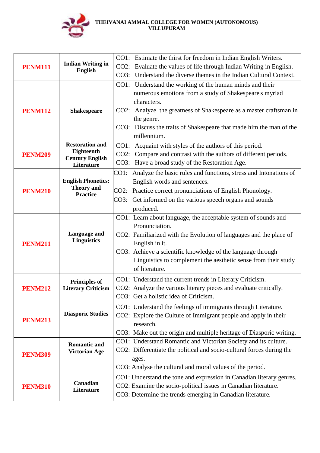

| <b>PENM111</b> |                                            | CO1: Estimate the thirst for freedom in Indian English Writers.          |
|----------------|--------------------------------------------|--------------------------------------------------------------------------|
|                | <b>Indian Writing in</b><br><b>English</b> | CO2: Evaluate the values of life through Indian Writing in English.      |
|                |                                            | CO3: Understand the diverse themes in the Indian Cultural Context.       |
|                |                                            | CO1: Understand the working of the human minds and their                 |
|                |                                            | numerous emotions from a study of Shakespeare's myriad                   |
|                |                                            | characters.                                                              |
| <b>PENM112</b> | <b>Shakespeare</b>                         | CO2: Analyze the greatness of Shakespeare as a master craftsman in       |
|                |                                            | the genre.                                                               |
|                |                                            | CO3: Discuss the traits of Shakespeare that made him the man of the      |
|                |                                            | millennium.                                                              |
|                | <b>Restoration and</b>                     | CO1: Acquaint with styles of the authors of this period.                 |
| <b>PENM209</b> | Eighteenth<br><b>Century English</b>       | CO2: Compare and contrast with the authors of different periods.         |
|                | Literature                                 | CO3: Have a broad study of the Restoration Age.                          |
|                |                                            | Analyze the basic rules and functions, stress and Intonations of<br>CO1: |
|                | <b>English Phonetics:</b>                  | English words and sentences.                                             |
| <b>PENM210</b> | <b>Theory</b> and<br><b>Practice</b>       | CO2: Practice correct pronunciations of English Phonology.               |
|                |                                            | CO3: Get informed on the various speech organs and sounds                |
|                |                                            | produced.                                                                |
|                |                                            | CO1: Learn about language, the acceptable system of sounds and           |
|                |                                            | Pronunciation.                                                           |
|                | Language and                               | CO2: Familiarized with the Evolution of languages and the place of       |
| <b>PENM211</b> | <b>Linguistics</b>                         | English in it.                                                           |
|                |                                            | CO3: Achieve a scientific knowledge of the language through              |
|                |                                            | Linguistics to complement the aesthetic sense from their study           |
|                |                                            | of literature.                                                           |
|                | <b>Principles of</b>                       | CO1: Understand the current trends in Literary Criticism.                |
| <b>PENM212</b> | <b>Literary Criticism</b>                  | CO2: Analyze the various literary pieces and evaluate critically.        |
|                |                                            | CO3: Get a holistic idea of Criticism.                                   |
|                |                                            | CO1: Understand the feelings of immigrants through Literature.           |
| <b>PENM213</b> | <b>Diasporic Studies</b>                   | CO2: Explore the Culture of Immigrant people and apply in their          |
|                |                                            | research.                                                                |
|                |                                            | CO3: Make out the origin and multiple heritage of Diasporic writing.     |
| <b>PENM309</b> | <b>Romantic and</b>                        | CO1: Understand Romantic and Victorian Society and its culture.          |
|                | <b>Victorian Age</b>                       | CO2: Differentiate the political and socio-cultural forces during the    |
|                |                                            | ages.                                                                    |
|                |                                            | CO3: Analyse the cultural and moral values of the period.                |
| <b>PENM310</b> | Canadian                                   | CO1: Understand the tone and expression in Canadian literary genres.     |
|                | Literature                                 | CO2: Examine the socio-political issues in Canadian literature.          |
|                |                                            | CO3: Determine the trends emerging in Canadian literature.               |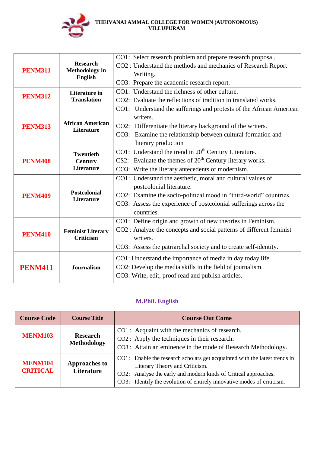

|                |                                              | CO1: Select research problem and prepare research proposal.          |
|----------------|----------------------------------------------|----------------------------------------------------------------------|
| <b>PENM311</b> | <b>Research</b>                              | CO2 : Understand the methods and mechanics of Research Report        |
|                | <b>Methodology</b> in                        | Writing.                                                             |
|                | <b>English</b>                               | CO3: Prepare the academic research report.                           |
|                | <b>Literature</b> in                         | CO1: Understand the richness of other culture.                       |
| <b>PENM312</b> | <b>Translation</b>                           | CO2: Evaluate the reflections of tradition in translated works.      |
|                |                                              | CO1: Understand the sufferings and protests of the African American  |
|                |                                              | writers.                                                             |
| <b>PENM313</b> | <b>African American</b><br><b>Literature</b> | CO2: Differentiate the literary background of the writers.           |
|                |                                              | CO3: Examine the relationship between cultural formation and         |
|                |                                              | literary production                                                  |
|                | <b>Twentieth</b>                             | CO1: Understand the trend in 20 <sup>th</sup> Century Literature.    |
| <b>PENM408</b> | <b>Century</b>                               | CS2: Evaluate the themes of $20th$ Century literary works.           |
|                | <b>Literature</b>                            | CO3: Write the literary antecedents of modernism.                    |
|                | <b>Postcolonial</b><br><b>Literature</b>     | CO1: Understand the aesthetic, moral and cultural values of          |
|                |                                              | postcolonial literature.                                             |
| <b>PENM409</b> |                                              | CO2: Examine the socio-political mood in "third-world" countries.    |
|                |                                              | CO3: Assess the experience of postcolonial sufferings across the     |
|                |                                              | countries.                                                           |
|                | <b>Feminist Literary</b><br><b>Criticism</b> | CO1: Define origin and growth of new theories in Feminism.           |
| <b>PENM410</b> |                                              | CO2 : Analyze the concepts and social patterns of different feminist |
|                |                                              | writers.                                                             |
|                |                                              | CO3: Assess the patriarchal society and to create self-identity.     |
| <b>PENM411</b> |                                              | CO1: Understand the importance of media in day today life.           |
|                | <b>Journalism</b>                            | CO2: Develop the media skills in the field of journalism.            |
|                |                                              | CO3: Write, edit, proof read and publish articles.                   |
|                |                                              |                                                                      |

# **M.Phil. English**

| <b>Course Code</b>                | <b>Course Title</b>                       | <b>Course Out Come</b>                                                                                                                                                                                                                                    |
|-----------------------------------|-------------------------------------------|-----------------------------------------------------------------------------------------------------------------------------------------------------------------------------------------------------------------------------------------------------------|
| <b>MENM103</b>                    | <b>Research</b><br><b>Methodology</b>     | CO1: Acquaint with the mechanics of research.<br>CO2 : Apply the techniques in their research.<br>CO3 : Attain an eminence in the mode of Research Methodology.                                                                                           |
| <b>MENM104</b><br><b>CRITICAL</b> | <b>Approaches to</b><br><b>Literature</b> | CO1: Enable the research scholars get acquainted with the latest trends in<br>Literary Theory and Criticism.<br>CO2: Analyse the early and modern kinds of Critical approaches.<br>CO3: Identify the evolution of entirely innovative modes of criticism. |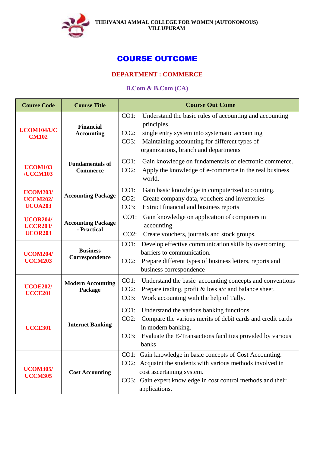

# COURSE OUTCOME

## **DEPARTMENT : COMMERCE**

## **B.Com & B.Com (CA)**

| <b>Course Code</b>                                   | <b>Course Title</b>                       | <b>Course Out Come</b>                                                                                                                                                                                                                           |
|------------------------------------------------------|-------------------------------------------|--------------------------------------------------------------------------------------------------------------------------------------------------------------------------------------------------------------------------------------------------|
| UCOM104/UC<br><b>CM102</b>                           | <b>Financial</b><br><b>Accounting</b>     | $CO1$ :<br>Understand the basic rules of accounting and accounting<br>principles.<br>$CO2$ :<br>single entry system into systematic accounting<br>Maintaining accounting for different types of<br>CO3:<br>organizations, branch and departments |
| <b>UCOM103</b><br>/UCCM103                           | <b>Fundamentals of</b><br><b>Commerce</b> | $CO1$ :<br>Gain knowledge on fundamentals of electronic commerce.<br>Apply the knowledge of e-commerce in the real business<br>$CO2$ :<br>world.                                                                                                 |
| <b>UCOM203/</b><br><b>UCCM202/</b><br><b>UCOA203</b> | <b>Accounting Package</b>                 | CO1:<br>Gain basic knowledge in computerized accounting.<br>$CO2$ :<br>Create company data, vouchers and inventories<br>CO3:<br>Extract financial and business reports                                                                           |
| <b>UCOR204/</b><br><b>UCCR203/</b><br><b>UCOR203</b> | <b>Accounting Package</b><br>- Practical  | $CO1$ :<br>Gain knowledge on application of computers in<br>accounting.<br>$CO2$ :<br>Create vouchers, journals and stock groups.                                                                                                                |
| <b>UCOM204/</b><br><b>UCCM203</b>                    | <b>Business</b><br>Correspondence         | Develop effective communication skills by overcoming<br>$CO1$ :<br>barriers to communication.<br>Prepare different types of business letters, reports and<br>$CO2$ :<br>business correspondence                                                  |
| <b>UCOE202/</b><br><b>UCCE201</b>                    | <b>Modern Accounting</b><br>Package       | CO1:<br>Understand the basic accounting concepts and conventions<br>Prepare trading, profit $&$ loss $a/c$ and balance sheet.<br>$CO2$ :<br>$CO3$ :<br>Work accounting with the help of Tally.                                                   |
| <b>UCCE301</b>                                       | <b>Internet Banking</b>                   | $CO1$ :<br>Understand the various banking functions<br>$CO2$ :<br>Compare the various merits of debit cards and credit cards<br>in modern banking.<br>Evaluate the E-Transactions facilities provided by various<br>CO3:<br>banks                |
| <b>UCOM305/</b><br><b>UCCM305</b>                    | <b>Cost Accounting</b>                    | Gain knowledge in basic concepts of Cost Accounting.<br>CO1:<br>CO2: Acquaint the students with various methods involved in<br>cost ascertaining system.<br>CO3: Gain expert knowledge in cost control methods and their<br>applications.        |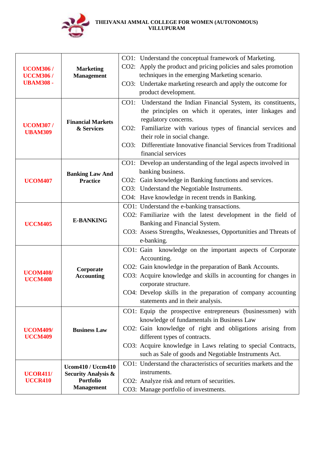

| <b>UCOM306/</b><br><b>UCCM306/</b><br><b>UBAM308 -</b> | <b>Marketing</b><br><b>Management</b>                                                               | CO1: Understand the conceptual framework of Marketing.<br>CO2: Apply the product and pricing policies and sales promotion<br>techniques in the emerging Marketing scenario.<br>CO3: Undertake marketing research and apply the outcome for<br>product development.                                                                                           |
|--------------------------------------------------------|-----------------------------------------------------------------------------------------------------|--------------------------------------------------------------------------------------------------------------------------------------------------------------------------------------------------------------------------------------------------------------------------------------------------------------------------------------------------------------|
| <b>UCOM307/</b><br><b>UBAM309</b>                      | <b>Financial Markets</b><br>& Services                                                              | Understand the Indian Financial System, its constituents,<br>$CO1$ :<br>the principles on which it operates, inter linkages and<br>regulatory concerns.<br>Familiarize with various types of financial services and<br>$CO2$ :<br>their role in social change.<br>Differentiate Innovative financial Services from Traditional<br>CO3:<br>financial services |
| <b>UCOM407</b>                                         | <b>Banking Law And</b><br><b>Practice</b>                                                           | CO1: Develop an understanding of the legal aspects involved in<br>banking business.<br>CO2: Gain knowledge in Banking functions and services.<br>CO3: Understand the Negotiable Instruments.<br>CO4: Have knowledge in recent trends in Banking.                                                                                                             |
| <b>UCCM405</b>                                         | <b>E-BANKING</b>                                                                                    | CO1: Understand the e-banking transactions.<br>CO2: Familiarize with the latest development in the field of<br>Banking and Financial System.<br>CO3: Assess Strengths, Weaknesses, Opportunities and Threats of<br>e-banking.                                                                                                                                |
| <b>UCOM408/</b><br><b>UCCM408</b>                      | Corporate<br><b>Accounting</b>                                                                      | CO1: Gain knowledge on the important aspects of Corporate<br>Accounting.<br>CO2: Gain knowledge in the preparation of Bank Accounts.<br>CO3: Acquire knowledge and skills in accounting for changes in<br>corporate structure.<br>CO4: Develop skills in the preparation of company accounting<br>statements and in their analysis.                          |
| <b>UCOM409/</b><br><b>UCCM409</b>                      | <b>Business Law</b>                                                                                 | CO1: Equip the prospective entrepreneurs (businessmen) with<br>knowledge of fundamentals in Business Law<br>CO2: Gain knowledge of right and obligations arising from<br>different types of contracts.<br>CO3: Acquire knowledge in Laws relating to special Contracts,<br>such as Sale of goods and Negotiable Instruments Act.                             |
| <b>UCOR411/</b><br><b>UCCR410</b>                      | <b>Ucom410 / Uccm410</b><br><b>Security Analysis &amp;</b><br><b>Portfolio</b><br><b>Management</b> | CO1: Understand the characteristics of securities markets and the<br>instruments.<br>CO2: Analyze risk and return of securities.<br>CO3: Manage portfolio of investments.                                                                                                                                                                                    |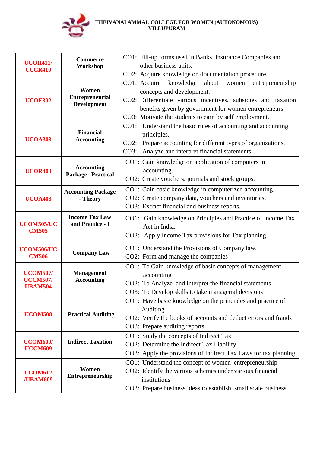

| other business units.<br>Workshop<br><b>UCCR410</b><br>CO2: Acquire knowledge on documentation procedure.<br>CO1: Acquire<br>knowledge<br>about<br>women<br>entrepreneurship<br>Women<br>concepts and development.<br><b>Entrepreneurial</b><br>CO2: Differentiate various incentives, subsidies and taxation<br><b>UCOE302</b><br><b>Development</b><br>benefits given by government for women entrepreneurs.<br>CO3: Motivate the students to earn by self employment.<br>CO1: Understand the basic rules of accounting and accounting<br><b>Financial</b><br>principles.<br><b>UCOA303</b><br><b>Accounting</b><br>CO2: Prepare accounting for different types of organizations.<br>CO3: Analyze and interpret financial statements.<br>CO1: Gain knowledge on application of computers in<br><b>Accounting</b><br>accounting.<br><b>UCOR403</b><br>Package-Practical<br>CO2: Create vouchers, journals and stock groups.<br>CO1: Gain basic knowledge in computerized accounting.<br><b>Accounting Package</b><br>CO2: Create company data, vouchers and inventories.<br><b>UCOA403</b><br>- Theory<br>CO3: Extract financial and business reports.<br><b>Income Tax Law</b><br>CO1: Gain knowledge on Principles and Practice of Income Tax<br>and Practice - I<br>UCOM505/UC<br>Act in India.<br><b>CM505</b><br>CO2: Apply Income Tax provisions for Tax planning<br>CO1: Understand the Provisions of Company law.<br>UCOM506/UC<br><b>Company Law</b><br><b>CM506</b><br>CO2: Form and manage the companies<br>CO1: To Gain knowledge of basic concepts of management<br><b>Management</b><br><b>UCOM507/</b><br>accounting<br><b>UCCM507/</b><br><b>Accounting</b><br>CO2: To Analyze and interpret the financial statements<br><b>UBAM504</b><br>CO3: To Develop skills to take managerial decisions<br>CO1: Have basic knowledge on the principles and practice of<br>Auditing<br><b>UCOM508</b><br><b>Practical Auditing</b><br>CO2: Verify the books of accounts and deduct errors and frauds<br>CO3: Prepare auditing reports<br>CO1: Study the concepts of Indirect Tax<br><b>Indirect Taxation</b><br><b>UCOM609/</b><br>CO2: Determine the Indirect Tax Liability<br><b>UCCM609</b> | <b>UCOR411/</b>                    | <b>Commerce</b> | CO1: Fill-up forms used in Banks, Insurance Companies and       |
|-------------------------------------------------------------------------------------------------------------------------------------------------------------------------------------------------------------------------------------------------------------------------------------------------------------------------------------------------------------------------------------------------------------------------------------------------------------------------------------------------------------------------------------------------------------------------------------------------------------------------------------------------------------------------------------------------------------------------------------------------------------------------------------------------------------------------------------------------------------------------------------------------------------------------------------------------------------------------------------------------------------------------------------------------------------------------------------------------------------------------------------------------------------------------------------------------------------------------------------------------------------------------------------------------------------------------------------------------------------------------------------------------------------------------------------------------------------------------------------------------------------------------------------------------------------------------------------------------------------------------------------------------------------------------------------------------------------------------------------------------------------------------------------------------------------------------------------------------------------------------------------------------------------------------------------------------------------------------------------------------------------------------------------------------------------------------------------------------------------------------------------------------------------------------------------------------------|------------------------------------|-----------------|-----------------------------------------------------------------|
|                                                                                                                                                                                                                                                                                                                                                                                                                                                                                                                                                                                                                                                                                                                                                                                                                                                                                                                                                                                                                                                                                                                                                                                                                                                                                                                                                                                                                                                                                                                                                                                                                                                                                                                                                                                                                                                                                                                                                                                                                                                                                                                                                                                                       |                                    |                 |                                                                 |
|                                                                                                                                                                                                                                                                                                                                                                                                                                                                                                                                                                                                                                                                                                                                                                                                                                                                                                                                                                                                                                                                                                                                                                                                                                                                                                                                                                                                                                                                                                                                                                                                                                                                                                                                                                                                                                                                                                                                                                                                                                                                                                                                                                                                       |                                    |                 |                                                                 |
|                                                                                                                                                                                                                                                                                                                                                                                                                                                                                                                                                                                                                                                                                                                                                                                                                                                                                                                                                                                                                                                                                                                                                                                                                                                                                                                                                                                                                                                                                                                                                                                                                                                                                                                                                                                                                                                                                                                                                                                                                                                                                                                                                                                                       |                                    |                 |                                                                 |
|                                                                                                                                                                                                                                                                                                                                                                                                                                                                                                                                                                                                                                                                                                                                                                                                                                                                                                                                                                                                                                                                                                                                                                                                                                                                                                                                                                                                                                                                                                                                                                                                                                                                                                                                                                                                                                                                                                                                                                                                                                                                                                                                                                                                       |                                    |                 |                                                                 |
|                                                                                                                                                                                                                                                                                                                                                                                                                                                                                                                                                                                                                                                                                                                                                                                                                                                                                                                                                                                                                                                                                                                                                                                                                                                                                                                                                                                                                                                                                                                                                                                                                                                                                                                                                                                                                                                                                                                                                                                                                                                                                                                                                                                                       |                                    |                 |                                                                 |
|                                                                                                                                                                                                                                                                                                                                                                                                                                                                                                                                                                                                                                                                                                                                                                                                                                                                                                                                                                                                                                                                                                                                                                                                                                                                                                                                                                                                                                                                                                                                                                                                                                                                                                                                                                                                                                                                                                                                                                                                                                                                                                                                                                                                       |                                    |                 |                                                                 |
|                                                                                                                                                                                                                                                                                                                                                                                                                                                                                                                                                                                                                                                                                                                                                                                                                                                                                                                                                                                                                                                                                                                                                                                                                                                                                                                                                                                                                                                                                                                                                                                                                                                                                                                                                                                                                                                                                                                                                                                                                                                                                                                                                                                                       |                                    |                 |                                                                 |
|                                                                                                                                                                                                                                                                                                                                                                                                                                                                                                                                                                                                                                                                                                                                                                                                                                                                                                                                                                                                                                                                                                                                                                                                                                                                                                                                                                                                                                                                                                                                                                                                                                                                                                                                                                                                                                                                                                                                                                                                                                                                                                                                                                                                       |                                    |                 |                                                                 |
|                                                                                                                                                                                                                                                                                                                                                                                                                                                                                                                                                                                                                                                                                                                                                                                                                                                                                                                                                                                                                                                                                                                                                                                                                                                                                                                                                                                                                                                                                                                                                                                                                                                                                                                                                                                                                                                                                                                                                                                                                                                                                                                                                                                                       |                                    |                 |                                                                 |
|                                                                                                                                                                                                                                                                                                                                                                                                                                                                                                                                                                                                                                                                                                                                                                                                                                                                                                                                                                                                                                                                                                                                                                                                                                                                                                                                                                                                                                                                                                                                                                                                                                                                                                                                                                                                                                                                                                                                                                                                                                                                                                                                                                                                       |                                    |                 |                                                                 |
|                                                                                                                                                                                                                                                                                                                                                                                                                                                                                                                                                                                                                                                                                                                                                                                                                                                                                                                                                                                                                                                                                                                                                                                                                                                                                                                                                                                                                                                                                                                                                                                                                                                                                                                                                                                                                                                                                                                                                                                                                                                                                                                                                                                                       |                                    |                 |                                                                 |
|                                                                                                                                                                                                                                                                                                                                                                                                                                                                                                                                                                                                                                                                                                                                                                                                                                                                                                                                                                                                                                                                                                                                                                                                                                                                                                                                                                                                                                                                                                                                                                                                                                                                                                                                                                                                                                                                                                                                                                                                                                                                                                                                                                                                       |                                    |                 |                                                                 |
|                                                                                                                                                                                                                                                                                                                                                                                                                                                                                                                                                                                                                                                                                                                                                                                                                                                                                                                                                                                                                                                                                                                                                                                                                                                                                                                                                                                                                                                                                                                                                                                                                                                                                                                                                                                                                                                                                                                                                                                                                                                                                                                                                                                                       |                                    |                 |                                                                 |
|                                                                                                                                                                                                                                                                                                                                                                                                                                                                                                                                                                                                                                                                                                                                                                                                                                                                                                                                                                                                                                                                                                                                                                                                                                                                                                                                                                                                                                                                                                                                                                                                                                                                                                                                                                                                                                                                                                                                                                                                                                                                                                                                                                                                       |                                    |                 |                                                                 |
|                                                                                                                                                                                                                                                                                                                                                                                                                                                                                                                                                                                                                                                                                                                                                                                                                                                                                                                                                                                                                                                                                                                                                                                                                                                                                                                                                                                                                                                                                                                                                                                                                                                                                                                                                                                                                                                                                                                                                                                                                                                                                                                                                                                                       |                                    |                 |                                                                 |
|                                                                                                                                                                                                                                                                                                                                                                                                                                                                                                                                                                                                                                                                                                                                                                                                                                                                                                                                                                                                                                                                                                                                                                                                                                                                                                                                                                                                                                                                                                                                                                                                                                                                                                                                                                                                                                                                                                                                                                                                                                                                                                                                                                                                       |                                    |                 |                                                                 |
|                                                                                                                                                                                                                                                                                                                                                                                                                                                                                                                                                                                                                                                                                                                                                                                                                                                                                                                                                                                                                                                                                                                                                                                                                                                                                                                                                                                                                                                                                                                                                                                                                                                                                                                                                                                                                                                                                                                                                                                                                                                                                                                                                                                                       |                                    |                 |                                                                 |
|                                                                                                                                                                                                                                                                                                                                                                                                                                                                                                                                                                                                                                                                                                                                                                                                                                                                                                                                                                                                                                                                                                                                                                                                                                                                                                                                                                                                                                                                                                                                                                                                                                                                                                                                                                                                                                                                                                                                                                                                                                                                                                                                                                                                       |                                    |                 |                                                                 |
|                                                                                                                                                                                                                                                                                                                                                                                                                                                                                                                                                                                                                                                                                                                                                                                                                                                                                                                                                                                                                                                                                                                                                                                                                                                                                                                                                                                                                                                                                                                                                                                                                                                                                                                                                                                                                                                                                                                                                                                                                                                                                                                                                                                                       |                                    |                 |                                                                 |
|                                                                                                                                                                                                                                                                                                                                                                                                                                                                                                                                                                                                                                                                                                                                                                                                                                                                                                                                                                                                                                                                                                                                                                                                                                                                                                                                                                                                                                                                                                                                                                                                                                                                                                                                                                                                                                                                                                                                                                                                                                                                                                                                                                                                       |                                    |                 |                                                                 |
|                                                                                                                                                                                                                                                                                                                                                                                                                                                                                                                                                                                                                                                                                                                                                                                                                                                                                                                                                                                                                                                                                                                                                                                                                                                                                                                                                                                                                                                                                                                                                                                                                                                                                                                                                                                                                                                                                                                                                                                                                                                                                                                                                                                                       |                                    |                 |                                                                 |
|                                                                                                                                                                                                                                                                                                                                                                                                                                                                                                                                                                                                                                                                                                                                                                                                                                                                                                                                                                                                                                                                                                                                                                                                                                                                                                                                                                                                                                                                                                                                                                                                                                                                                                                                                                                                                                                                                                                                                                                                                                                                                                                                                                                                       |                                    |                 |                                                                 |
|                                                                                                                                                                                                                                                                                                                                                                                                                                                                                                                                                                                                                                                                                                                                                                                                                                                                                                                                                                                                                                                                                                                                                                                                                                                                                                                                                                                                                                                                                                                                                                                                                                                                                                                                                                                                                                                                                                                                                                                                                                                                                                                                                                                                       |                                    |                 |                                                                 |
|                                                                                                                                                                                                                                                                                                                                                                                                                                                                                                                                                                                                                                                                                                                                                                                                                                                                                                                                                                                                                                                                                                                                                                                                                                                                                                                                                                                                                                                                                                                                                                                                                                                                                                                                                                                                                                                                                                                                                                                                                                                                                                                                                                                                       |                                    |                 |                                                                 |
|                                                                                                                                                                                                                                                                                                                                                                                                                                                                                                                                                                                                                                                                                                                                                                                                                                                                                                                                                                                                                                                                                                                                                                                                                                                                                                                                                                                                                                                                                                                                                                                                                                                                                                                                                                                                                                                                                                                                                                                                                                                                                                                                                                                                       |                                    |                 |                                                                 |
|                                                                                                                                                                                                                                                                                                                                                                                                                                                                                                                                                                                                                                                                                                                                                                                                                                                                                                                                                                                                                                                                                                                                                                                                                                                                                                                                                                                                                                                                                                                                                                                                                                                                                                                                                                                                                                                                                                                                                                                                                                                                                                                                                                                                       |                                    |                 |                                                                 |
|                                                                                                                                                                                                                                                                                                                                                                                                                                                                                                                                                                                                                                                                                                                                                                                                                                                                                                                                                                                                                                                                                                                                                                                                                                                                                                                                                                                                                                                                                                                                                                                                                                                                                                                                                                                                                                                                                                                                                                                                                                                                                                                                                                                                       |                                    |                 |                                                                 |
|                                                                                                                                                                                                                                                                                                                                                                                                                                                                                                                                                                                                                                                                                                                                                                                                                                                                                                                                                                                                                                                                                                                                                                                                                                                                                                                                                                                                                                                                                                                                                                                                                                                                                                                                                                                                                                                                                                                                                                                                                                                                                                                                                                                                       |                                    |                 |                                                                 |
|                                                                                                                                                                                                                                                                                                                                                                                                                                                                                                                                                                                                                                                                                                                                                                                                                                                                                                                                                                                                                                                                                                                                                                                                                                                                                                                                                                                                                                                                                                                                                                                                                                                                                                                                                                                                                                                                                                                                                                                                                                                                                                                                                                                                       |                                    |                 |                                                                 |
|                                                                                                                                                                                                                                                                                                                                                                                                                                                                                                                                                                                                                                                                                                                                                                                                                                                                                                                                                                                                                                                                                                                                                                                                                                                                                                                                                                                                                                                                                                                                                                                                                                                                                                                                                                                                                                                                                                                                                                                                                                                                                                                                                                                                       |                                    |                 |                                                                 |
|                                                                                                                                                                                                                                                                                                                                                                                                                                                                                                                                                                                                                                                                                                                                                                                                                                                                                                                                                                                                                                                                                                                                                                                                                                                                                                                                                                                                                                                                                                                                                                                                                                                                                                                                                                                                                                                                                                                                                                                                                                                                                                                                                                                                       |                                    |                 |                                                                 |
|                                                                                                                                                                                                                                                                                                                                                                                                                                                                                                                                                                                                                                                                                                                                                                                                                                                                                                                                                                                                                                                                                                                                                                                                                                                                                                                                                                                                                                                                                                                                                                                                                                                                                                                                                                                                                                                                                                                                                                                                                                                                                                                                                                                                       |                                    |                 |                                                                 |
|                                                                                                                                                                                                                                                                                                                                                                                                                                                                                                                                                                                                                                                                                                                                                                                                                                                                                                                                                                                                                                                                                                                                                                                                                                                                                                                                                                                                                                                                                                                                                                                                                                                                                                                                                                                                                                                                                                                                                                                                                                                                                                                                                                                                       |                                    |                 | CO3: Apply the provisions of Indirect Tax Laws for tax planning |
| CO1: Understand the concept of women entrepreneurship                                                                                                                                                                                                                                                                                                                                                                                                                                                                                                                                                                                                                                                                                                                                                                                                                                                                                                                                                                                                                                                                                                                                                                                                                                                                                                                                                                                                                                                                                                                                                                                                                                                                                                                                                                                                                                                                                                                                                                                                                                                                                                                                                 |                                    |                 |                                                                 |
| Women<br>CO2: Identify the various schemes under various financial                                                                                                                                                                                                                                                                                                                                                                                                                                                                                                                                                                                                                                                                                                                                                                                                                                                                                                                                                                                                                                                                                                                                                                                                                                                                                                                                                                                                                                                                                                                                                                                                                                                                                                                                                                                                                                                                                                                                                                                                                                                                                                                                    | <b>UCOM612</b><br>/ <b>UBAM609</b> |                 |                                                                 |
| Entrepreneurship<br>institutions                                                                                                                                                                                                                                                                                                                                                                                                                                                                                                                                                                                                                                                                                                                                                                                                                                                                                                                                                                                                                                                                                                                                                                                                                                                                                                                                                                                                                                                                                                                                                                                                                                                                                                                                                                                                                                                                                                                                                                                                                                                                                                                                                                      |                                    |                 |                                                                 |
| CO3: Prepare business ideas to establish small scale business                                                                                                                                                                                                                                                                                                                                                                                                                                                                                                                                                                                                                                                                                                                                                                                                                                                                                                                                                                                                                                                                                                                                                                                                                                                                                                                                                                                                                                                                                                                                                                                                                                                                                                                                                                                                                                                                                                                                                                                                                                                                                                                                         |                                    |                 |                                                                 |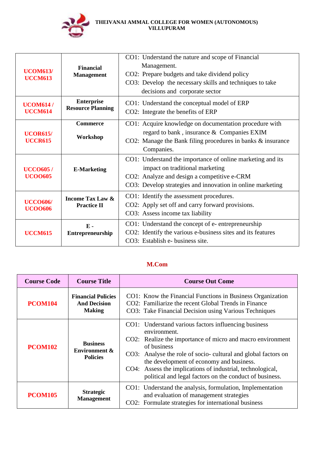

| <b>UCOM613/</b><br><b>UCCM613</b> | <b>Financial</b><br><b>Management</b>             | CO1: Understand the nature and scope of Financial<br>Management.<br>CO2: Prepare budgets and take dividend policy<br>CO3: Develop the necessary skills and techniques to take<br>decisions and corporate sector |
|-----------------------------------|---------------------------------------------------|-----------------------------------------------------------------------------------------------------------------------------------------------------------------------------------------------------------------|
| <b>UCOM614/</b><br><b>UCCM614</b> | <b>Enterprise</b><br><b>Resource Planning</b>     | CO1: Understand the conceptual model of ERP<br>CO2: Integrate the benefits of ERP                                                                                                                               |
| <b>UCOR615/</b><br><b>UCCR615</b> | <b>Commerce</b><br>Workshop                       | CO1: Acquire knowledge on documentation procedure with<br>regard to bank, insurance & Companies EXIM<br>CO2: Manage the Bank filing procedures in banks & insurance<br>Companies.                               |
| <b>UCCO605/</b><br><b>UCO0605</b> | <b>E-Marketing</b>                                | CO1: Understand the importance of online marketing and its<br>impact on traditional marketing<br>CO2: Analyze and design a competitive e-CRM<br>CO3: Develop strategies and innovation in online marketing      |
| <b>UCCO606/</b><br><b>UCOO606</b> | <b>Income Tax Law &amp;</b><br><b>Practice II</b> | CO1: Identify the assessment procedures.<br>CO2: Apply set off and carry forward provisions.<br>CO3: Assess income tax liability                                                                                |
| <b>UCCM615</b>                    | $\mathbf{F}$ .<br>Entrepreneurship                | CO1: Understand the concept of e-entrepreneurship<br>CO2: Identify the various e-business sites and its features<br>CO3: Establish e- business site.                                                            |

# **M.Com**

| <b>Course Code</b> | <b>Course Title</b>                                               | <b>Course Out Come</b>                                                                                                                                                                                                                                                                                                                                                                  |
|--------------------|-------------------------------------------------------------------|-----------------------------------------------------------------------------------------------------------------------------------------------------------------------------------------------------------------------------------------------------------------------------------------------------------------------------------------------------------------------------------------|
| <b>PCOM104</b>     | <b>Financial Policies</b><br><b>And Decision</b><br><b>Making</b> | CO1: Know the Financial Functions in Business Organization<br>CO2: Familiarize the recent Global Trends in Finance<br>CO3: Take Financial Decision using Various Techniques                                                                                                                                                                                                             |
| <b>PCOM102</b>     | <b>Business</b><br>Environment &<br><b>Policies</b>               | CO1: Understand various factors influencing business<br>environment.<br>CO2: Realize the importance of micro and macro environment<br>of business<br>CO3: Analyse the role of socio-cultural and global factors on<br>the development of economy and business.<br>CO4: Assess the implications of industrial, technological,<br>political and legal factors on the conduct of business. |
| <b>PCOM105</b>     | <b>Strategic</b><br><b>Management</b>                             | CO1: Understand the analysis, formulation, Implementation<br>and evaluation of management strategies<br>CO2: Formulate strategies for international business                                                                                                                                                                                                                            |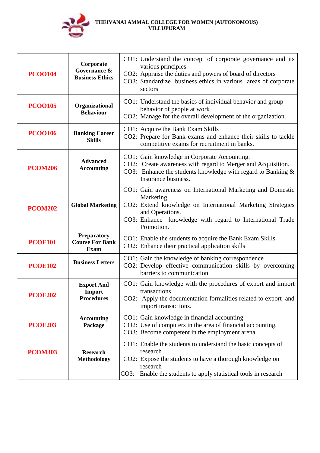

| <b>PCOO104</b> | Corporate<br>Governance &<br><b>Business Ethics</b>         | CO1: Understand the concept of corporate governance and its<br>various principles<br>CO2: Appraise the duties and powers of board of directors<br>CO3: Standardize business ethics in various areas of corporate<br>sectors            |
|----------------|-------------------------------------------------------------|----------------------------------------------------------------------------------------------------------------------------------------------------------------------------------------------------------------------------------------|
| <b>PCOO105</b> | Organizational<br><b>Behaviour</b>                          | CO1: Understand the basics of individual behavior and group<br>behavior of people at work<br>CO2: Manage for the overall development of the organization.                                                                              |
| <b>PCOO106</b> | <b>Banking Career</b><br><b>Skills</b>                      | CO1: Acquire the Bank Exam Skills<br>CO2: Prepare for Bank exams and enhance their skills to tackle<br>competitive exams for recruitment in banks.                                                                                     |
| <b>PCOM206</b> | <b>Advanced</b><br><b>Accounting</b>                        | CO1: Gain knowledge in Corporate Accounting.<br>CO2: Create awareness with regard to Merger and Acquisition.<br>CO3: Enhance the students knowledge with regard to Banking $\&$<br>Insurance business.                                 |
| <b>PCOM202</b> | <b>Global Marketing</b>                                     | CO1: Gain awareness on International Marketing and Domestic<br>Marketing.<br>CO2: Extend knowledge on International Marketing Strategies<br>and Operations.<br>CO3: Enhance knowledge with regard to International Trade<br>Promotion. |
| <b>PCOE101</b> | <b>Preparatory</b><br><b>Course For Bank</b><br><b>Exam</b> | CO1: Enable the students to acquire the Bank Exam Skills<br>CO2: Enhance their practical application skills                                                                                                                            |
| <b>PCOE102</b> | <b>Business Letters</b>                                     | CO1: Gain the knowledge of banking correspondence<br>CO2: Develop effective communication skills by overcoming<br>barriers to communication                                                                                            |
| <b>PCOE202</b> | <b>Export And</b><br>Import<br><b>Procedures</b>            | CO1: Gain knowledge with the procedures of export and import<br>transactions<br>CO2: Apply the documentation formalities related to export and<br>import transactions.                                                                 |
| <b>PCOE203</b> | <b>Accounting</b><br>Package                                | CO1: Gain knowledge in financial accounting<br>CO2: Use of computers in the area of financial accounting.<br>CO3: Become competent in the employment arena                                                                             |
| <b>PCOM303</b> | <b>Research</b><br><b>Methodology</b>                       | CO1: Enable the students to understand the basic concepts of<br>research<br>CO2: Expose the students to have a thorough knowledge on<br>research<br>Enable the students to apply statistical tools in research<br>CO3:                 |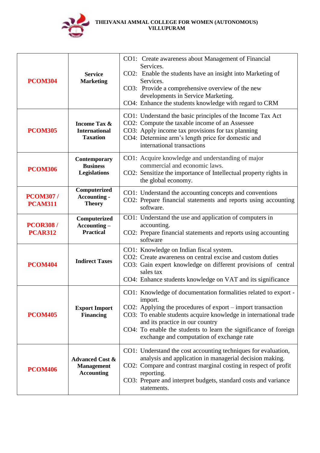

| <b>PCOM304</b>                    | <b>Service</b><br><b>Marketing</b>                                   | CO1: Create awareness about Management of Financial<br>Services.<br>CO2: Enable the students have an insight into Marketing of<br>Services.<br>CO3: Provide a comprehensive overview of the new<br>developments in Service Marketing.<br>CO4: Enhance the students knowledge with regard to CRM                                                                   |
|-----------------------------------|----------------------------------------------------------------------|-------------------------------------------------------------------------------------------------------------------------------------------------------------------------------------------------------------------------------------------------------------------------------------------------------------------------------------------------------------------|
| <b>PCOM305</b>                    | <b>Income Tax &amp;</b><br><b>International</b><br><b>Taxation</b>   | CO1: Understand the basic principles of the Income Tax Act<br>CO2: Compute the taxable income of an Assessee<br>CO3: Apply income tax provisions for tax planning<br>CO4: Determine arm's length price for domestic and<br>international transactions                                                                                                             |
| <b>PCOM306</b>                    | Contemporary<br><b>Business</b><br>Legislations                      | CO1: Acquire knowledge and understanding of major<br>commercial and economic laws.<br>CO2: Sensitize the importance of Intellectual property rights in<br>the global economy.                                                                                                                                                                                     |
| <b>PCOM307/</b><br><b>PCAM311</b> | Computerized<br><b>Accounting -</b><br><b>Theory</b>                 | CO1: Understand the accounting concepts and conventions<br>CO2: Prepare financial statements and reports using accounting<br>software.                                                                                                                                                                                                                            |
| <b>PCOR308/</b><br><b>PCAR312</b> | Computerized<br>$Accounting -$<br><b>Practical</b>                   | CO1: Understand the use and application of computers in<br>accounting.<br>CO2: Prepare financial statements and reports using accounting<br>software                                                                                                                                                                                                              |
| <b>PCOM404</b>                    | <b>Indirect Taxes</b>                                                | CO1: Knowledge on Indian fiscal system.<br>CO2: Create awareness on central excise and custom duties<br>CO3: Gain expert knowledge on different provisions of central<br>sales tax<br>CO4: Enhance students knowledge on VAT and its significance                                                                                                                 |
| <b>PCOM405</b>                    | <b>Export Import</b><br><b>Financing</b>                             | CO1: Knowledge of documentation formalities related to export -<br>import.<br>CO2: Applying the procedures of export – import transaction<br>CO3: To enable students acquire knowledge in international trade<br>and its practice in our country<br>CO4: To enable the students to learn the significance of foreign<br>exchange and computation of exchange rate |
| <b>PCOM406</b>                    | <b>Advanced Cost &amp;</b><br><b>Management</b><br><b>Accounting</b> | CO1: Understand the cost accounting techniques for evaluation,<br>analysis and application in managerial decision making.<br>CO2: Compare and contrast marginal costing in respect of profit<br>reporting.<br>CO3: Prepare and interpret budgets, standard costs and variance<br>statements.                                                                      |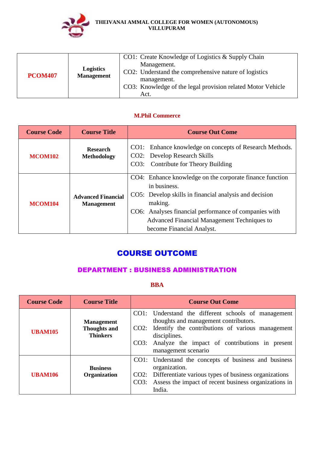

| <b>Logistics</b><br><b>Management</b><br><b>PCOM407</b> | CO1: Create Knowledge of Logistics & Supply Chain<br>Management.<br>CO2: Understand the comprehensive nature of logistics<br>management.<br>CO3: Knowledge of the legal provision related Motor Vehicle<br>Act. |
|---------------------------------------------------------|-----------------------------------------------------------------------------------------------------------------------------------------------------------------------------------------------------------------|
|---------------------------------------------------------|-----------------------------------------------------------------------------------------------------------------------------------------------------------------------------------------------------------------|

### **M.Phil Commerce**

| <b>Course Code</b> | <b>Course Title</b>                            | <b>Course Out Come</b>                                                                                                                                                                                                                                                             |
|--------------------|------------------------------------------------|------------------------------------------------------------------------------------------------------------------------------------------------------------------------------------------------------------------------------------------------------------------------------------|
| <b>MCOM102</b>     | <b>Research</b><br><b>Methodology</b>          | CO1: Enhance knowledge on concepts of Research Methods.<br>CO2: Develop Research Skills<br>CO3: Contribute for Theory Building                                                                                                                                                     |
| <b>MCOM104</b>     | <b>Advanced Financial</b><br><b>Management</b> | CO4: Enhance knowledge on the corporate finance function<br>in business.<br>CO5: Develop skills in financial analysis and decision<br>making.<br>CO6: Analyses financial performance of companies with<br>Advanced Financial Management Techniques to<br>become Financial Analyst. |

# COURSE OUTCOME

## DEPARTMENT : BUSINESS ADMINISTRATION

## **BBA**

| <b>Course Code</b> | <b>Course Title</b>                                         | <b>Course Out Come</b>                                                                                                                                                                                                                              |
|--------------------|-------------------------------------------------------------|-----------------------------------------------------------------------------------------------------------------------------------------------------------------------------------------------------------------------------------------------------|
| <b>UBAM105</b>     | <b>Management</b><br><b>Thoughts and</b><br><b>Thinkers</b> | CO1: Understand the different schools of management<br>thoughts and management contributors.<br>CO2: Identify the contributions of various management<br>disciplines.<br>CO3: Analyze the impact of contributions in present<br>management scenario |
| <b>UBAM106</b>     | <b>Business</b><br><b>Organization</b>                      | CO1: Understand the concepts of business and business<br>organization.<br>CO2: Differentiate various types of business organizations<br>Assess the impact of recent business organizations in<br>CO3:<br>India.                                     |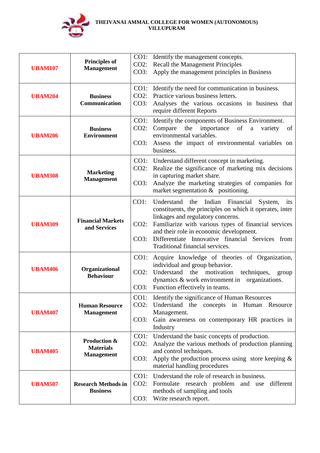

| <b>UBAM107</b> | <b>Principles of</b><br><b>Management</b>             | $CO2$ :<br>CO3:            | CO1: Identify the management concepts.<br><b>Recall the Management Principles</b><br>Apply the management principles in Business                                                                                                                                                                                                                      |
|----------------|-------------------------------------------------------|----------------------------|-------------------------------------------------------------------------------------------------------------------------------------------------------------------------------------------------------------------------------------------------------------------------------------------------------------------------------------------------------|
| <b>UBAM204</b> | <b>Business</b><br>Communication                      | CO1:<br>$CO2$ :<br>CO3:    | Identify the need for communication in business.<br>Practice various business letters.<br>Analyses the various occasions in business that<br>require different Reports                                                                                                                                                                                |
| <b>UBAM206</b> | <b>Business</b><br><b>Environment</b>                 | $CO1$ :<br>$CO2$ :<br>CO3: | Identify the components of Business Environment.<br>the importance of a<br>Compare<br>variety<br>of<br>environmental variables.<br>Assess the impact of environmental variables on<br>business.                                                                                                                                                       |
| <b>UBAM308</b> | <b>Marketing</b><br><b>Management</b>                 | $CO2$ :<br>CO3:            | CO1: Understand different concept in marketing.<br>Realize the significance of marketing mix decisions<br>in capturing market share.<br>Analyze the marketing strategies of companies for<br>market segmentation $\&$ positioning.                                                                                                                    |
| <b>UBAM309</b> | <b>Financial Markets</b><br>and Services              | $CO1$ :<br>$CO2$ :<br>CO3: | Financial<br>Indian<br>Understand<br>the<br>System,<br>its<br>constituents, the principles on which it operates, inter<br>linkages and regulatory concerns.<br>Familiarize with various types of financial services<br>and their role in economic development.<br>Differentiate Innovative financial Services from<br>Traditional financial services. |
| <b>UBAM406</b> | Organizational<br><b>Behaviour</b>                    | CO1:<br>$CO2$ :<br>CO3:    | Acquire knowledge of theories of Organization,<br>individual and group behavior.<br>Understand<br>the<br>motivation<br>techniques,<br>group<br>dynamics $\&$ work environment in organizations.<br>Function effectively in teams.                                                                                                                     |
| <b>UBAM407</b> | <b>Human Resource</b><br><b>Management</b>            | CO1:<br>$CO2$ :<br>CO3:    | Identify the significance of Human Resources<br>Understand the concepts in Human Resource<br>Management.<br>Gain awareness on contemporary HR practices in<br>Industry                                                                                                                                                                                |
| <b>UBAM405</b> | Production &<br><b>Materials</b><br><b>Management</b> | $CO1$ :<br>$CO2$ :<br>CO3: | Understand the basic concepts of production.<br>Analyze the various methods of production planning<br>and control techniques.<br>Apply the production process using store keeping $\&$<br>material handling procedures                                                                                                                                |
| <b>UBAM507</b> | <b>Research Methods in</b><br><b>Business</b>         | CO1:<br>$CO2$ :<br>CO3:    | Understand the role of research in business.<br>Formulate research problem and use<br>different<br>methods of sampling and tools<br>Write research report.                                                                                                                                                                                            |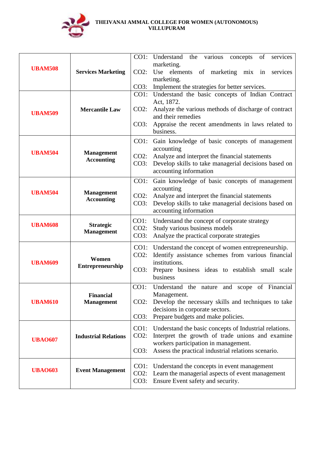

|                |                                        |                 | CO1: Understand the various concepts of<br>services<br>marketing.                                            |
|----------------|----------------------------------------|-----------------|--------------------------------------------------------------------------------------------------------------|
| <b>UBAM508</b> | <b>Services Marketing</b>              | $CO2$ :         | Use elements of marketing mix in<br>services<br>marketing.                                                   |
|                |                                        | CO3:            | Implement the strategies for better services.                                                                |
|                |                                        |                 | CO1: Understand the basic concepts of Indian Contract                                                        |
|                | <b>Mercantile Law</b>                  | $CO2$ :         | Act, 1872.<br>Analyze the various methods of discharge of contract                                           |
| <b>UBAM509</b> |                                        |                 | and their remedies                                                                                           |
|                |                                        | CO3:            | Appraise the recent amendments in laws related to<br>business.                                               |
|                |                                        | CO1:            | Gain knowledge of basic concepts of management                                                               |
| <b>UBAM504</b> | <b>Management</b>                      | $CO2$ :         | accounting<br>Analyze and interpret the financial statements                                                 |
|                | <b>Accounting</b>                      | CO3:            | Develop skills to take managerial decisions based on                                                         |
|                |                                        |                 | accounting information                                                                                       |
|                | <b>Management</b><br><b>Accounting</b> | CO1:            | Gain knowledge of basic concepts of management<br>accounting                                                 |
| <b>UBAM504</b> |                                        | $CO2$ :         | Analyze and interpret the financial statements                                                               |
|                |                                        | CO3:            | Develop skills to take managerial decisions based on<br>accounting information                               |
| <b>UBAM608</b> | <b>Strategic</b>                       | CO1:            | Understand the concept of corporate strategy                                                                 |
|                | <b>Management</b>                      | $CO2$ :<br>CO3: | Study various business models<br>Analyze the practical corporate strategies                                  |
|                |                                        |                 |                                                                                                              |
|                | Women<br><b>Entrepreneurship</b>       | $CO2$ :         | CO1: Understand the concept of women entrepreneurship.<br>Identify assistance schemes from various financial |
| <b>UBAM609</b> |                                        |                 | institutions.                                                                                                |
|                |                                        | CO3:            | Prepare business ideas to establish small scale<br>business                                                  |
|                |                                        | $CO1$ :         | Understand the nature and scope of Financial                                                                 |
| <b>UBAM610</b> | <b>Financial</b><br><b>Management</b>  | $CO2$ :         | Management.<br>Develop the necessary skills and techniques to take                                           |
|                |                                        |                 | decisions in corporate sectors.                                                                              |
|                |                                        | CO3:            | Prepare budgets and make policies.                                                                           |
|                | <b>Industrial Relations</b>            | CO1:<br>$CO2$ : | Understand the basic concepts of Industrial relations.<br>Interpret the growth of trade unions and examine   |
| <b>UBA0607</b> |                                        |                 | workers participation in management.                                                                         |
|                |                                        | CO3:            | Assess the practical industrial relations scenario.                                                          |
| <b>UBA0603</b> | <b>Event Management</b>                | CO1:            | Understand the concepts in event management                                                                  |
|                |                                        | $CO2$ :<br>CO3: | Learn the managerial aspects of event management<br>Ensure Event safety and security.                        |
|                |                                        |                 |                                                                                                              |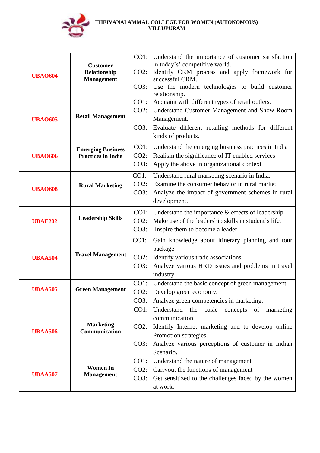

| <b>UBAO604</b> | <b>Customer</b><br>Relationship<br><b>Management</b>  | $CO2$ :                    | CO1: Understand the importance of customer satisfaction<br>in today's' competitive world.<br>Identify CRM process and apply framework for<br>successful CRM.                                                            |
|----------------|-------------------------------------------------------|----------------------------|-------------------------------------------------------------------------------------------------------------------------------------------------------------------------------------------------------------------------|
|                |                                                       | CO3:                       | Use the modern technologies to build customer<br>relationship.                                                                                                                                                          |
| <b>UBAO605</b> | <b>Retail Management</b>                              | CO1:<br>$CO2$ :            | Acquaint with different types of retail outlets.<br>Understand Customer Management and Show Room<br>Management.                                                                                                         |
|                |                                                       | CO3:                       | Evaluate different retailing methods for different<br>kinds of products.                                                                                                                                                |
| <b>UBAO606</b> | <b>Emerging Business</b><br><b>Practices in India</b> | CO1:<br>$CO2$ :<br>CO3:    | Understand the emerging business practices in India<br>Realism the significance of IT enabled services<br>Apply the above in organizational context                                                                     |
| <b>UBAO608</b> | <b>Rural Marketing</b>                                | CO1:<br>$CO2$ :<br>CO3:    | Understand rural marketing scenario in India.<br>Examine the consumer behavior in rural market.<br>Analyze the impact of government schemes in rural<br>development.                                                    |
| <b>UBAE202</b> | <b>Leadership Skills</b>                              | $CO1$ :<br>$CO2$ :<br>CO3: | Understand the importance & effects of leadership.<br>Make use of the leadership skills in student's life.<br>Inspire them to become a leader.                                                                          |
| <b>UBAA504</b> | <b>Travel Management</b>                              | CO1:<br>$CO2$ :<br>CO3:    | Gain knowledge about itinerary planning and tour<br>package<br>Identify various trade associations.<br>Analyze various HRD issues and problems in travel<br>industry                                                    |
| <b>UBAA505</b> | <b>Green Management</b>                               | CO1:<br>$CO2$ :<br>CO3:    | Understand the basic concept of green management.<br>Develop green economy.<br>Analyze green competencies in marketing.                                                                                                 |
| <b>UBAA506</b> | <b>Marketing</b><br>Communication                     | CO1:<br>$CO2$ :<br>CO3:    | Understand the<br>basic<br>of<br>concepts<br>marketing<br>communication<br>Identify Internet marketing and to develop online<br>Promotion strategies.<br>Analyze various perceptions of customer in Indian<br>Scenario. |
| <b>UBAA507</b> | <b>Women In</b><br><b>Management</b>                  | CO1:<br>$CO2$ :<br>CO3:    | Understand the nature of management<br>Carryout the functions of management<br>Get sensitized to the challenges faced by the women<br>at work.                                                                          |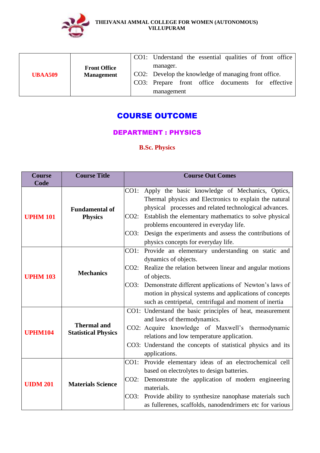

| <b>Front Office</b><br><b>UBAA509</b><br><b>Management</b> |                                                      |            |  |  | CO1: Understand the essential qualities of front office |
|------------------------------------------------------------|------------------------------------------------------|------------|--|--|---------------------------------------------------------|
|                                                            |                                                      | manager.   |  |  |                                                         |
|                                                            | CO2: Develop the knowledge of managing front office. |            |  |  |                                                         |
|                                                            |                                                      |            |  |  | CO3: Prepare front office documents for effective       |
|                                                            |                                                      | management |  |  |                                                         |

# COURSE OUTCOME

# DEPARTMENT : PHYSICS

**B.Sc. Physics**

| <b>Course</b>   | <b>Course Title</b>                              | <b>Course Out Comes</b>                                         |
|-----------------|--------------------------------------------------|-----------------------------------------------------------------|
| Code            |                                                  |                                                                 |
|                 |                                                  | Apply the basic knowledge of Mechanics, Optics,<br>CO1:         |
|                 |                                                  | Thermal physics and Electronics to explain the natural          |
|                 | <b>Fundamental of</b>                            | physical processes and related technological advances.          |
| <b>UPHM 101</b> | <b>Physics</b>                                   | Establish the elementary mathematics to solve physical<br>CO2:  |
|                 |                                                  | problems encountered in everyday life.                          |
|                 |                                                  | Design the experiments and assess the contributions of<br>CO3:  |
|                 |                                                  | physics concepts for everyday life.                             |
|                 |                                                  | CO1:<br>Provide an elementary understanding on static and       |
|                 |                                                  | dynamics of objects.                                            |
|                 |                                                  | Realize the relation between linear and angular motions<br>CO2: |
| <b>UPHM 103</b> | <b>Mechanics</b>                                 | of objects.                                                     |
|                 |                                                  | Demonstrate different applications of Newton's laws of<br>CO3:  |
|                 |                                                  | motion in physical systems and applications of concepts         |
|                 |                                                  | such as centripetal, centrifugal and moment of inertia          |
|                 |                                                  | CO1: Understand the basic principles of heat, measurement       |
|                 | <b>Thermal and</b><br><b>Statistical Physics</b> | and laws of thermodynamics.                                     |
|                 |                                                  | CO2: Acquire knowledge of Maxwell's thermodynamic               |
| <b>UPHM104</b>  |                                                  | relations and low temperature application.                      |
|                 |                                                  | CO3: Understand the concepts of statistical physics and its     |
|                 |                                                  | applications.                                                   |
|                 |                                                  | Provide elementary ideas of an electrochemical cell<br>CO1:     |
| <b>UIDM 201</b> |                                                  | based on electrolytes to design batteries.                      |
|                 |                                                  | Demonstrate the application of modern engineering<br>$CO2$ :    |
|                 | <b>Materials Science</b>                         | materials.                                                      |
|                 |                                                  |                                                                 |
|                 |                                                  | Provide ability to synthesize nanophase materials such<br>CO3:  |
|                 |                                                  | as fullerenes, scaffolds, nanodendrimers etc for various        |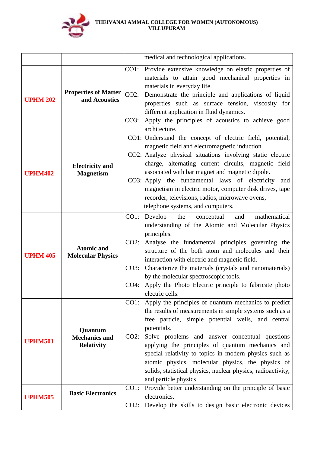

|                 |                                                      |                                 | medical and technological applications.                                                                                                                                                                                                                                                                                                                                                                                                                                                           |
|-----------------|------------------------------------------------------|---------------------------------|---------------------------------------------------------------------------------------------------------------------------------------------------------------------------------------------------------------------------------------------------------------------------------------------------------------------------------------------------------------------------------------------------------------------------------------------------------------------------------------------------|
|                 |                                                      |                                 |                                                                                                                                                                                                                                                                                                                                                                                                                                                                                                   |
| <b>UPHM 202</b> | <b>Properties of Matter</b><br>and Acoustics         | CO1:<br>$CO2$ :<br>CO3:         | Provide extensive knowledge on elastic properties of<br>materials to attain good mechanical properties in<br>materials in everyday life.<br>Demonstrate the principle and applications of liquid<br>properties such as surface tension, viscosity for<br>different application in fluid dynamics.<br>Apply the principles of acoustics to achieve good<br>architecture.                                                                                                                           |
| <b>UPHM402</b>  | <b>Electricity</b> and<br><b>Magnetism</b>           |                                 | CO1: Understand the concept of electric field, potential,<br>magnetic field and electromagnetic induction.<br>CO2: Analyze physical situations involving static electric<br>charge, alternating current circuits, magnetic field<br>associated with bar magnet and magnetic dipole.<br>CO3: Apply the fundamental laws of electricity<br>and<br>magnetism in electric motor, computer disk drives, tape<br>recorder, televisions, radios, microwave ovens,<br>telephone systems, and computers.   |
| <b>UPHM 405</b> | <b>Atomic and</b><br><b>Molecular Physics</b>        | $CO1$ :<br>CO2:<br>CO3:<br>CO4: | Develop<br>the<br>conceptual<br>and<br>mathematical<br>understanding of the Atomic and Molecular Physics<br>principles.<br>Analyse the fundamental principles governing the<br>structure of the both atom and molecules and their<br>interaction with electric and magnetic field.<br>Characterize the materials (crystals and nanomaterials)<br>by the molecular spectroscopic tools.<br>Apply the Photo Electric principle to fabricate photo<br>electric cells.                                |
| <b>UPHM501</b>  | Quantum<br><b>Mechanics and</b><br><b>Relativity</b> | CO1:<br>CO2:                    | Apply the principles of quantum mechanics to predict<br>the results of measurements in simple systems such as a<br>free particle, simple potential wells, and central<br>potentials.<br>Solve problems and answer conceptual questions<br>applying the principles of quantum mechanics and<br>special relativity to topics in modern physics such as<br>atomic physics, molecular physics, the physics of<br>solids, statistical physics, nuclear physics, radioactivity,<br>and particle physics |
| <b>UPHM505</b>  | <b>Basic Electronics</b>                             | CO1:                            | Provide better understanding on the principle of basic<br>electronics.<br>CO2: Develop the skills to design basic electronic devices                                                                                                                                                                                                                                                                                                                                                              |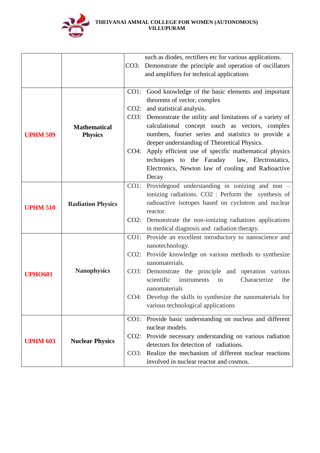

|                 |                          |      | such as diodes, rectifiers etc for various applications.     |
|-----------------|--------------------------|------|--------------------------------------------------------------|
|                 |                          | CO3: | Demonstrate the principle and operation of oscillators       |
|                 |                          |      | and amplifiers for technical applications                    |
|                 |                          |      |                                                              |
|                 |                          |      | CO1: Good knowledge of the basic elements and important      |
|                 |                          |      | theorems of vector, complex                                  |
|                 |                          | CO2: | and statistical analysis.                                    |
|                 |                          |      | CO3: Demonstrate the utility and limitations of a variety of |
|                 | <b>Mathematical</b>      |      | calculational concept ssuch as vectors, complex              |
| <b>UPHM 509</b> | <b>Physics</b>           |      | numbers, fourier series and statistics to provide a          |
|                 |                          |      | deeper understanding of Theoretical Physics.                 |
|                 |                          | CO4: | Apply efficient use of specific mathematical physics         |
|                 |                          |      | techniques to the Faraday law, Electrostatics,               |
|                 |                          |      | Electronics, Newton law of cooling and Radioactive           |
|                 |                          |      | Decay                                                        |
|                 |                          |      | CO1: Providegood understanding in ionizing and non $-$       |
| <b>UPHM 510</b> | <b>Radiation Physics</b> |      | ionizing radiations. CO2 : Perform the synthesis of          |
|                 |                          |      | radioactive isotopes based on cyclotron and nuclear          |
|                 |                          |      | reactor.                                                     |
|                 |                          |      | CO2: Demonstrate the non-ionizing radiations applications    |
|                 |                          |      | in medical diagnosis and radiation therapy.                  |
|                 |                          |      | CO1: Provide an excellent introductory to nanoscience and    |
|                 |                          |      | nanotechnology.                                              |
|                 |                          |      | CO2: Provide knowledge on various methods to synthesize      |
|                 |                          |      | nanomaterials.                                               |
| <b>UPHO601</b>  | <b>Nanophysics</b>       |      | CO3: Demonstrate the principle and operation various         |
|                 |                          |      | scientific<br>instruments<br>Characterize<br>to<br>the       |
|                 |                          |      | nanomaterials                                                |
|                 |                          |      | CO4: Develop the skills to synthesize the nanomaterials for  |
|                 |                          |      | various technological applications                           |
|                 |                          | CO1: | Provide basic understanding on nucleus and different         |
|                 |                          |      | nuclear models.                                              |
|                 |                          | CO2: | Provide necessary understanding on various radiation         |
| <b>UPHM 603</b> | <b>Nuclear Physics</b>   |      | detectors for detection of radiations.                       |
|                 |                          | CO3: | Realize the mechanism of different nuclear reactions         |
|                 |                          |      | involved in nuclear reactor and cosmos.                      |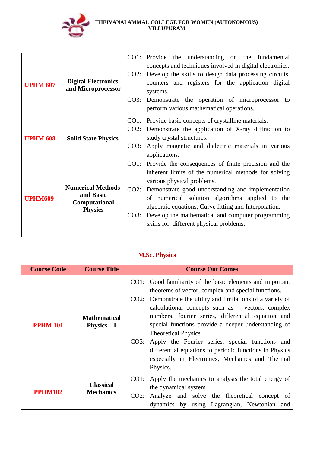

| <b>UPHM 607</b> | <b>Digital Electronics</b><br>and Microprocessor                         | CO2:<br>CO3:            | CO1: Provide the understanding on the fundamental<br>concepts and techniques involved in digital electronics.<br>Develop the skills to design data processing circuits,<br>counters and registers for the application digital<br>systems.<br>Demonstrate the operation of microprocessor to<br>perform various mathematical operations.                                                                     |
|-----------------|--------------------------------------------------------------------------|-------------------------|-------------------------------------------------------------------------------------------------------------------------------------------------------------------------------------------------------------------------------------------------------------------------------------------------------------------------------------------------------------------------------------------------------------|
| <b>UPHM 608</b> | <b>Solid State Physics</b>                                               | CO3:                    | CO1: Provide basic concepts of crystalline materials.<br>CO2: Demonstrate the application of X-ray diffraction to<br>study crystal structures.<br>Apply magnetic and dielectric materials in various<br>applications.                                                                                                                                                                                       |
| <b>UPHM609</b>  | <b>Numerical Methods</b><br>and Basic<br>Computational<br><b>Physics</b> | CO1:<br>$CO2$ :<br>CO3: | Provide the consequences of finite precision and the<br>inherent limits of the numerical methods for solving<br>various physical problems.<br>Demonstrate good understanding and implementation<br>of numerical solution algorithms applied to the<br>algebraic equations, Curve fitting and Interpolation.<br>Develop the mathematical and computer programming<br>skills for different physical problems. |

# **M.Sc. Physics**

| <b>Course Code</b> | <b>Course Title</b>                  | <b>Course Out Comes</b>                                                                                                                                                                                                                                                                                                                                                                                                                                                                                                                                    |
|--------------------|--------------------------------------|------------------------------------------------------------------------------------------------------------------------------------------------------------------------------------------------------------------------------------------------------------------------------------------------------------------------------------------------------------------------------------------------------------------------------------------------------------------------------------------------------------------------------------------------------------|
| <b>PPHM 101</b>    | <b>Mathematical</b><br>Physics $-I$  | CO1: Good familiarity of the basic elements and important<br>theorems of vector, complex and special functions.<br>CO2: Demonstrate the utility and limitations of a variety of<br>calculational concepts such as vectors, complex<br>numbers, fourier series, differential equation and<br>special functions provide a deeper understanding of<br>Theoretical Physics.<br>CO3: Apply the Fourier series, special functions and<br>differential equations to periodic functions in Physics<br>especially in Electronics, Mechanics and Thermal<br>Physics. |
| <b>PPHM102</b>     | <b>Classical</b><br><b>Mechanics</b> | CO1: Apply the mechanics to analysis the total energy of<br>the dynamical system<br>Analyze and solve the theoretical concept of<br>CO2:<br>dynamics by using Lagrangian, Newtonian and                                                                                                                                                                                                                                                                                                                                                                    |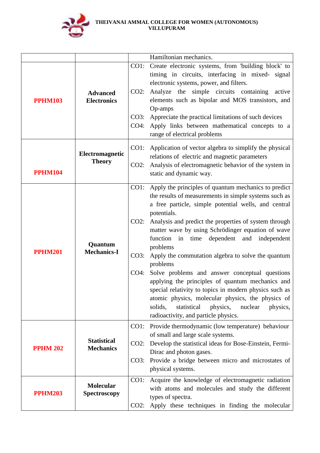

|                 |                                         |                      | Hamiltonian mechanics.                                                                                                                                                                                                                                                                                                                                                                                                                                                                                                                                                                                                                                                                                                                                           |
|-----------------|-----------------------------------------|----------------------|------------------------------------------------------------------------------------------------------------------------------------------------------------------------------------------------------------------------------------------------------------------------------------------------------------------------------------------------------------------------------------------------------------------------------------------------------------------------------------------------------------------------------------------------------------------------------------------------------------------------------------------------------------------------------------------------------------------------------------------------------------------|
|                 |                                         | CO1:                 | Create electronic systems, from 'building block' to                                                                                                                                                                                                                                                                                                                                                                                                                                                                                                                                                                                                                                                                                                              |
| <b>PPHM103</b>  | <b>Advanced</b><br><b>Electronics</b>   | CO2:<br>CO3:<br>CO4: | timing in circuits, interfacing in mixed- signal<br>electronic systems, power, and filters.<br>Analyze the simple circuits containing<br>active<br>elements such as bipolar and MOS transistors, and<br>Op-amps<br>Appreciate the practical limitations of such devices<br>Apply links between mathematical concepts to a<br>range of electrical problems                                                                                                                                                                                                                                                                                                                                                                                                        |
| <b>PPHM104</b>  | Electromagnetic<br><b>Theory</b>        | $CO2$ :              | CO1: Application of vector algebra to simplify the physical<br>relations of electric and magnetic parameters<br>Analysis of electromagnetic behavior of the system in<br>static and dynamic way.                                                                                                                                                                                                                                                                                                                                                                                                                                                                                                                                                                 |
| <b>PPHM201</b>  | Quantum<br><b>Mechanics-I</b>           | CO2:<br>CO3:<br>CO4: | CO1: Apply the principles of quantum mechanics to predict<br>the results of measurements in simple systems such as<br>a free particle, simple potential wells, and central<br>potentials.<br>Analysis and predict the properties of system through<br>matter wave by using Schrödinger equation of wave<br>function in time<br>dependent and independent<br>problems<br>Apply the commutation algebra to solve the quantum<br>problems<br>Solve problems and answer conceptual questions<br>applying the principles of quantum mechanics and<br>special relativity to topics in modern physics such as<br>atomic physics, molecular physics, the physics of<br>solids,<br>statistical<br>physics,<br>nuclear<br>physics,<br>radioactivity, and particle physics. |
| <b>PPHM 202</b> | <b>Statistical</b><br><b>Mechanics</b>  | $CO2$ :<br>CO3:      | CO1: Provide thermodynamic (low temperature) behaviour<br>of small and large scale systems.<br>Develop the statistical ideas for Bose-Einstein, Fermi-<br>Dirac and photon gases.<br>Provide a bridge between micro and microstates of<br>physical systems.                                                                                                                                                                                                                                                                                                                                                                                                                                                                                                      |
| <b>PPHM203</b>  | <b>Molecular</b><br><b>Spectroscopy</b> | CO1:<br>CO2:         | Acquire the knowledge of electromagnetic radiation<br>with atoms and molecules and study the different<br>types of spectra.<br>Apply these techniques in finding the molecular                                                                                                                                                                                                                                                                                                                                                                                                                                                                                                                                                                                   |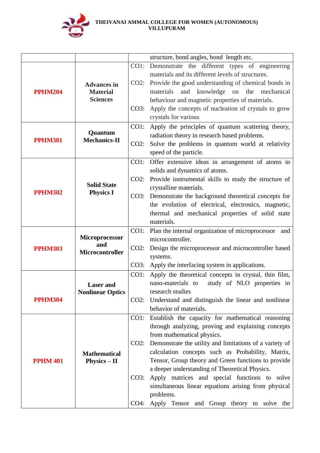

|                 |                                            |         | structure, bond angles, bond length etc.                                           |
|-----------------|--------------------------------------------|---------|------------------------------------------------------------------------------------|
|                 |                                            | CO1:    | Demonstrate the different types of engineering                                     |
|                 |                                            |         | materials and its different levels of structures.                                  |
|                 | <b>Advances in</b>                         | CO2:    | Provide the good understanding of chemical bonds in                                |
| <b>PPHM204</b>  | <b>Material</b>                            |         | knowledge on the<br>materials<br>and<br>mechanical                                 |
|                 | <b>Sciences</b>                            |         | behaviour and magnetic properties of materials.                                    |
|                 |                                            | CO3:    | Apply the concepts of nucleation of crystals to grow                               |
|                 |                                            |         | crystals for various                                                               |
|                 | Quantum                                    | $CO1$ : | Apply the principles of quantum scattering theory,                                 |
| <b>PPHM301</b>  | <b>Mechanics-II</b>                        |         | radiation theory in research based problems.                                       |
|                 |                                            | $CO2$ : | Solve the problems in quantum world at relativity                                  |
|                 |                                            |         | speed of the particle.                                                             |
|                 |                                            |         | CO1: Offer extensive ideas in arrangement of atoms in                              |
|                 |                                            |         | solids and dynamics of atoms.                                                      |
|                 | <b>Solid State</b>                         | CO2:    | Provide instrumental skills to study the structure of                              |
| <b>PPHM302</b>  | <b>Physics I</b>                           |         | crystalline materials.<br>CO3: Demonstrate the background theoretical concepts for |
|                 |                                            |         | the evolution of electrical, electronics, magnetic,                                |
|                 |                                            |         | thermal and mechanical properties of solid state                                   |
|                 |                                            |         | materials.                                                                         |
|                 |                                            | CO1:    | Plan the internal organization of microprocessor<br>and                            |
|                 | <b>Microprocessor</b>                      |         | microcontroller.                                                                   |
| <b>PPHM303</b>  | and<br>Microcontroller                     | $CO2$ : | Design the microprocessor and microcontroller based                                |
|                 |                                            |         | systems.                                                                           |
|                 |                                            |         | CO3: Apply the interfacing system in applications.                                 |
|                 |                                            | CO1:    | Apply the theoretical concepts in crystal, thin film,                              |
|                 | <b>Laser</b> and                           |         | nano-materials to<br>study of NLO properties in                                    |
|                 | <b>Nonlinear Optics</b>                    |         | research studies                                                                   |
| <b>PPHM304</b>  |                                            |         | CO2: Understand and distinguish the linear and nonlinear                           |
|                 |                                            |         | behavior of materials.                                                             |
|                 |                                            | CO1:    | Establish the capacity for mathematical reasoning                                  |
|                 |                                            |         | through analyzing, proving and explaining concepts<br>from mathematical physics.   |
|                 |                                            | CO2:    | Demonstrate the utility and limitations of a variety of                            |
|                 |                                            |         | calculation concepts such as Probability, Matrix,                                  |
| <b>PPHM 401</b> | <b>Mathematical</b><br><b>Physics – II</b> |         | Tensor, Group theory and Green functions to provide                                |
|                 |                                            |         | a deeper understanding of Theoretical Physics.                                     |
|                 |                                            | CO3:    | Apply matrices and special functions to solve                                      |
|                 |                                            |         | simultaneous linear equations arising from physical                                |
|                 |                                            |         | problems.                                                                          |
|                 |                                            | CO4:    | Apply Tensor and Group theory to solve the                                         |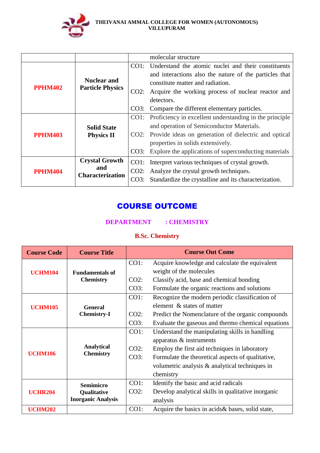

|                |                         |      | molecular structure                                                                        |
|----------------|-------------------------|------|--------------------------------------------------------------------------------------------|
|                |                         |      | CO1: Understand the atomic nuclei and their constituents                                   |
|                | <b>Nuclear and</b>      |      | and interactions also the nature of the particles that<br>constitute matter and radiation. |
| <b>PPHM402</b> | <b>Particle Physics</b> | CO2: | Acquire the working process of nuclear reactor and                                         |
|                |                         |      | detectors.                                                                                 |
|                |                         |      | CO3: Compare the different elementary particles.                                           |
|                |                         |      | CO1: Proficiency in excellent understanding in the principle                               |
|                | <b>Solid State</b>      |      | and operation of Semiconductor Materials.                                                  |
| <b>PPHM403</b> | <b>Physics II</b>       |      | CO2: Provide ideas on generation of dielectric and optical                                 |
|                |                         |      | properties in solids extensively.                                                          |
|                |                         | CO3: | Explore the applications of superconducting materials                                      |
| <b>PPHM404</b> | <b>Crystal Growth</b>   | CO1: | Interpret various techniques of crystal growth.                                            |
|                | and                     |      | CO2: Analyze the crystal growth techniques.                                                |
|                | <b>Characterization</b> | CO3: | Standardize the crystalline and its characterization.                                      |

# COURSE OUTCOME

## **DEPARTMENT : CHEMISTRY**

# **B.Sc. Chemistry**

| <b>Course Code</b> | <b>Course Title</b>       |         | <b>Course Out Come</b>                             |
|--------------------|---------------------------|---------|----------------------------------------------------|
|                    |                           | CO1:    | Acquire knowledge and calculate the equivalent     |
| <b>UCHM104</b>     | <b>Fundamentals of</b>    |         | weight of the molecules                            |
|                    | <b>Chemistry</b>          | $CO2$ : | Classify acid, base and chemical bonding           |
|                    |                           | CO3:    | Formulate the organic reactions and solutions      |
|                    |                           | CO1:    | Recognize the modern periodic classification of    |
| <b>UCHM105</b>     | <b>General</b>            |         | element & states of matter                         |
|                    | <b>Chemistry-I</b>        | $CO2$ : | Predict the Nomenclature of the organic compounds  |
|                    |                           | CO3:    | Evaluate the gaseous and thermo chemical equations |
|                    |                           | $CO1$ : | Understand the manipulating skills in handling     |
|                    |                           |         | apparatus & instruments                            |
|                    | <b>Analytical</b>         | $CO2$ : | Employ the first aid techniques in laboratory      |
| <b>UCHM106</b>     | <b>Chemistry</b>          | CO3:    | Formulate the theoretical aspects of qualitative,  |
|                    |                           |         | volumetric analysis & analytical techniques in     |
|                    |                           |         | chemistry                                          |
|                    | <b>Semimicro</b>          | CO1:    | Identify the basic and acid radicals               |
| <b>UCHR204</b>     | <b>Qualitative</b>        | $CO2$ : | Develop analytical skills in qualitative inorganic |
|                    | <b>Inorganic Analysis</b> |         | analysis                                           |
| <b>UCHM202</b>     |                           | CO1:    | Acquire the basics in acids & bases, solid state,  |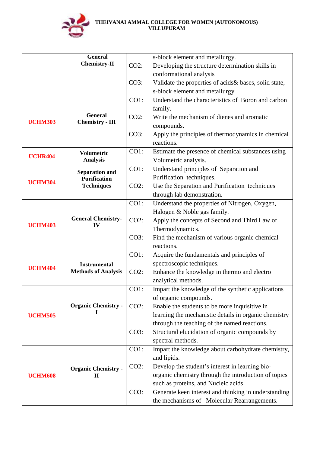

|                | <b>General</b>                             |         | s-block element and metallurgy.                                         |
|----------------|--------------------------------------------|---------|-------------------------------------------------------------------------|
|                | <b>Chemistry-II</b>                        | $CO2$ : | Developing the structure determination skills in                        |
|                |                                            |         | conformational analysis                                                 |
|                |                                            | CO3:    | Validate the properties of acids & bases, solid state,                  |
|                |                                            |         | s-block element and metallurgy                                          |
|                |                                            | CO1:    | Understand the characteristics of Boron and carbon                      |
|                |                                            |         | family.                                                                 |
|                | <b>General</b>                             | $CO2$ : | Write the mechanism of dienes and aromatic                              |
| <b>UCHM303</b> | <b>Chemistry - III</b>                     |         | compounds.                                                              |
|                |                                            | CO3:    | Apply the principles of thermodynamics in chemical                      |
|                |                                            |         | reactions.                                                              |
| <b>UCHR404</b> | <b>Volumetric</b>                          | CO1:    | Estimate the presence of chemical substances using                      |
|                | <b>Analysis</b>                            |         | Volumetric analysis.                                                    |
|                | <b>Separation and</b>                      | CO1:    | Understand principles of Separation and                                 |
| <b>UCHM304</b> | <b>Purification</b>                        |         | Purification techniques.                                                |
|                | <b>Techniques</b>                          | $CO2$ : | Use the Separation and Purification techniques                          |
|                |                                            |         | through lab demonstration.                                              |
|                |                                            | CO1:    | Understand the properties of Nitrogen, Oxygen,                          |
|                |                                            |         | Halogen & Noble gas family.                                             |
| <b>UCHM403</b> | <b>General Chemistry-</b><br>IV            | $CO2$ : | Apply the concepts of Second and Third Law of                           |
|                |                                            |         | Thermodynamics.                                                         |
|                |                                            | CO3:    | Find the mechanism of various organic chemical                          |
|                |                                            |         | reactions.                                                              |
|                |                                            | CO1:    | Acquire the fundamentals and principles of                              |
| <b>UCHM404</b> | <b>Instrumental</b>                        |         | spectroscopic techniques.                                               |
|                | <b>Methods of Analysis</b>                 | $CO2$ : | Enhance the knowledge in thermo and electro                             |
|                |                                            |         | analytical methods.                                                     |
|                |                                            | CO1:    | Impart the knowledge of the synthetic applications                      |
|                | <b>Organic Chemistry -</b>                 |         | of organic compounds.                                                   |
|                | 1                                          | $CO2$ : | Enable the students to be more inquisitive in                           |
| <b>UCHM505</b> |                                            |         | learning the mechanistic details in organic chemistry                   |
|                |                                            |         | through the teaching of the named reactions.                            |
|                |                                            | CO3:    | Structural elucidation of organic compounds by                          |
|                |                                            | $CO1$ : | spectral methods.<br>Impart the knowledge about carbohydrate chemistry, |
|                |                                            |         | and lipids.                                                             |
|                |                                            | $CO2$ : | Develop the student's interest in learning bio-                         |
| <b>UCHM608</b> | <b>Organic Chemistry -</b><br>$\mathbf{I}$ |         | organic chemistry through the introduction of topics                    |
|                |                                            |         | such as proteins, and Nucleic acids                                     |
|                |                                            | CO3:    | Generate keen interest and thinking in understanding                    |
|                |                                            |         | the mechanisms of Molecular Rearrangements.                             |
|                |                                            |         |                                                                         |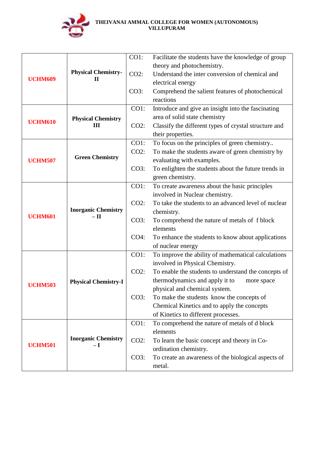

|                     |                                    | $CO1$ : | Facilitate the students have the knowledge of group                   |
|---------------------|------------------------------------|---------|-----------------------------------------------------------------------|
|                     | <b>Physical Chemistry-</b>         |         | theory and photochemistry.                                            |
| <b>UCHM609</b>      |                                    | $CO2$ : | Understand the inter conversion of chemical and                       |
|                     | П                                  |         | electrical energy                                                     |
|                     |                                    | CO3:    | Comprehend the salient features of photochemical                      |
|                     |                                    |         | reactions                                                             |
|                     |                                    | CO1:    | Introduce and give an insight into the fascinating                    |
|                     | <b>Physical Chemistry</b>          |         | area of solid state chemistry                                         |
| <b>UCHM610</b><br>Ш |                                    | $CO2$ : | Classify the different types of crystal structure and                 |
|                     |                                    |         | their properties.                                                     |
|                     |                                    | $CO1$ : | To focus on the principles of green chemistry                         |
|                     |                                    | $CO2$ : | To make the students aware of green chemistry by                      |
| <b>UCHM507</b>      | <b>Green Chemistry</b>             |         | evaluating with examples.                                             |
|                     |                                    | CO3:    | To enlighten the students about the future trends in                  |
|                     |                                    |         | green chemistry.                                                      |
|                     |                                    | $CO1$ : | To create awareness about the basic principles                        |
|                     |                                    |         | involved in Nuclear chemistry.                                        |
|                     |                                    | $CO2$ : | To take the students to an advanced level of nuclear                  |
| <b>UCHM601</b>      | <b>Inorganic Chemistry</b><br>– 11 |         | chemistry.                                                            |
|                     |                                    | CO3:    | To comprehend the nature of metals of f block                         |
|                     |                                    |         | elements                                                              |
|                     |                                    | $CO4$ : | To enhance the students to know about applications                    |
|                     |                                    |         | of nuclear energy                                                     |
|                     |                                    | $CO1$ : | To improve the ability of mathematical calculations                   |
|                     |                                    |         | involved in Physical Chemistry.                                       |
|                     |                                    | $CO2$ : | To enable the students to understand the concepts of                  |
| <b>UCHM503</b>      | <b>Physical Chemistry-I</b>        |         | thermodynamics and apply it to<br>more space                          |
|                     |                                    |         | physical and chemical system.                                         |
|                     |                                    | CO3:    | To make the students know the concepts of                             |
|                     |                                    |         | Chemical Kinetics and to apply the concepts                           |
|                     |                                    |         | of Kinetics to different processes.                                   |
|                     |                                    | $CO1$ : | To comprehend the nature of metals of d block<br>elements             |
|                     | <b>Inorganic Chemistry</b>         | $CO2$ : |                                                                       |
| <b>UCHM501</b>      | – I                                |         | To learn the basic concept and theory in Co-<br>ordination chemistry. |
|                     |                                    | CO3:    | To create an awareness of the biological aspects of                   |
|                     |                                    |         | metal.                                                                |
|                     |                                    |         |                                                                       |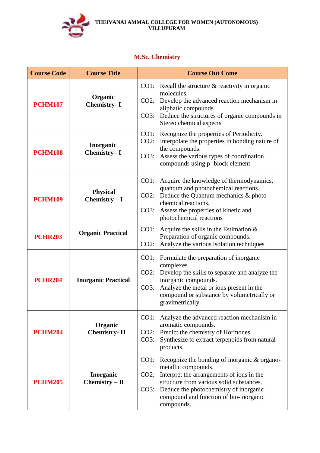

# **M.Sc. Chemistry**

| <b>Course Code</b> | <b>Course Title</b>               | <b>Course Out Come</b>                                                                                                                                                                                                                                                                    |
|--------------------|-----------------------------------|-------------------------------------------------------------------------------------------------------------------------------------------------------------------------------------------------------------------------------------------------------------------------------------------|
| <b>PCHM107</b>     | Organic<br><b>Chemistry-I</b>     | CO1: Recall the structure $&$ reactivity in organic<br>molecules.<br>Develop the advanced reaction mechanism in<br>$CO2$ :<br>aliphatic compounds.<br>Deduce the structures of organic compounds in<br>CO3:<br>Stereo chemical aspects                                                    |
| <b>PCHM108</b>     | Inorganic<br>Chemistry-I          | CO1: Recognize the properties of Periodicity.<br>$CO2$ :<br>Interpolate the properties in bonding nature of<br>the compounds.<br>Assess the various types of coordination<br>CO3:<br>compounds using p- block element                                                                     |
| <b>PCHM109</b>     | <b>Physical</b><br>Chemistry $-I$ | Acquire the knowledge of thermodynamics,<br>$CO1$ :<br>quantum and photochemical reactions.<br>Deduce the Quantum mechanics & photo<br>CO2:<br>chemical reactions.<br>Assess the properties of kinetic and<br>CO3:<br>photochemical reactions                                             |
| <b>PCHR203</b>     | <b>Organic Practical</b>          | $CO1$ :<br>Acquire the skills in the Estimation $\&$<br>Preparation of organic compounds.<br>Analyze the various isolation techniques<br>$CO2$ :                                                                                                                                          |
| <b>PCHR204</b>     | <b>Inorganic Practical</b>        | Formulate the preparation of inorganic<br>$CO1$ :<br>complexes.<br>$CO2$ :<br>Develop the skills to separate and analyze the<br>inorganic compounds.<br>Analyze the metal or ions present in the<br>CO3:<br>compound or substance by volumetrically or<br>gravimetrically.                |
| <b>PCHM204</b>     | Organic<br><b>Chemistry-II</b>    | CO1:<br>Analyze the advanced reaction mechanism in<br>aromatic compounds.<br>Predict the chemistry of Hormones.<br>CO2:<br>Synthesize to extract terpenoids from natural<br>CO3:<br>products.                                                                                             |
| <b>PCHM205</b>     | Inorganic<br>$Chemistry - II$     | Recognize the bonding of inorganic & organo-<br>CO1:<br>metallic compounds.<br>Interpret the arrangements of ions in the<br>$CO2$ :<br>structure from various solid substances.<br>Deduce the photochemistry of inorganic<br>CO3:<br>compound and function of bio-inorganic<br>compounds. |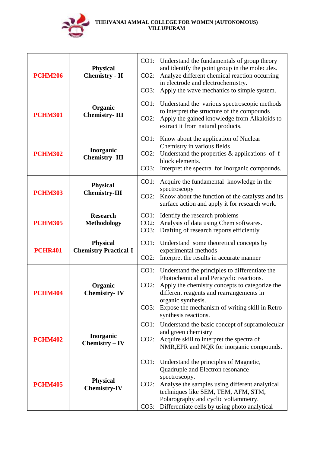

| <b>PCHM206</b> | <b>Physical</b><br><b>Chemistry - II</b>        | $CO2$ :         | CO1: Understand the fundamentals of group theory<br>and identify the point group in the molecules.<br>Analyze different chemical reaction occurring |
|----------------|-------------------------------------------------|-----------------|-----------------------------------------------------------------------------------------------------------------------------------------------------|
|                |                                                 | CO3:            | in electrode and electrochemistry.<br>Apply the wave mechanics to simple system.                                                                    |
|                | Organic                                         | $CO1$ :         | Understand the various spectroscopic methods<br>to interpret the structure of the compounds                                                         |
| <b>PCHM301</b> | <b>Chemistry-III</b>                            | $CO2$ :         | Apply the gained knowledge from Alkaloids to<br>extract it from natural products.                                                                   |
|                |                                                 | CO1:            | Know about the application of Nuclear<br>Chemistry in various fields                                                                                |
| <b>PCHM302</b> | Inorganic<br><b>Chemistry-III</b>               | $CO2$ :         | Understand the properties $&$ applications of f-<br>block elements.                                                                                 |
|                |                                                 | CO3:            | Interpret the spectra for Inorganic compounds.                                                                                                      |
|                | <b>Physical</b>                                 | CO1:            | Acquire the fundamental knowledge in the<br>spectroscopy                                                                                            |
| <b>PCHM303</b> | <b>Chemistry-III</b>                            | $CO2$ :         | Know about the function of the catalysts and its<br>surface action and apply it for research work.                                                  |
| <b>PCHM305</b> | <b>Research</b><br><b>Methodology</b>           | CO1:<br>$CO2$ : | Identify the research problems<br>Analysis of data using Chem softwares.                                                                            |
|                |                                                 | CO3:            | Drafting of research reports efficiently                                                                                                            |
| <b>PCHR401</b> | <b>Physical</b><br><b>Chemistry Practical-I</b> | CO1:            | Understand some theoretical concepts by<br>experimental methods                                                                                     |
|                |                                                 | $CO2$ :         | Interpret the results in accurate manner                                                                                                            |
|                |                                                 | CO1:            | Understand the principles to differentiate the<br>Photochemical and Pericyclic reactions.                                                           |
| <b>PCHM404</b> | Organic<br><b>Chemistry-IV</b>                  | $CO2$ :         | Apply the chemistry concepts to categorize the<br>different reagents and rearrangements in                                                          |
|                |                                                 | CO3:            | organic synthesis.<br>Expose the mechanism of writing skill in Retro                                                                                |
|                |                                                 |                 | synthesis reactions.                                                                                                                                |
|                | Inorganic                                       | CO1:            | Understand the basic concept of supramolecular<br>and green chemistry                                                                               |
| <b>PCHM402</b> | $Chemistry - IV$                                | $CO2$ :         | Acquire skill to interpret the spectra of<br>NMR, EPR and NQR for inorganic compounds.                                                              |
|                |                                                 | CO1:            | Understand the principles of Magnetic,<br>Quadruple and Electron resonance                                                                          |
|                | <b>Physical</b>                                 | $CO2$ :         | spectroscopy.<br>Analyse the samples using different analytical                                                                                     |
| <b>PCHM405</b> | <b>Chemistry-IV</b>                             |                 | techniques like SEM, TEM, AFM, STM,                                                                                                                 |
|                |                                                 |                 | Polarography and cyclic voltammetry.<br>CO3: Differentiate cells by using photo analytical                                                          |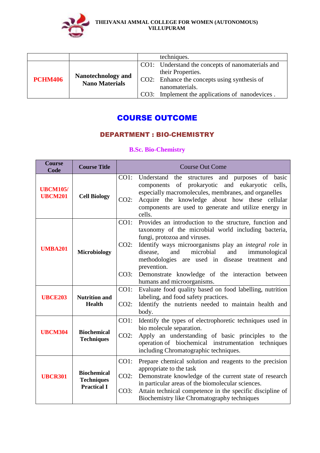

|                |                                             | techniques.                                       |
|----------------|---------------------------------------------|---------------------------------------------------|
|                | Nanotechnology and<br><b>Nano Materials</b> | CO1: Understand the concepts of nanomaterials and |
|                |                                             | their Properties.                                 |
| <b>PCHM406</b> |                                             | CO2: Enhance the concepts using synthesis of      |
|                |                                             | nanomaterials.                                    |
|                |                                             | CO3: Implement the applications of nanodevices.   |

# COURSE OUTCOME

# DEPARTMENT : BIO-CHEMISTRY

### **B.Sc. Bio-Chemistry**

| <b>Course</b><br>Code             | <b>Course Title</b>                                           | <b>Course Out Come</b>                                                                                                                                                                                                                                                                                                                                                                                                                               |
|-----------------------------------|---------------------------------------------------------------|------------------------------------------------------------------------------------------------------------------------------------------------------------------------------------------------------------------------------------------------------------------------------------------------------------------------------------------------------------------------------------------------------------------------------------------------------|
| <b>UBCM105/</b><br><b>UBCM201</b> | <b>Cell Biology</b>                                           | CO1:<br>Understand<br>the<br>structures and purposes of<br>basic<br>components of prokaryotic<br>and eukaryotic<br>cells,<br>especially macromolecules, membranes, and organelles<br>Acquire the knowledge about how these cellular<br>$CO2$ :<br>components are used to generate and utilize energy in<br>cells.                                                                                                                                    |
| <b>UMBA201</b>                    | <b>Microbiology</b>                                           | $CO1$ :<br>Provides an introduction to the structure, function and<br>taxonomy of the microbial world including bacteria,<br>fungi, protozoa and viruses.<br>Identify ways microorganisms play an integral role in<br>$CO2$ :<br>microbial<br>and<br>and<br>immunological<br>disease,<br>methodologies are used in disease<br>treatment and<br>prevention.<br>CO3:<br>Demonstrate knowledge of the interaction between<br>humans and microorganisms. |
| <b>UBCE203</b>                    | <b>Nutrition and</b><br><b>Health</b>                         | Evaluate food quality based on food labelling, nutrition<br>CO1:<br>labeling, and food safety practices.<br>$CO2$ :<br>Identify the nutrients needed to maintain health and<br>body.                                                                                                                                                                                                                                                                 |
| <b>UBCM304</b>                    | <b>Biochemical</b><br><b>Techniques</b>                       | CO1:<br>Identify the types of electrophoretic techniques used in<br>bio molecule separation.<br>$CO2$ :<br>Apply an understanding of basic principles to the<br>operation of biochemical instrumentation techniques<br>including Chromatographic techniques.                                                                                                                                                                                         |
| <b>UBCR301</b>                    | <b>Biochemical</b><br><b>Techniques</b><br><b>Practical I</b> | CO1:<br>Prepare chemical solution and reagents to the precision<br>appropriate to the task<br>$CO2$ :<br>Demonstrate knowledge of the current state of research<br>in particular areas of the biomolecular sciences.<br>CO3:<br>Attain technical competence in the specific discipline of<br>Biochemistry like Chromatography techniques                                                                                                             |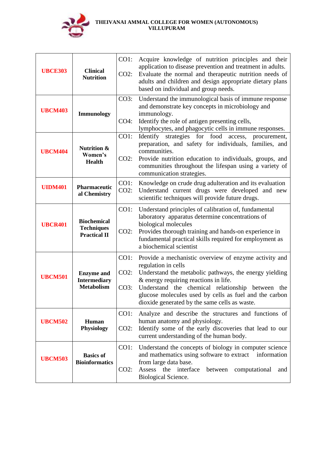

| <b>UBCE303</b> | <b>Clinical</b><br><b>Nutrition</b>                            | CO1:<br>$CO2$ :      | Acquire knowledge of nutrition principles and their<br>application to disease prevention and treatment in adults.<br>Evaluate the normal and therapeutic nutrition needs of<br>adults and children and design appropriate dietary plans<br>based on individual and group needs.                                                                  |
|----------------|----------------------------------------------------------------|----------------------|--------------------------------------------------------------------------------------------------------------------------------------------------------------------------------------------------------------------------------------------------------------------------------------------------------------------------------------------------|
| <b>UBCM403</b> | <b>Immunology</b>                                              | CO3:<br>$CO4$ :      | Understand the immunological basis of immune response<br>and demonstrate key concepts in microbiology and<br>immunology.<br>Identify the role of antigen presenting cells,<br>lymphocytes, and phagocytic cells in immune responses.                                                                                                             |
| <b>UBCM404</b> | <b>Nutrition &amp;</b><br>Women's<br><b>Health</b>             | $CO1$ :<br>$CO2$ :   | Identify strategies for food access,<br>procurement,<br>preparation, and safety for individuals, families, and<br>communities.<br>Provide nutrition education to individuals, groups, and<br>communities throughout the lifespan using a variety of<br>communication strategies.                                                                 |
| <b>UIDM401</b> | <b>Pharmaceutic</b><br>al Chemistry                            | $CO1$ :<br>$CO2$ :   | Knowledge on crude drug adulteration and its evaluation<br>Understand current drugs were developed and new<br>scientific techniques will provide future drugs.                                                                                                                                                                                   |
| <b>UBCR401</b> | <b>Biochemical</b><br><b>Techniques</b><br><b>Practical II</b> | $CO1$ :<br>$CO2$ :   | Understand principles of calibration of, fundamental<br>laboratory apparatus determine concentrations of<br>biological molecules<br>Provides thorough training and hands-on experience in<br>fundamental practical skills required for employment as<br>a biochemical scientist                                                                  |
| <b>UBCM501</b> | <b>Enzyme</b> and<br><b>Intermediary</b><br><b>Metabolism</b>  | CO1:<br>CO2:<br>CO3: | Provide a mechanistic overview of enzyme activity and<br>regulation in cells<br>Understand the metabolic pathways, the energy yielding<br>$&$ energy requiring reactions in life.<br>Understand the chemical relationship between the<br>glucose molecules used by cells as fuel and the carbon<br>dioxide generated by the same cells as waste. |
| <b>UBCM502</b> | Human<br><b>Physiology</b>                                     | $CO1$ :<br>$CO2$ :   | Analyze and describe the structures and functions of<br>human anatomy and physiology.<br>Identify some of the early discoveries that lead to our<br>current understanding of the human body.                                                                                                                                                     |
| <b>UBCM503</b> | <b>Basics of</b><br><b>Bioinformatics</b>                      | $CO1$ :<br>$CO2$ :   | Understand the concepts of biology in computer science<br>and mathematics using software to extract<br>information<br>from large data base.<br>Assess the interface<br>computational<br>between<br>and<br>Biological Science.                                                                                                                    |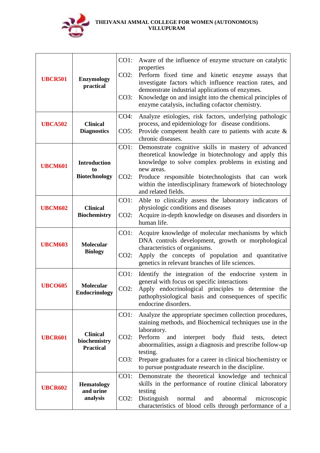

| <b>UBCR501</b> | <b>Enzymology</b><br>practical                      | CO1:<br>CO2:<br>CO3:    | Aware of the influence of enzyme structure on catalytic<br>properties<br>Perform fixed time and kinetic enzyme assays that<br>investigate factors which influence reaction rates, and<br>demonstrate industrial applications of enzymes.<br>Knowledge on and insight into the chemical principles of<br>enzyme catalysis, including cofactor chemistry.                                         |
|----------------|-----------------------------------------------------|-------------------------|-------------------------------------------------------------------------------------------------------------------------------------------------------------------------------------------------------------------------------------------------------------------------------------------------------------------------------------------------------------------------------------------------|
| <b>UBCA502</b> | <b>Clinical</b><br><b>Diagnostics</b>               | CO4:<br>CO5:            | Analyze etiologies, risk factors, underlying pathologic<br>process, and epidemiology for disease conditions.<br>Provide competent health care to patients with acute &<br>chronic diseases.                                                                                                                                                                                                     |
| <b>UBCM601</b> | <b>Introduction</b><br>to<br><b>Biotechnology</b>   | CO1:<br>$CO2$ :         | Demonstrate cognitive skills in mastery of advanced<br>theoretical knowledge in biotechnology and apply this<br>knowledge to solve complex problems in existing and<br>new areas.<br>Produce responsible biotechnologists that can work<br>within the interdisciplinary framework of biotechnology<br>and related fields.                                                                       |
| <b>UBCM602</b> | <b>Clinical</b><br><b>Biochemistry</b>              | CO1:<br>$CO2$ :         | Able to clinically assess the laboratory indicators of<br>physiologic conditions and diseases<br>Acquire in-depth knowledge on diseases and disorders in<br>human life.                                                                                                                                                                                                                         |
| <b>UBCM603</b> | <b>Molecular</b><br><b>Biology</b>                  | CO1:<br>CO2:            | Acquire knowledge of molecular mechanisms by which<br>DNA controls development, growth or morphological<br>characteristics of organisms.<br>Apply the concepts of population and quantitative<br>genetics in relevant branches of life sciences.                                                                                                                                                |
| <b>UBCO605</b> | <b>Molecular</b><br>Endocrinology                   | CO1:<br>$CO2$ :         | Identify the integration of the endocrine system in<br>general with focus on specific interactions<br>Apply endocrinological principles to determine the<br>pathophysiological basis and consequences of specific<br>endocrine disorders.                                                                                                                                                       |
| <b>UBCR601</b> | <b>Clinical</b><br>biochemistry<br><b>Practical</b> | CO1:<br>$CO2$ :<br>CO3: | Analyze the appropriate specimen collection procedures,<br>staining methods, and Biochemical techniques use in the<br>laboratory.<br>Perform<br>body fluid<br>and<br>interpret<br>tests,<br>detect<br>abnormalities, assign a diagnosis and prescribe follow-up<br>testing.<br>Prepare graduates for a career in clinical biochemistry or<br>to pursue postgraduate research in the discipline. |
| <b>UBCR602</b> | <b>Hematology</b><br>and urine<br>analysis          | CO1:<br>$CO2$ :         | Demonstrate the theoretical knowledge and technical<br>skills in the performance of routine clinical laboratory<br>testing<br>Distinguish<br>and<br>abnormal<br>microscopic<br>normal<br>characteristics of blood cells through performance of a                                                                                                                                                |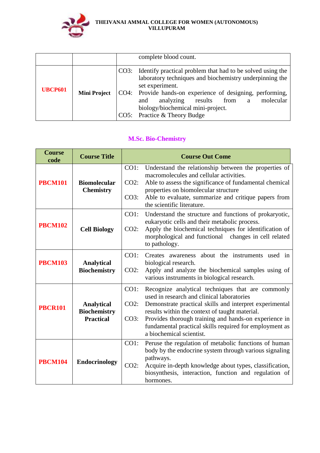

|                |                     | complete blood count.                                                                                                                                                                                                                                                                                                                  |
|----------------|---------------------|----------------------------------------------------------------------------------------------------------------------------------------------------------------------------------------------------------------------------------------------------------------------------------------------------------------------------------------|
| <b>UBCP601</b> | <b>Mini Project</b> | CO3: Identify practical problem that had to be solved using the<br>laboratory techniques and biochemistry underpinning the<br>set experiment.<br>CO4: Provide hands-on experience of designing, performing,<br>analyzing results<br>molecular<br>from<br>and<br>a<br>biology/biochemical mini-project.<br>CO5: Practice & Theory Budge |

# **M.Sc. Bio-Chemistry**

| <b>Course</b><br>code | <b>Course Title</b>                                          | <b>Course Out Come</b>                                                                                                                                                                                                                                                                                                                                                                  |
|-----------------------|--------------------------------------------------------------|-----------------------------------------------------------------------------------------------------------------------------------------------------------------------------------------------------------------------------------------------------------------------------------------------------------------------------------------------------------------------------------------|
| <b>PBCM101</b>        | <b>Biomolecular</b><br><b>Chemistry</b>                      | $CO1$ :<br>Understand the relationship between the properties of<br>macromolecules and cellular activities.<br>$CO2$ :<br>Able to assess the significance of fundamental chemical<br>properties on biomolecular structure<br>Able to evaluate, summarize and critique papers from<br>CO3:<br>the scientific literature.                                                                 |
| <b>PBCM102</b>        | <b>Cell Biology</b>                                          | CO1:<br>Understand the structure and functions of prokaryotic,<br>eukaryotic cells and their metabolic process.<br>Apply the biochemical techniques for identification of<br>$CO2$ :<br>morphological and functional changes in cell related<br>to pathology.                                                                                                                           |
| <b>PBCM103</b>        | <b>Analytical</b><br><b>Biochemistry</b>                     | CO1:<br>Creates awareness about the instruments used in<br>biological research.<br>Apply and analyze the biochemical samples using of<br>$CO2$ :<br>various instruments in biological research.                                                                                                                                                                                         |
| <b>PBCR101</b>        | <b>Analytical</b><br><b>Biochemistry</b><br><b>Practical</b> | CO1:<br>Recognize analytical techniques that are commonly<br>used in research and clinical laboratories<br>$CO2$ :<br>Demonstrate practical skills and interpret experimental<br>results within the context of taught material.<br>Provides thorough training and hands-on experience in<br>CO3:<br>fundamental practical skills required for employment as<br>a biochemical scientist. |
| <b>PBCM104</b>        | <b>Endocrinology</b>                                         | CO1:<br>Peruse the regulation of metabolic functions of human<br>body by the endocrine system through various signaling<br>pathways.<br>$CO2$ :<br>Acquire in-depth knowledge about types, classification,<br>biosynthesis, interaction, function and regulation of<br>hormones.                                                                                                        |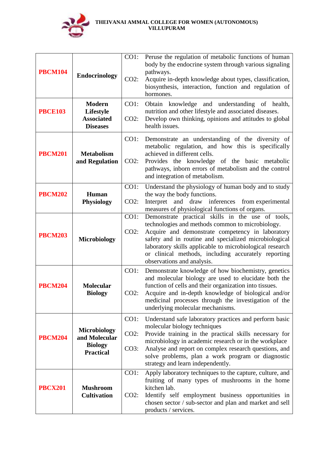

| <b>PBCM104</b> | <b>Endocrinology</b><br><b>Modern</b>                                      | CO1:<br>$CO2$ :<br>$CO1$ : | Peruse the regulation of metabolic functions of human<br>body by the endocrine system through various signaling<br>pathways.<br>Acquire in-depth knowledge about types, classification,<br>biosynthesis, interaction, function and regulation of<br>hormones.<br>Obtain knowledge and understanding of health,                                                      |
|----------------|----------------------------------------------------------------------------|----------------------------|---------------------------------------------------------------------------------------------------------------------------------------------------------------------------------------------------------------------------------------------------------------------------------------------------------------------------------------------------------------------|
| <b>PBCE103</b> | Lifestyle<br><b>Associated</b><br><b>Diseases</b>                          | $CO2$ :                    | nutrition and other lifestyle and associated diseases.<br>Develop own thinking, opinions and attitudes to global<br>health issues.                                                                                                                                                                                                                                  |
| <b>PBCM201</b> | <b>Metabolism</b><br>and Regulation                                        | $CO1$ :<br>$CO2$ :         | Demonstrate an understanding of the diversity of<br>metabolic regulation, and how this is specifically<br>achieved in different cells.<br>Provides the knowledge of the basic metabolic<br>pathways, inborn errors of metabolism and the control<br>and integration of metabolism.                                                                                  |
| <b>PBCM202</b> | Human<br><b>Physiology</b>                                                 | $CO1$ :<br>$CO2$ :         | Understand the physiology of human body and to study<br>the way the body functions.<br>and draw inferences from experimental<br>Interpret<br>measures of physiological functions of organs.                                                                                                                                                                         |
| <b>PBCM203</b> | <b>Microbiology</b>                                                        | CO1:<br>$CO2$ :            | Demonstrate practical skills in the use of tools,<br>technologies and methods common to microbiology.<br>Acquire and demonstrate competency in laboratory<br>safety and in routine and specialized microbiological<br>laboratory skills applicable to microbiological research<br>or clinical methods, including accurately reporting<br>observations and analysis. |
| <b>PBCM204</b> | <b>Molecular</b><br><b>Biology</b>                                         | $CO1$ :<br>$CO2$ :         | Demonstrate knowledge of how biochemistry, genetics<br>and molecular biology are used to elucidate both the<br>function of cells and their organization into tissues.<br>Acquire and in-depth knowledge of biological and/or<br>medicinal processes through the investigation of the<br>underlying molecular mechanisms.                                            |
| <b>PBCM204</b> | <b>Microbiology</b><br>and Molecular<br><b>Biology</b><br><b>Practical</b> | CO1:<br>$CO2$ :<br>CO3:    | Understand safe laboratory practices and perform basic<br>molecular biology techniques<br>Provide training in the practical skills necessary for<br>microbiology in academic research or in the workplace<br>Analyse and report on complex research questions, and<br>solve problems, plan a work program or diagnostic<br>strategy and learn independently.        |
| <b>PBCX201</b> | <b>Mushroom</b><br><b>Cultivation</b>                                      | $CO1$ :<br>$CO2$ :         | Apply laboratory techniques to the capture, culture, and<br>fruiting of many types of mushrooms in the home<br>kitchen lab.<br>Identify self employment business opportunities in<br>chosen sector / sub-sector and plan and market and sell<br>products / services.                                                                                                |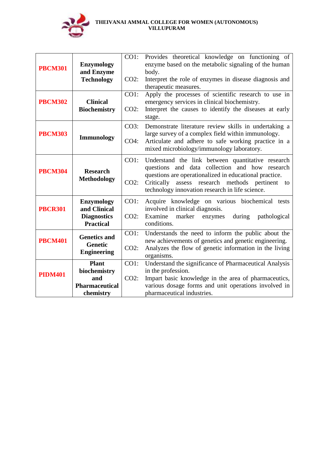

| <b>PBCM301</b><br><b>PBCM302</b> | <b>Enzymology</b><br>and Enzyme<br><b>Technology</b><br><b>Clinical</b>     | CO1:<br>$CO2$ :<br>CO1: | Provides theoretical knowledge on functioning of<br>enzyme based on the metabolic signaling of the human<br>body.<br>Interpret the role of enzymes in disease diagnosis and<br>therapeutic measures.<br>Apply the processes of scientific research to use in<br>emergency services in clinical biochemistry. |
|----------------------------------|-----------------------------------------------------------------------------|-------------------------|--------------------------------------------------------------------------------------------------------------------------------------------------------------------------------------------------------------------------------------------------------------------------------------------------------------|
|                                  | <b>Biochemistry</b>                                                         | $CO2$ :                 | Interpret the causes to identify the diseases at early<br>stage.                                                                                                                                                                                                                                             |
| <b>PBCM303</b>                   | Immunology                                                                  | CO3:<br>$CO4$ :         | Demonstrate literature review skills in undertaking a<br>large survey of a complex field within immunology.<br>Articulate and adhere to safe working practice in a<br>mixed microbiology/immunology laboratory.                                                                                              |
| <b>PBCM304</b>                   | <b>Research</b><br><b>Methodology</b>                                       | CO1:<br>$CO2$ :         | Understand the link between quantitative research<br>questions and data collection and how research<br>questions are operationalized in educational practice.<br>assess research methods pertinent to<br>Critically<br>technology innovation research in life science.                                       |
| <b>PBCR301</b>                   | <b>Enzymology</b><br>and Clinical<br><b>Diagnostics</b><br><b>Practical</b> | $CO1$ :<br>$CO2$ :      | Acquire knowledge on various biochemical tests<br>involved in clinical diagnosis.<br>Examine<br>during<br>marker<br>pathological<br>enzymes<br>conditions.                                                                                                                                                   |
| <b>PBCM401</b>                   | <b>Genetics and</b><br><b>Genetic</b><br><b>Engineering</b>                 | CO1:<br>$CO2$ :         | Understands the need to inform the public about the<br>new achievements of genetics and genetic engineering.<br>Analyzes the flow of genetic information in the living<br>organisms.                                                                                                                         |
| <b>PIDM401</b>                   | <b>Plant</b><br>biochemistry<br>and<br><b>Pharmaceutical</b>                | CO1:<br>$CO2$ :         | Understand the significance of Pharmaceutical Analysis<br>in the profession.<br>Impart basic knowledge in the area of pharmaceutics,<br>various dosage forms and unit operations involved in                                                                                                                 |
|                                  | chemistry                                                                   |                         | pharmaceutical industries.                                                                                                                                                                                                                                                                                   |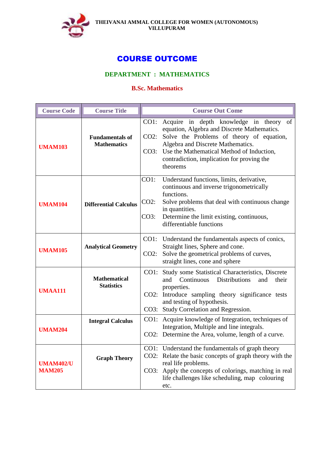

# COURSE OUTCOME

# **DEPARTMENT : MATHEMATICS**

## **B.Sc. Mathematics**

| <b>Course Code</b>                | <b>Course Title</b>                          |                         | <b>Course Out Come</b>                                                                                                                                                                                                                                                               |
|-----------------------------------|----------------------------------------------|-------------------------|--------------------------------------------------------------------------------------------------------------------------------------------------------------------------------------------------------------------------------------------------------------------------------------|
| <b>UMAM103</b>                    | <b>Fundamentals of</b><br><b>Mathematics</b> | CO1:<br>$CO2$ :         | Acquire in depth knowledge in theory of<br>equation, Algebra and Discrete Mathematics.<br>Solve the Problems of theory of equation,<br>Algebra and Discrete Mathematics.<br>CO3: Use the Mathematical Method of Induction,<br>contradiction, implication for proving the<br>theorems |
| <b>UMAM104</b>                    | <b>Differential Calculus</b>                 | CO1:<br>$CO2$ :<br>CO3: | Understand functions, limits, derivative,<br>continuous and inverse trigonometrically<br>functions.<br>Solve problems that deal with continuous change<br>in quantities.<br>Determine the limit existing, continuous,<br>differentiable functions                                    |
| <b>UMAM105</b>                    | <b>Analytical Geometry</b>                   | CO2:                    | CO1: Understand the fundamentals aspects of conics,<br>Straight lines, Sphere and cone.<br>Solve the geometrical problems of curves,<br>straight lines, cone and sphere                                                                                                              |
| <b>UMAA111</b>                    | <b>Mathematical</b><br><b>Statistics</b>     | $CO2$ :                 | CO1: Study some Statistical Characteristics, Discrete<br><b>Distributions</b><br>and<br>Continuous<br>their<br>and<br>properties.<br>Introduce sampling theory significance tests<br>and testing of hypothesis.<br>CO3: Study Correlation and Regression.                            |
| <b>UMAM204</b>                    | <b>Integral Calculus</b>                     |                         | CO1: Acquire knowledge of Integration, techniques of<br>Integration, Multiple and line integrals.<br>CO2: Determine the Area, volume, length of a curve.                                                                                                                             |
| <b>UMAM402/U</b><br><b>MAM205</b> | <b>Graph Theory</b>                          |                         | CO1: Understand the fundamentals of graph theory<br>CO2: Relate the basic concepts of graph theory with the<br>real life problems.<br>CO3: Apply the concepts of colorings, matching in real<br>life challenges like scheduling, map colouring<br>etc.                               |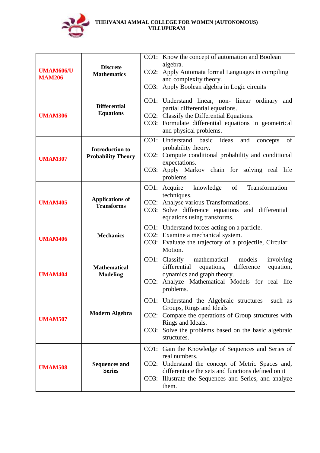

| <b>UMAM606/U</b><br><b>MAM206</b> | <b>Discrete</b><br><b>Mathematics</b>               |         | CO1: Know the concept of automation and Boolean<br>algebra.                                                          |
|-----------------------------------|-----------------------------------------------------|---------|----------------------------------------------------------------------------------------------------------------------|
|                                   |                                                     | $CO2$ : | Apply Automata formal Languages in compiling<br>and complexity theory.                                               |
|                                   |                                                     |         | CO3: Apply Boolean algebra in Logic circuits                                                                         |
|                                   | <b>Differential</b>                                 |         | CO1: Understand linear, non-linear ordinary and                                                                      |
| <b>UMAM306</b>                    | <b>Equations</b>                                    |         | partial differential equations.<br>CO2: Classify the Differential Equations.                                         |
|                                   |                                                     |         | CO3: Formulate differential equations in geometrical<br>and physical problems.                                       |
|                                   |                                                     |         | CO1: Understand basic<br>ideas<br>of<br>and<br>concepts                                                              |
| <b>UMAM307</b>                    | <b>Introduction to</b><br><b>Probability Theory</b> |         | probability theory.<br>CO2: Compute conditional probability and conditional                                          |
|                                   |                                                     |         | expectations.<br>CO3: Apply Markov chain for solving real life<br>problems                                           |
|                                   |                                                     |         | CO1: Acquire knowledge<br>of<br>Transformation                                                                       |
| <b>UMAM405</b>                    | <b>Applications of</b>                              |         | techniques.<br>CO2: Analyse various Transformations.                                                                 |
|                                   | <b>Transforms</b>                                   |         | CO3: Solve difference equations and differential<br>equations using transforms.                                      |
|                                   |                                                     |         | CO1: Understand forces acting on a particle.<br>CO2: Examine a mechanical system.                                    |
| <b>UMAM406</b>                    | <b>Mechanics</b>                                    |         | CO3: Evaluate the trajectory of a projectile, Circular                                                               |
|                                   |                                                     |         | Motion.                                                                                                              |
|                                   | <b>Mathematical</b><br><b>Modeling</b>              |         | mathematical models<br>involving<br>CO1: Classify<br>differential<br>equations,<br>difference<br>equation,           |
| <b>UMAM404</b>                    |                                                     | $CO2$ : | dynamics and graph theory.<br>Analyze Mathematical Models for real life                                              |
|                                   |                                                     |         | problems.                                                                                                            |
|                                   |                                                     |         | CO1: Understand the Algebraic structures<br>such as<br>Groups, Rings and Ideals                                      |
| <b>UMAM507</b>                    | <b>Modern Algebra</b>                               |         | CO2: Compare the operations of Group structures with                                                                 |
|                                   |                                                     |         | Rings and Ideals.<br>CO3: Solve the problems based on the basic algebraic                                            |
|                                   |                                                     |         | structures.                                                                                                          |
|                                   |                                                     |         | CO1: Gain the Knowledge of Sequences and Series of<br>real numbers.                                                  |
| <b>UMAM508</b>                    | <b>Sequences and</b><br><b>Series</b>               |         | CO2: Understand the concept of Metric Spaces and,                                                                    |
|                                   |                                                     |         | differentiate the sets and functions defined on it<br>CO3: Illustrate the Sequences and Series, and analyze<br>them. |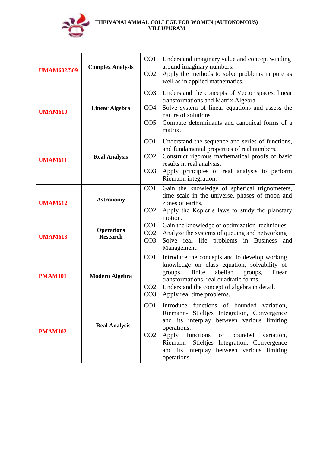

| <b>UMAM602/509</b> | <b>Complex Analysis</b>              |      | CO1: Understand imaginary value and concept winding<br>around imaginary numbers.<br>CO2: Apply the methods to solve problems in pure as<br>well as in applied mathematics.                                                                                                                                                         |
|--------------------|--------------------------------------|------|------------------------------------------------------------------------------------------------------------------------------------------------------------------------------------------------------------------------------------------------------------------------------------------------------------------------------------|
| <b>UMAM610</b>     | <b>Linear Algebra</b>                | CO4: | CO3: Understand the concepts of Vector spaces, linear<br>transformations and Matrix Algebra.<br>Solve system of linear equations and assess the<br>nature of solutions.<br>CO5: Compute determinants and canonical forms of a<br>matrix.                                                                                           |
| <b>UMAM611</b>     | <b>Real Analysis</b>                 |      | CO1: Understand the sequence and series of functions,<br>and fundamental properties of real numbers.<br>CO2: Construct rigorous mathematical proofs of basic<br>results in real analysis.<br>CO3: Apply principles of real analysis to perform<br>Riemann integration.                                                             |
| <b>UMAM612</b>     | <b>Astronomy</b>                     |      | CO1: Gain the knowledge of spherical trignometers,<br>time scale in the universe, phases of moon and<br>zones of earths.<br>CO2: Apply the Kepler's laws to study the planetary<br>motion.                                                                                                                                         |
| <b>UMAM613</b>     | <b>Operations</b><br><b>Research</b> | CO3: | CO1: Gain the knowledge of optimization techniques<br>CO2: Analyze the systems of queuing and networking<br>Solve real life problems in Business<br>and<br>Management.                                                                                                                                                             |
| <b>PMAM101</b>     | <b>Modern Algebra</b>                |      | CO1: Introduce the concepts and to develop working<br>knowledge on class equation, solvability of<br>finite<br>abelian<br>linear<br>groups,<br>groups,<br>transformations, real quadratic forms.<br>CO2: Understand the concept of algebra in detail.<br>CO3: Apply real time problems.                                            |
| <b>PMAM102</b>     | <b>Real Analysis</b>                 |      | CO1: Introduce functions of bounded variation,<br>Riemann- Stieltjes Integration, Convergence<br>and its interplay between various limiting<br>operations.<br>$CO2:$ Apply<br>functions<br>of<br>bounded<br>variation,<br>Riemann- Stieltjes Integration, Convergence<br>and its interplay between various limiting<br>operations. |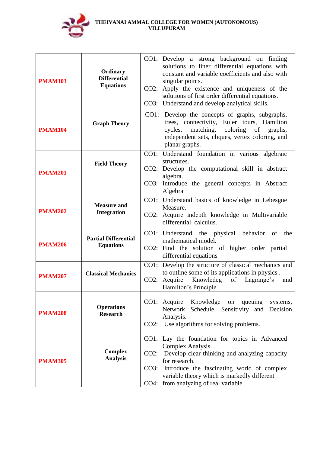

| <b>PMAM103</b> | Ordinary<br><b>Differential</b><br><b>Equations</b> |                         | CO1: Develop a strong background on finding<br>solutions to liner differential equations with<br>constant and variable coefficients and also with<br>singular points.<br>CO2: Apply the existence and uniqueness of the<br>solutions of first order differential equations.<br>CO3: Understand and develop analytical skills. |
|----------------|-----------------------------------------------------|-------------------------|-------------------------------------------------------------------------------------------------------------------------------------------------------------------------------------------------------------------------------------------------------------------------------------------------------------------------------|
| <b>PMAM104</b> | <b>Graph Theory</b>                                 |                         | CO1: Develop the concepts of graphs, subgraphs,<br>trees, connectivity, Euler tours, Hamilton<br>matching, coloring of<br>cycles,<br>graphs,<br>independent sets, cliques, vertex coloring, and<br>planar graphs.                                                                                                             |
| <b>PMAM201</b> | <b>Field Theory</b>                                 |                         | CO1: Understand foundation in various algebraic<br>structures.<br>CO2: Develop the computational skill in abstract<br>algebra.<br>CO3: Introduce the general concepts in Abstract<br>Algebra                                                                                                                                  |
| <b>PMAM202</b> | <b>Measure and</b><br><b>Integration</b>            |                         | CO1: Understand basics of knowledge in Lebesgue<br>Measure.<br>CO2: Acquire indepth knowledge in Multivariable<br>differential calculus.                                                                                                                                                                                      |
| <b>PMAM206</b> | <b>Partial Differential</b><br><b>Equations</b>     |                         | CO1: Understand the physical behavior<br>of<br>the<br>mathematical model.<br>CO2: Find the solution of higher order partial<br>differential equations                                                                                                                                                                         |
| <b>PMAM207</b> | <b>Classical Mechanics</b>                          | CO2:                    | CO1: Develop the structure of classical mechanics and<br>to outline some of its applications in physics.<br>Acquire<br>Knowledeg<br>of<br>Lagrange's<br>and<br>Hamilton's Principle.                                                                                                                                          |
| <b>PMAM208</b> | <b>Operations</b><br><b>Research</b>                |                         | Knowledge<br>CO1: Acquire<br>queuing<br>on<br>systems,<br>Network Schedule, Sensitivity and Decision<br>Analysis.<br>CO2: Use algorithms for solving problems.                                                                                                                                                                |
| <b>PMAM305</b> | <b>Complex</b><br><b>Analysis</b>                   | $CO2$ :<br>CO3:<br>CO4: | CO1: Lay the foundation for topics in Advanced<br>Complex Analysis.<br>Develop clear thinking and analyzing capacity<br>for research.<br>Introduce the fascinating world of complex<br>variable theory which is markedly different<br>from analyzing of real variable.                                                        |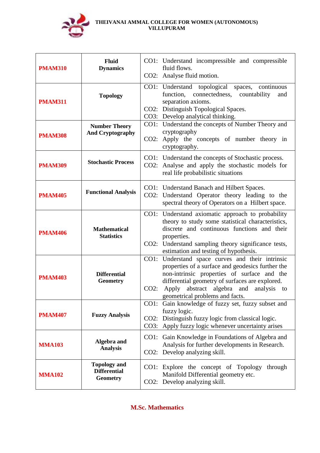

| <b>PMAM310</b> | Fluid<br><b>Dynamics</b>                                      |      | CO1: Understand incompressible and compressible<br>fluid flows.                                                                                                                                                                                                                      |
|----------------|---------------------------------------------------------------|------|--------------------------------------------------------------------------------------------------------------------------------------------------------------------------------------------------------------------------------------------------------------------------------------|
|                |                                                               |      | CO2: Analyse fluid motion.                                                                                                                                                                                                                                                           |
| <b>PMAM311</b> | <b>Topology</b>                                               | CO2: | CO1: Understand topological<br>spaces, continuous<br>function, connectedness,<br>countability<br>and<br>separation axioms.<br>Distinguish Topological Spaces.<br>CO3: Develop analytical thinking.                                                                                   |
| <b>PMAM308</b> | <b>Number Theory</b><br><b>And Cryptography</b>               |      | CO1: Understand the concepts of Number Theory and<br>cryptography<br>CO2: Apply the concepts of number theory in<br>cryptography.                                                                                                                                                    |
| <b>PMAM309</b> | <b>Stochastic Process</b>                                     |      | CO1: Understand the concepts of Stochastic process.<br>CO2: Analyse and apply the stochastic models for<br>real life probabilistic situations                                                                                                                                        |
| <b>PMAM405</b> | <b>Functional Analysis</b>                                    |      | CO1: Understand Banach and Hilbert Spaces.<br>CO2: Understand Operator theory leading to the<br>spectral theory of Operators on a Hilbert space.                                                                                                                                     |
| <b>PMAM406</b> | <b>Mathematical</b><br><b>Statistics</b>                      |      | CO1: Understand axiomatic approach to probability<br>theory to study some statistical characteristics,<br>discrete and continuous functions and their<br>properties.<br>CO2: Understand sampling theory significance tests,<br>estimation and testing of hypothesis.                 |
| <b>PMAM403</b> | <b>Differential</b><br><b>Geometry</b>                        | CO2: | CO1: Understand space curves and their intrinsic<br>properties of a surface and geodesics further the<br>non-intrinsic properties of surface and the<br>differential geometry of surfaces are explored.<br>Apply abstract algebra and analysis to<br>geometrical problems and facts. |
| <b>PMAM407</b> | <b>Fuzzy Analysis</b>                                         | CO1: | Gain knowledge of fuzzy set, fuzzy subset and<br>fuzzy logic.<br>CO2: Distinguish fuzzy logic from classical logic.<br>CO3: Apply fuzzy logic whenever uncertainty arises                                                                                                            |
| <b>MMA103</b>  | Algebra and<br><b>Analysis</b>                                |      | CO1: Gain Knowledge in Foundations of Algebra and<br>Analysis for further developments in Research.<br>CO2: Develop analyzing skill.                                                                                                                                                 |
| <b>MMA102</b>  | <b>Topology and</b><br><b>Differential</b><br><b>Geometry</b> | CO1: | Explore the concept of Topology<br>through<br>Manifold Differential geometry etc.<br>CO2: Develop analyzing skill.                                                                                                                                                                   |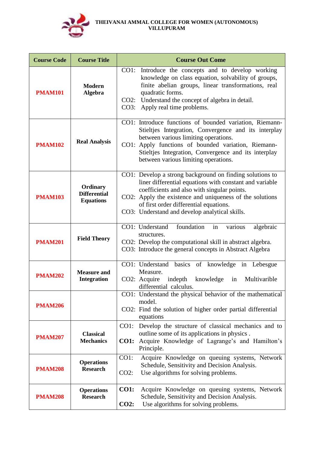

| <b>Course Code</b> | <b>Course Title</b>                                 | <b>Course Out Come</b>                                                                                                                                                                                                                                                                                                     |
|--------------------|-----------------------------------------------------|----------------------------------------------------------------------------------------------------------------------------------------------------------------------------------------------------------------------------------------------------------------------------------------------------------------------------|
| <b>PMAM101</b>     | <b>Modern</b><br><b>Algebra</b>                     | CO1:<br>Introduce the concepts and to develop working<br>knowledge on class equation, solvability of groups,<br>finite abelian groups, linear transformations, real<br>quadratic forms.<br>CO2: Understand the concept of algebra in detail.<br>CO3:<br>Apply real time problems.                                          |
| <b>PMAM102</b>     | <b>Real Analysis</b>                                | CO1: Introduce functions of bounded variation, Riemann-<br>Stieltjes Integration, Convergence and its interplay<br>between various limiting operations.<br>CO1: Apply functions of bounded variation, Riemann-<br>Stieltjes Integration, Convergence and its interplay<br>between various limiting operations.             |
| <b>PMAM103</b>     | Ordinary<br><b>Differential</b><br><b>Equations</b> | CO1: Develop a strong background on finding solutions to<br>liner differential equations with constant and variable<br>coefficients and also with singular points.<br>CO2: Apply the existence and uniqueness of the solutions<br>of first order differential equations.<br>CO3: Understand and develop analytical skills. |
| <b>PMAM201</b>     | <b>Field Theory</b>                                 | foundation<br>CO1: Understand<br>in<br>algebraic<br>various<br>structures.<br>CO2: Develop the computational skill in abstract algebra.<br>CO3: Introduce the general concepts in Abstract Algebra                                                                                                                         |
| <b>PMAM202</b>     | <b>Measure and</b><br><b>Integration</b>            | CO1: Understand basics of knowledge in Lebesgue<br>Measure.<br>indepth<br>knowledge in<br>Multivarible<br>CO2: Acquire<br>differential calculus.                                                                                                                                                                           |
| <b>PMAM206</b>     |                                                     | CO1: Understand the physical behavior of the mathematical<br>model.<br>CO2: Find the solution of higher order partial differential<br>equations                                                                                                                                                                            |
| <b>PMAM207</b>     | <b>Classical</b><br><b>Mechanics</b>                | Develop the structure of classical mechanics and to<br>$CO1$ :<br>outline some of its applications in physics.<br>Acquire Knowledge of Lagrange's and Hamilton's<br><b>CO1:</b><br>Principle.                                                                                                                              |
| <b>PMAM208</b>     | <b>Operations</b><br><b>Research</b>                | Acquire Knowledge on queuing systems, Network<br>CO1:<br>Schedule, Sensitivity and Decision Analysis.<br>Use algorithms for solving problems.<br>$CO2$ :                                                                                                                                                                   |
| <b>PMAM208</b>     | <b>Operations</b><br><b>Research</b>                | <b>CO1:</b><br>Acquire Knowledge on queuing systems, Network<br>Schedule, Sensitivity and Decision Analysis.<br>Use algorithms for solving problems.<br>CO2:                                                                                                                                                               |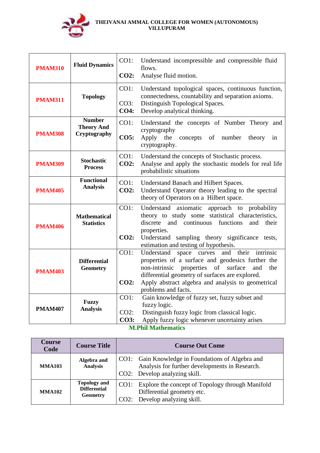

| <b>PMAM310</b> | <b>Fluid Dynamics</b>                              | CO1:<br>CO2:                   | Understand incompressible and compressible fluid<br>flows.<br>Analyse fluid motion.                                                                                                                                                                                                            |
|----------------|----------------------------------------------------|--------------------------------|------------------------------------------------------------------------------------------------------------------------------------------------------------------------------------------------------------------------------------------------------------------------------------------------|
| <b>PMAM311</b> | <b>Topology</b>                                    | CO1:<br>CO3:<br><b>CO4:</b>    | Understand topological spaces, continuous function,<br>connectedness, countability and separation axioms.<br>Distinguish Topological Spaces.<br>Develop analytical thinking.                                                                                                                   |
| <b>PMAM308</b> | <b>Number</b><br><b>Theory And</b><br>Cryptography | CO1:<br>CO5:                   | Understand the concepts of Number Theory and<br>cryptography<br>Apply the<br>concepts<br>of<br>number<br>theory<br>in<br>cryptography.                                                                                                                                                         |
| <b>PMAM309</b> | <b>Stochastic</b><br><b>Process</b>                | CO1:<br><b>CO2:</b>            | Understand the concepts of Stochastic process.<br>Analyse and apply the stochastic models for real life<br>probabilistic situations                                                                                                                                                            |
| <b>PMAM405</b> | <b>Functional</b><br><b>Analysis</b>               | $CO1$ :<br><b>CO2:</b>         | Understand Banach and Hilbert Spaces.<br>Understand Operator theory leading to the spectral<br>theory of Operators on a Hilbert space.                                                                                                                                                         |
| <b>PMAM406</b> | <b>Mathematical</b><br><b>Statistics</b>           | CO1:<br>$CO2$ :                | Understand axiomatic<br>approach to probability<br>theory to study some statistical characteristics,<br>discrete<br>and continuous<br>functions<br>and<br>their<br>properties.<br>Understand<br>sampling theory significance<br>tests,<br>estimation and testing of hypothesis.                |
| <b>PMAM403</b> | <b>Differential</b><br><b>Geometry</b>             | $CO1$ :<br>$CO2$ :             | Understand<br>space curves<br>and their<br>intrinsic<br>properties of a surface and geodesics further the<br>non-intrinsic properties of surface<br>and<br>the<br>differential geometry of surfaces are explored.<br>Apply abstract algebra and analysis to geometrical<br>problems and facts. |
| <b>PMAM407</b> | <b>Fuzzy</b><br><b>Analysis</b>                    | CO1:<br>$CO2$ :<br><b>CO3:</b> | Gain knowledge of fuzzy set, fuzzy subset and<br>fuzzy logic.<br>Distinguish fuzzy logic from classical logic.<br>Apply fuzzy logic whenever uncertainty arises<br><b>AFM 11</b>                                                                                                               |

**M.Phil Mathematics**

| Course<br>Code | <b>Course Title</b>                                    | <b>Course Out Come</b>                                                                                                               |  |  |
|----------------|--------------------------------------------------------|--------------------------------------------------------------------------------------------------------------------------------------|--|--|
| <b>MMA103</b>  | Algebra and<br><b>Analysis</b>                         | CO1: Gain Knowledge in Foundations of Algebra and<br>Analysis for further developments in Research.<br>CO2: Develop analyzing skill. |  |  |
| <b>MMA102</b>  | <b>Topology and</b><br><b>Differential</b><br>Geometry | CO1: Explore the concept of Topology through Manifold<br>Differential geometry etc.<br>CO2: Develop analyzing skill.                 |  |  |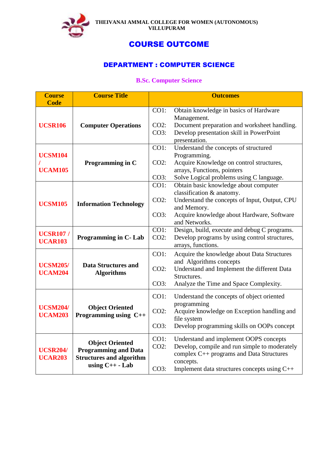

# COURSE OUTCOME

# DEPARTMENT : COMPUTER SCIENCE

## **B.Sc. Computer Science**

| <b>Course</b><br><b>Code</b>                           | <b>Course Title</b>                                                                      |                         | <b>Outcomes</b>                                            |
|--------------------------------------------------------|------------------------------------------------------------------------------------------|-------------------------|------------------------------------------------------------|
|                                                        |                                                                                          | CO1:                    | Obtain knowledge in basics of Hardware                     |
|                                                        |                                                                                          |                         | Management.                                                |
| <b>UCSR106</b>                                         | <b>Computer Operations</b>                                                               | $CO2$ :                 | Document preparation and worksheet handling.               |
|                                                        |                                                                                          | CO3:                    | Develop presentation skill in PowerPoint                   |
|                                                        |                                                                                          |                         | presentation.                                              |
|                                                        |                                                                                          | CO1:                    | Understand the concepts of structured                      |
| <b>UCSM104</b>                                         | Programming in C                                                                         | $CO2$ :                 | Programming.<br>Acquire Knowledge on control structures,   |
| <b>UCAM105</b>                                         |                                                                                          |                         | arrays, Functions, pointers                                |
|                                                        |                                                                                          | CO3:                    | Solve Logical problems using C language.                   |
|                                                        |                                                                                          | CO1:                    | Obtain basic knowledge about computer                      |
|                                                        |                                                                                          |                         | classification & anatomy.                                  |
| <b>UCSM105</b>                                         | <b>Information Technology</b>                                                            | $CO2$ :                 | Understand the concepts of Input, Output, CPU              |
|                                                        |                                                                                          | CO3:                    | and Memory.<br>Acquire knowledge about Hardware, Software  |
|                                                        |                                                                                          |                         | and Networks.                                              |
|                                                        |                                                                                          | CO1:                    | Design, build, execute and debug C programs.               |
| <b>UCSR107 /</b><br><b>UCAR103</b>                     | Programming in C-Lab                                                                     | $CO2$ :                 | Develop programs by using control structures,              |
|                                                        |                                                                                          |                         | arrays, functions.                                         |
|                                                        |                                                                                          | CO1:                    | Acquire the knowledge about Data Structures                |
| <b>UCSM205/</b><br><b>Data Structures and</b>          |                                                                                          | and Algorithms concepts |                                                            |
| <b>UCAM204</b>                                         | <b>Algorithms</b>                                                                        | $CO2$ :                 | Understand and Implement the different Data<br>Structures. |
|                                                        |                                                                                          | CO3:                    | Analyze the Time and Space Complexity.                     |
|                                                        |                                                                                          |                         |                                                            |
|                                                        |                                                                                          | CO1:                    | Understand the concepts of object oriented<br>programming  |
| <b>UCSM204/</b>                                        | <b>Object Oriented</b>                                                                   | $CO2$ :                 | Acquire knowledge on Exception handling and                |
| <b>UCAM203</b>                                         | Programming using $C++$                                                                  |                         | file system                                                |
|                                                        |                                                                                          | CO3:                    | Develop programming skills on OOPs concept                 |
|                                                        |                                                                                          | CO1:                    | Understand and implement OOPS concepts                     |
| <b>UCSR204/</b><br><b>UCAR203</b><br>using $C++$ - Lab | <b>Object Oriented</b><br><b>Programming and Data</b><br><b>Structures and algorithm</b> | $CO2$ :                 | Develop, compile and run simple to moderately              |
|                                                        |                                                                                          |                         | complex C++ programs and Data Structures                   |
|                                                        |                                                                                          |                         | concepts.                                                  |
|                                                        |                                                                                          | CO3:                    | Implement data structures concepts using C++               |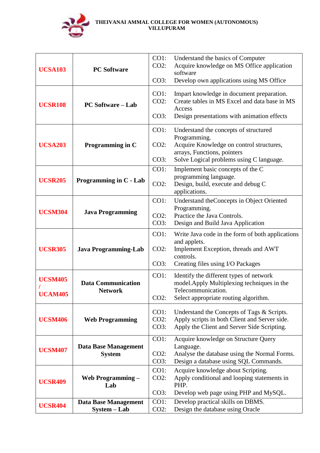

| <b>UCSA103</b>                   | <b>PC Software</b>                          | CO1:<br>$CO2$ :<br>CO3:    | Understand the basics of Computer<br>Acquire knowledge on MS Office application<br>software<br>Develop own applications using MS Office                                      |
|----------------------------------|---------------------------------------------|----------------------------|------------------------------------------------------------------------------------------------------------------------------------------------------------------------------|
| <b>UCSR108</b>                   | <b>PC Software – Lab</b>                    | CO1:<br>$CO2$ :<br>CO3:    | Impart knowledge in document preparation.<br>Create tables in MS Excel and data base in MS<br>Access<br>Design presentations with animation effects                          |
| <b>UCSA203</b>                   | Programming in C                            | CO1:<br>$CO2$ :<br>CO3:    | Understand the concepts of structured<br>Programming.<br>Acquire Knowledge on control structures,<br>arrays, Functions, pointers<br>Solve Logical problems using C language. |
| <b>UCSR205</b>                   | Programming in C - Lab                      | CO1:<br>$CO2$ :            | Implement basic concepts of the C<br>programming language.<br>Design, build, execute and debug C<br>applications.                                                            |
| <b>UCSM304</b>                   | <b>Java Programming</b>                     | CO1:<br>$CO2$ :<br>CO3:    | Understand the Concepts in Object Oriented<br>Programming.<br>Practice the Java Controls.<br>Design and Build Java Application                                               |
| <b>UCSR305</b>                   | <b>Java Programming-Lab</b>                 | CO1:<br>$CO2$ :<br>CO3:    | Write Java code in the form of both applications<br>and applets.<br>Implement Exception, threads and AWT<br>controls.<br>Creating files using I/O Packages                   |
| <b>UCSM405</b><br><b>UCAM405</b> | <b>Data Communication</b><br><b>Network</b> | CO1:<br>$CO2$ :            | Identify the different types of network<br>model. Apply Multiplexing techniques in the<br>Telecommunication.<br>Select appropriate routing algorithm.                        |
| <b>UCSM406</b>                   | <b>Web Programming</b>                      | CO1:<br>$CO2$ :<br>CO3:    | Understand the Concepts of Tags & Scripts.<br>Apply scripts in both Client and Server side.<br>Apply the Client and Server Side Scripting.                                   |
| <b>UCSM407</b>                   | Data Base Management<br><b>System</b>       | CO1:<br>$CO2$ :<br>CO3:    | Acquire knowledge on Structure Query<br>Language.<br>Analyse the database using the Normal Forms.<br>Design a database using SQL Commands.                                   |
| <b>UCSR409</b>                   | <b>Web Programming -</b><br>Lab             | $CO1$ :<br>$CO2$ :<br>CO3: | Acquire knowledge about Scripting.<br>Apply conditional and looping statements in<br>PHP.<br>Develop web page using PHP and MySQL.                                           |
| <b>UCSR404</b>                   | Data Base Management<br>System - Lab        | CO1:<br>$CO2$ :            | Develop practical skills on DBMS.<br>Design the database using Oracle                                                                                                        |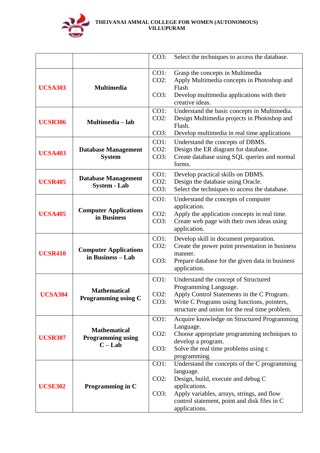

|                |                                                            | CO3:                       | Select the techniques to access the database.                                                                                                                                                                                   |
|----------------|------------------------------------------------------------|----------------------------|---------------------------------------------------------------------------------------------------------------------------------------------------------------------------------------------------------------------------------|
| <b>UCSA303</b> | <b>Multimedia</b>                                          | $CO1$ :<br>$CO2$ :<br>CO3: | Grasp the concepts in Multimedia<br>Apply Multimedia concepts in Photoshop and<br>Flash<br>Develop multimedia applications with their<br>creative ideas.                                                                        |
| <b>UCSR306</b> | Multimedia - lab                                           | CO1:<br>$CO2$ :<br>CO3:    | Understand the basic concepts in Multimedia.<br>Design Multimedia projects in Photoshop and<br>Flash.<br>Develop multimedia in real time applications                                                                           |
| <b>UCSA403</b> | <b>Database Management</b><br><b>System</b>                | CO1:<br>$CO2$ :<br>CO3:    | Understand the concepts of DBMS.<br>Design the ER diagram for database.<br>Create database using SQL queries and normal<br>forms.                                                                                               |
| <b>UCSR405</b> | <b>Database Management</b><br><b>System - Lab</b>          | CO1:<br>$CO2$ :<br>CO3:    | Develop practical skills on DBMS.<br>Design the database using Oracle.<br>Select the techniques to access the database.                                                                                                         |
| <b>UCSA405</b> | <b>Computer Applications</b><br>in Business                | CO1:<br>$CO2$ :<br>CO3:    | Understand the concepts of computer<br>application.<br>Apply the application concepts in real time.<br>Create web page with their own ideas using<br>application.                                                               |
| <b>UCSR410</b> | <b>Computer Applications</b><br>in Business – Lab          | CO1:<br>$CO2$ :<br>CO3:    | Develop skill in document preparation.<br>Create the power point presentation in business<br>manner.<br>Prepare database for the given data in business<br>application.                                                         |
| <b>UCSA304</b> | <b>Mathematical</b><br>Programming using C                 | CO1:<br>$CO2$ :<br>CO3:    | Understand the concept of Structured<br>Programming Language.<br>Apply Control Statements in the C Program.<br>Write C Programs using functions, pointers,<br>structure and union for the real time problem.                    |
| <b>UCSR307</b> | <b>Mathematical</b><br><b>Programming using</b><br>$C-Lab$ | $CO1$ :<br>$CO2$ :<br>CO3: | Acquire knowledge on Structured Programming<br>Language.<br>Choose appropriate programming techniques to<br>develop a program.<br>Solve the real time problems using c<br>programming.                                          |
| <b>UCSE302</b> | Programming in C                                           | CO1:<br>$CO2$ :<br>CO3:    | Understand the concepts of the C programming<br>language.<br>Design, build, execute and debug C<br>applications.<br>Apply variables, arrays, strings, and flow<br>control statement, point and disk files in C<br>applications. |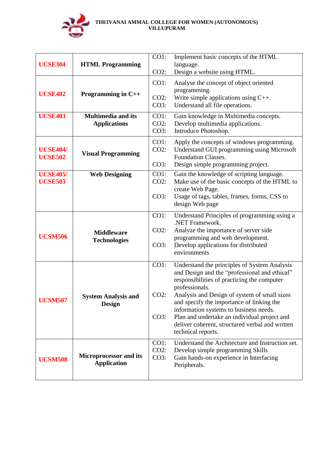

| <b>UCSE304</b>                    | <b>HTML Programming</b>                             | CO1:                    | Implement basic concepts of the HTML<br>language.                                                                                                              |
|-----------------------------------|-----------------------------------------------------|-------------------------|----------------------------------------------------------------------------------------------------------------------------------------------------------------|
|                                   |                                                     | $CO2$ :                 | Design a website using HTML.                                                                                                                                   |
| <b>UCSE402</b>                    | Programming in $C++$                                | CO1:<br>$CO2$ :<br>CO3: | Analyse the concept of object oriented<br>programming.<br>Write simple applications using $C_{++}$ .<br>Understand all file operations.                        |
| <b>UCSE403</b>                    | <b>Multimedia and its</b>                           | CO1:                    | Gain knowledge in Multimedia concepts.                                                                                                                         |
|                                   |                                                     | $CO2$ :                 | Develop multimedia applications.                                                                                                                               |
|                                   | <b>Applications</b>                                 |                         |                                                                                                                                                                |
|                                   |                                                     | CO3:                    | Introduce Photoshop.                                                                                                                                           |
| <b>UCSE404/</b><br><b>UCSE502</b> | <b>Visual Programming</b>                           | CO1:<br>$CO2$ :<br>CO3: | Apply the concepts of windows programming.<br>Understand GUI programming using Microsoft<br><b>Foundation Classes.</b><br>Design simple programming project.   |
| <b>UCSE405/</b><br><b>UCSE503</b> | <b>Web Designing</b>                                | CO1:<br>$CO2$ :         | Gain the knowledge of scripting language.<br>Make use of the basic concepts of the HTML to<br>create Web Page.                                                 |
|                                   |                                                     | CO3:                    | Usage of tags, tables, frames, forms, CSS to<br>design Web page                                                                                                |
|                                   |                                                     | CO1:                    | Understand Principles of programming using a<br>.NET Framework.                                                                                                |
|                                   | <b>Middleware</b>                                   | $CO2$ :                 | Analyze the importance of server side                                                                                                                          |
|                                   | <b>UCSM506</b><br><b>Technologies</b>               |                         | programming and web development.                                                                                                                               |
|                                   |                                                     | CO3:                    | Develop applications for distributed<br>environments                                                                                                           |
|                                   |                                                     | $CO1$ :                 | Understand the principles of System Analysis<br>and Design and the "professional and ethical"<br>responsibilities of practicing the computer<br>professionals. |
| <b>UCSM507</b>                    | <b>System Analysis and</b><br><b>Design</b>         | $CO2$ :                 | Analysis and Design of system of small sizes<br>and specify the importance of linking the<br>information systems to business needs.                            |
|                                   |                                                     | CO3:                    | Plan and undertake an individual project and<br>deliver coherent, structured verbal and written<br>technical reports.                                          |
|                                   |                                                     | CO1:                    | Understand the Architecture and Instruction set.                                                                                                               |
|                                   |                                                     | $CO2$ :                 | Develop simple programming Skills                                                                                                                              |
| <b>UCSM508</b>                    | <b>Microprocessor and its</b><br><b>Application</b> | CO3:                    | Gain hands-on experience in Interfacing<br>Peripherals.                                                                                                        |
|                                   |                                                     |                         |                                                                                                                                                                |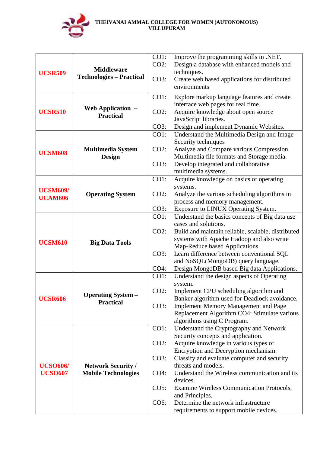

|                                                                 |                                                      | CO1:                                          | Improve the programming skills in .NET.                                           |
|-----------------------------------------------------------------|------------------------------------------------------|-----------------------------------------------|-----------------------------------------------------------------------------------|
|                                                                 | <b>Middleware</b><br><b>Technologies - Practical</b> | $CO2$ :                                       | Design a database with enhanced models and                                        |
| <b>UCSR509</b>                                                  |                                                      |                                               | techniques.                                                                       |
|                                                                 |                                                      | CO3:                                          | Create web based applications for distributed                                     |
|                                                                 |                                                      |                                               | environments                                                                      |
|                                                                 |                                                      | CO1:                                          | Explore markup language features and create                                       |
|                                                                 | Web Application $-$                                  |                                               | interface web pages for real time.                                                |
| <b>UCSR510</b>                                                  | <b>Practical</b>                                     | $CO2$ :                                       | Acquire knowledge about open source                                               |
|                                                                 |                                                      | CO3:                                          | JavaScript libraries.<br>Design and implement Dynamic Websites.                   |
|                                                                 |                                                      | CO1:                                          | Understand the Multimedia Design and Image                                        |
|                                                                 |                                                      |                                               | Security techniques                                                               |
|                                                                 | <b>Multimedia System</b>                             | $CO2$ :                                       | Analyze and Compare various Compression,                                          |
| <b>UCSM608</b>                                                  | <b>Design</b>                                        |                                               | Multimedia file formats and Storage media.                                        |
|                                                                 |                                                      | CO3:                                          | Develop integrated and collaborative                                              |
|                                                                 |                                                      |                                               | multimedia systems.                                                               |
|                                                                 |                                                      | CO1:                                          | Acquire knowledge on basics of operating                                          |
| <b>UCSM609/</b>                                                 |                                                      | $CO2$ :                                       | systems.                                                                          |
| <b>UCAM606</b>                                                  | <b>Operating System</b>                              |                                               | Analyze the various scheduling algorithms in<br>process and memory management.    |
|                                                                 |                                                      | CO3:                                          | Exposure to LINUX Operating System.                                               |
|                                                                 |                                                      | CO1:                                          | Understand the basics concepts of Big data use                                    |
|                                                                 | <b>Big Data Tools</b>                                |                                               | cases and solutions.                                                              |
|                                                                 |                                                      | $CO2$ :                                       | Build and maintain reliable, scalable, distributed                                |
| <b>UCSM610</b>                                                  |                                                      |                                               | systems with Apache Hadoop and also write                                         |
|                                                                 |                                                      |                                               | Map-Reduce based Applications.                                                    |
|                                                                 |                                                      | CO3:                                          | Learn difference between conventional SQL                                         |
|                                                                 |                                                      | CO4:                                          | and NoSQL(MongoDB) query language.<br>Design MongoDB based Big data Applications. |
|                                                                 |                                                      | CO1:                                          | Understand the design aspects of Operating                                        |
|                                                                 |                                                      |                                               | system.                                                                           |
|                                                                 |                                                      | $CO2$ :                                       | Implement CPU scheduling algorithm and                                            |
| <b>Operating System –</b><br><b>UCSR606</b><br><b>Practical</b> |                                                      | Banker algorithm used for Deadlock avoidance. |                                                                                   |
|                                                                 |                                                      | CO3:                                          | <b>Implement Memory Management and Page</b>                                       |
|                                                                 |                                                      |                                               | Replacement Algorithm.CO4: Stimulate various                                      |
|                                                                 |                                                      | CO1:                                          | algorithms using C Program.<br>Understand the Cryptography and Network            |
|                                                                 |                                                      |                                               | Security concepts and application.                                                |
|                                                                 |                                                      | $CO2$ :                                       | Acquire knowledge in various types of                                             |
|                                                                 |                                                      |                                               | Encryption and Decryption mechanism.                                              |
| <b>UCSO606/</b>                                                 |                                                      | CO3:                                          | Classify and evaluate computer and security                                       |
|                                                                 | <b>Network Security /</b>                            |                                               | threats and models.                                                               |
| <b>UCSO607</b>                                                  | <b>Mobile Technologies</b>                           | $CO4$ :                                       | Understand the Wireless communication and its                                     |
|                                                                 |                                                      |                                               | devices.                                                                          |
|                                                                 |                                                      | CO5:                                          | Examine Wireless Communication Protocols,                                         |
|                                                                 |                                                      | CO6:                                          | and Principles.<br>Determine the network infrastructure                           |
|                                                                 |                                                      |                                               | requirements to support mobile devices.                                           |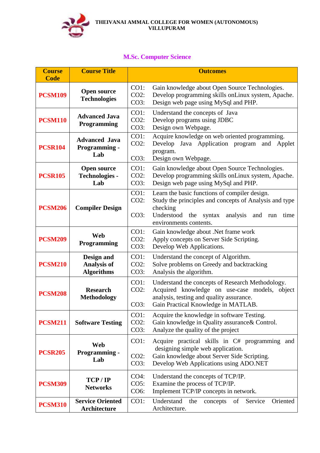

# **M.Sc. Computer Science**

| <b>Course</b><br><b>Code</b> | <b>Course Title</b>                                   | <b>Outcomes</b>                                                                                                                                                                                                                              |
|------------------------------|-------------------------------------------------------|----------------------------------------------------------------------------------------------------------------------------------------------------------------------------------------------------------------------------------------------|
| <b>PCSM109</b>               | <b>Open source</b><br><b>Technologies</b>             | CO1:<br>Gain knowledge about Open Source Technologies.<br>$CO2$ :<br>Develop programming skills on Linux system, Apache.<br>CO3:<br>Design web page using MySql and PHP.                                                                     |
| <b>PCSM110</b>               | <b>Advanced Java</b><br>Programming                   | CO1:<br>Understand the concepts of Java<br>$CO2$ :<br>Develop programs using JDBC<br>CO3:<br>Design own Webpage.                                                                                                                             |
| <b>PCSR104</b>               | <b>Advanced Java</b><br><b>Programming -</b><br>Lab   | Acquire knowledge on web oriented programming.<br>CO1:<br>$CO2$ :<br>Develop Java Application program and<br>Applet<br>program.<br>CO3:<br>Design own Webpage.                                                                               |
| <b>PCSR105</b>               | <b>Open source</b><br><b>Technologies -</b><br>Lab    | CO1:<br>Gain knowledge about Open Source Technologies.<br>$CO2$ :<br>Develop programming skills onLinux system, Apache.<br>CO3:<br>Design web page using MySql and PHP.                                                                      |
| <b>PCSM206</b>               | <b>Compiler Design</b>                                | $CO1$ :<br>Learn the basic functions of compiler design.<br>$CO2$ :<br>Study the principles and concepts of Analysis and type<br>checking<br>CO3:<br>Understood<br>analysis<br>the<br>syntax<br>and<br>time<br>run<br>environments contents. |
| <b>PCSM209</b>               | <b>Web</b><br><b>Programming</b>                      | CO1:<br>Gain knowledge about .Net frame work<br>$CO2$ :<br>Apply concepts on Server Side Scripting.<br>CO3:<br>Develop Web Applications.                                                                                                     |
| <b>PCSM210</b>               | Design and<br><b>Analysis of</b><br><b>Algorithms</b> | CO1:<br>Understand the concept of Algorithm.<br>$CO2$ :<br>Solve problems on Greedy and backtracking<br>CO3:<br>Analysis the algorithm.                                                                                                      |
| <b>PCSM208</b>               | <b>Research</b><br><b>Methodology</b>                 | CO1:<br>Understand the concepts of Research Methodology.<br>$CO2$ :<br>Acquired knowledge on use-case models, object<br>analysis, testing and quality assurance.<br>CO3:<br>Gain Practical Knowledge in MATLAB.                              |
| <b>PCSM211</b>               | <b>Software Testing</b>                               | CO1:<br>Acquire the knowledge in software Testing.<br>$CO2$ :<br>Gain knowledge in Quality assurance & Control.<br>CO3:<br>Analyze the quality of the project                                                                                |
| <b>PCSR205</b>               | Web<br><b>Programming -</b><br>Lab                    | CO1:<br>Acquire practical skills in C# programming and<br>designing simple web application.<br>$CO2$ :<br>Gain knowledge about Server Side Scripting.<br>Develop Web Applications using ADO.NET<br>CO3:                                      |
| <b>PCSM309</b>               | TCP/IP<br><b>Networks</b>                             | $CO4$ :<br>Understand the concepts of TCP/IP.<br>CO5:<br>Examine the process of TCP/IP.<br>Implement TCP/IP concepts in network.<br>CO6:                                                                                                     |
| <b>PCSM310</b>               | <b>Service Oriented</b><br>Architecture               | CO1:<br>Oriented<br>Understand<br>Service<br>the<br>of<br>concepts<br>Architecture.                                                                                                                                                          |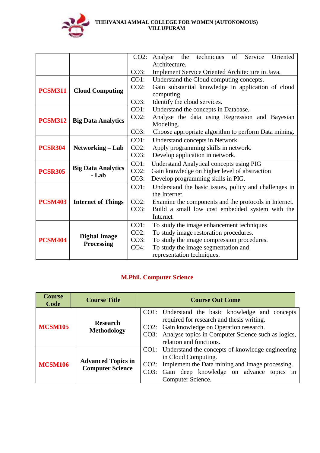

|                |                                    | $CO2$ : | techniques<br>Oriented<br>of<br>Service<br>Analyse<br>the |  |  |  |  |  |  |  |
|----------------|------------------------------------|---------|-----------------------------------------------------------|--|--|--|--|--|--|--|
|                |                                    |         | Architecture.                                             |  |  |  |  |  |  |  |
|                |                                    | CO3:    | Implement Service Oriented Architecture in Java.          |  |  |  |  |  |  |  |
|                |                                    | CO1:    | Understand the Cloud computing concepts.                  |  |  |  |  |  |  |  |
| <b>PCSM311</b> | <b>Cloud Computing</b>             | $CO2$ : | Gain substantial knowledge in application of cloud        |  |  |  |  |  |  |  |
|                |                                    |         | computing                                                 |  |  |  |  |  |  |  |
|                |                                    | CO3:    | Identify the cloud services.                              |  |  |  |  |  |  |  |
|                |                                    | CO1:    | Understand the concepts in Database.                      |  |  |  |  |  |  |  |
| <b>PCSM312</b> | <b>Big Data Analytics</b>          | $CO2$ : | Analyse the data using Regression and Bayesian            |  |  |  |  |  |  |  |
|                |                                    |         | Modeling.                                                 |  |  |  |  |  |  |  |
|                |                                    | CO3:    | Choose appropriate algorithm to perform Data mining.      |  |  |  |  |  |  |  |
|                |                                    | CO1:    | Understand concepts in Network.                           |  |  |  |  |  |  |  |
| <b>PCSR304</b> | Networking - Lab                   | $CO2$ : | Apply programming skills in network.                      |  |  |  |  |  |  |  |
|                |                                    | CO3:    | Develop application in network.                           |  |  |  |  |  |  |  |
|                |                                    | CO1:    | <b>Understand Analytical concepts using PIG</b>           |  |  |  |  |  |  |  |
| <b>PCSR305</b> | <b>Big Data Analytics</b><br>- Lab | $CO2$ : | Gain knowledge on higher level of abstraction             |  |  |  |  |  |  |  |
|                |                                    | CO3:    | Develop programming skills in PIG.                        |  |  |  |  |  |  |  |
|                |                                    | CO1:    | Understand the basic issues, policy and challenges in     |  |  |  |  |  |  |  |
|                |                                    |         | the Internet.                                             |  |  |  |  |  |  |  |
| <b>PCSM403</b> | <b>Internet of Things</b>          | $CO2$ : | Examine the components and the protocols in Internet.     |  |  |  |  |  |  |  |
|                |                                    | CO3:    | Build a small low cost embedded system with the           |  |  |  |  |  |  |  |
|                |                                    |         | Internet                                                  |  |  |  |  |  |  |  |
|                |                                    | CO1:    | To study the image enhancement techniques                 |  |  |  |  |  |  |  |
|                |                                    | $CO2$ : | To study image restoration procedures.                    |  |  |  |  |  |  |  |
| <b>PCSM404</b> | <b>Digital Image</b>               | CO3:    | To study the image compression procedures.                |  |  |  |  |  |  |  |
|                | <b>Processing</b>                  | $CO4$ : | To study the image segmentation and                       |  |  |  |  |  |  |  |
|                |                                    |         | representation techniques.                                |  |  |  |  |  |  |  |

# **M.Phil. Computer Science**

| <b>Course</b><br>Code | <b>Course Title</b>                                  | <b>Course Out Come</b>                                                                                                                                                                                                            |
|-----------------------|------------------------------------------------------|-----------------------------------------------------------------------------------------------------------------------------------------------------------------------------------------------------------------------------------|
| <b>MCSM105</b>        | <b>Research</b><br><b>Methodology</b>                | CO1: Understand the basic knowledge and concepts<br>required for research and thesis writing.<br>CO2: Gain knowledge on Operation research.<br>CO3: Analyse topics in Computer Science such as logics,<br>relation and functions. |
| <b>MCSM106</b>        | <b>Advanced Topics in</b><br><b>Computer Science</b> | CO1: Understand the concepts of knowledge engineering<br>in Cloud Computing.<br>CO2: Implement the Data mining and Image processing.<br>CO3: Gain deep knowledge on advance topics in<br>Computer Science.                        |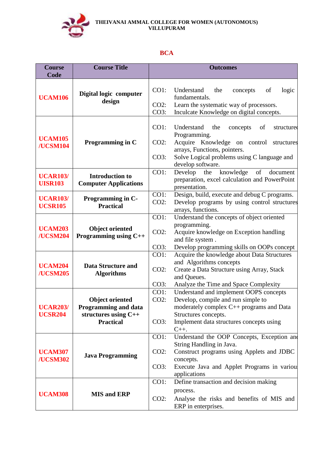

# **BCA**

| <b>Course</b><br>Code             | <b>Course Title</b>                                    |                                                      | <b>Outcomes</b>                                                                                                      |
|-----------------------------------|--------------------------------------------------------|------------------------------------------------------|----------------------------------------------------------------------------------------------------------------------|
|                                   |                                                        | CO1:                                                 | logic<br>Understand<br>the<br>of<br>concepts                                                                         |
| <b>UCAM106</b>                    | Digital logic computer<br>design                       | $CO2$ :                                              | fundamentals.<br>Learn the systematic way of processors.                                                             |
|                                   |                                                        | CO3:                                                 | Inculcate Knowledge on digital concepts.                                                                             |
| <b>UCAM105</b>                    |                                                        | CO1:                                                 | Understand<br>the<br>concepts<br>of<br>structured<br>Programming.                                                    |
| /UCSM104                          | Programming in C                                       | $CO2$ :                                              | Acquire Knowledge on control<br>structures<br>arrays, Functions, pointers.                                           |
|                                   |                                                        | CO3:                                                 | Solve Logical problems using C language and<br>develop software.                                                     |
| <b>UCAR103/</b><br><b>UISR103</b> | <b>Introduction to</b><br><b>Computer Applications</b> | CO1:                                                 | knowledge<br>Develop<br>the<br>of<br>document<br>preparation, excel calculation and PowerPoint<br>presentation.      |
| <b>UCAR103/</b><br><b>UCSR105</b> | Programming in C-<br><b>Practical</b>                  | CO1:<br>$CO2$ :                                      | Design, build, execute and debug C programs.<br>Develop programs by using control structures<br>arrays, functions.   |
|                                   |                                                        | CO1:                                                 | Understand the concepts of object oriented                                                                           |
| <b>UCAM203</b><br>/UCSM204        | <b>Object oriented</b><br>Programming using C++        | $CO2$ :                                              | programming.<br>Acquire knowledge on Exception handling<br>and file system.                                          |
|                                   |                                                        | CO3:                                                 | Develop programming skills on OOPs concept                                                                           |
| <b>UCAM204</b><br>/UCSM205        | <b>Data Structure and</b><br><b>Algorithms</b>         | CO1:<br>$CO2$ :                                      | Acquire the knowledge about Data Structures<br>and Algorithms concepts<br>Create a Data Structure using Array, Stack |
|                                   | CO3:                                                   | and Queues.<br>Analyze the Time and Space Complexity |                                                                                                                      |
|                                   |                                                        | CO1:                                                 | Understand and implement OOPS concepts                                                                               |
|                                   | <b>Object oriented</b>                                 | $CO2$ :                                              | Develop, compile and run simple to                                                                                   |
| <b>UCAR203/</b>                   | <b>Programming and data</b>                            |                                                      | moderately complex $C_{++}$ programs and Data                                                                        |
| <b>UCSR204</b>                    | structures using C++                                   |                                                      | Structures concepts.                                                                                                 |
|                                   | <b>Practical</b>                                       | CO3:                                                 | Implement data structures concepts using<br>$C_{++}.$                                                                |
|                                   |                                                        | CO1:                                                 | Understand the OOP Concepts, Exception and                                                                           |
|                                   |                                                        |                                                      | String Handling in Java.                                                                                             |
| <b>UCAM307</b><br>/UCSM302        | <b>Java Programming</b>                                | $CO2$ :                                              | Construct programs using Applets and JDBC<br>concepts.                                                               |
|                                   |                                                        | CO3:                                                 | Execute Java and Applet Programs in various<br>applications                                                          |
|                                   |                                                        | $CO1$ :                                              | Define transaction and decision making                                                                               |
|                                   |                                                        |                                                      | process.                                                                                                             |
| <b>UCAM308</b>                    | <b>MIS and ERP</b>                                     | $CO2$ :                                              | Analyse the risks and benefits of MIS and<br>ERP in enterprises.                                                     |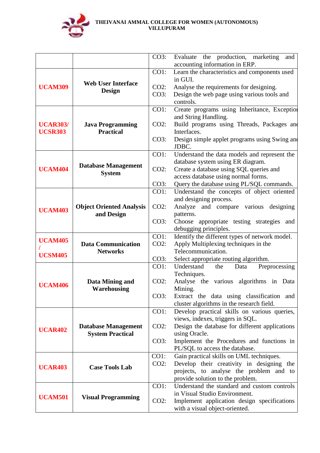

|                 |                                 | CO3:    | Evaluate the production, marketing<br>and                                    |
|-----------------|---------------------------------|---------|------------------------------------------------------------------------------|
|                 |                                 |         | accounting information in ERP.                                               |
|                 |                                 | CO1:    | Learn the characteristics and components used                                |
|                 |                                 |         | in GUI.                                                                      |
| <b>UCAM309</b>  | <b>Web User Interface</b>       | $CO2$ : | Analyse the requirements for designing.                                      |
|                 | <b>Design</b>                   | CO3:    | Design the web page using various tools and                                  |
|                 |                                 |         | controls.                                                                    |
|                 |                                 | CO1:    | Create programs using Inheritance, Exception                                 |
|                 |                                 |         | and String Handling.                                                         |
| <b>UCAR303/</b> | <b>Java Programming</b>         | $CO2$ : | Build programs using Threads, Packages and                                   |
| <b>UCSR303</b>  | <b>Practical</b>                |         | Interfaces.                                                                  |
|                 |                                 | CO3:    | Design simple applet programs using Swing and<br>JDBC.                       |
|                 |                                 | CO1:    | Understand the data models and represent the                                 |
|                 |                                 |         | database system using ER diagram.                                            |
| <b>UCAM404</b>  | <b>Database Management</b>      | $CO2$ : | Create a database using SQL queries and                                      |
|                 | <b>System</b>                   |         | access database using normal forms.                                          |
|                 |                                 | CO3:    | Query the database using PL/SQL commands.                                    |
|                 |                                 | $CO1$ : | Understand the concepts of object oriented                                   |
|                 |                                 |         | and designing process.                                                       |
|                 | <b>Object Oriented Analysis</b> | $CO2$ : | Analyze and compare various designing                                        |
| <b>UCAM403</b>  | and Design                      |         | patterns.                                                                    |
|                 |                                 | CO3:    | Choose appropriate testing strategies and                                    |
|                 |                                 |         | debugging principles.                                                        |
| <b>UCAM405</b>  |                                 | CO1:    | Identify the different types of network model.                               |
|                 | <b>Data Communication</b>       | $CO2$ : | Apply Multiplexing techniques in the                                         |
| <b>UCSM405</b>  | <b>Networks</b>                 |         | Telecommunication.                                                           |
|                 |                                 | CO3:    | Select appropriate routing algorithm.                                        |
|                 |                                 | CO1:    | Understand<br>Preprocessing<br>the<br>Data                                   |
|                 |                                 | $CO2$ : | Techniques.                                                                  |
| <b>UCAM406</b>  | Data Mining and<br>Warehousing  |         | Analyse the various algorithms in Data<br>Mining.                            |
|                 |                                 | CO3:    | Extract the data using classification and                                    |
|                 |                                 |         | cluster algorithms in the research field.                                    |
|                 |                                 | CO1:    | Develop practical skills on various queries,                                 |
|                 |                                 |         | views, indexes, triggers in SQL.                                             |
| <b>UCAR402</b>  | <b>Database Management</b>      | $CO2$ : | Design the database for different applications                               |
|                 | <b>System Practical</b>         |         | using Oracle.                                                                |
|                 |                                 | CO3:    | Implement the Procedures and functions in                                    |
|                 |                                 |         | PL/SQL to access the database.                                               |
|                 |                                 | CO1:    | Gain practical skills on UML techniques.                                     |
| <b>UCAR403</b>  | <b>Case Tools Lab</b>           | $CO2$ : | Develop their creativity in designing the                                    |
|                 |                                 |         | projects, to analyse the problem and to                                      |
|                 |                                 |         | provide solution to the problem.                                             |
|                 |                                 | CO1:    | Understand the standard and custom controls<br>in Visual Studio Environment. |
| <b>UCAM501</b>  | <b>Visual Programming</b>       | $CO2$ : | Implement application design specifications                                  |
|                 |                                 |         | with a visual object-oriented.                                               |
|                 |                                 |         |                                                                              |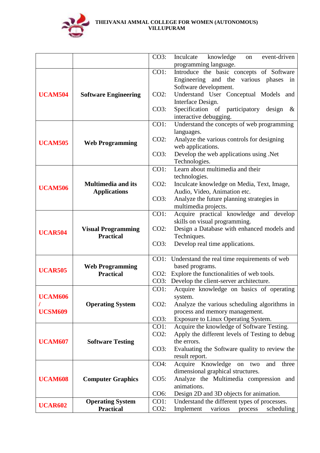

|                             | CO3:                                                                                                                                                                                                                         | event-driven<br>Inculcate<br>knowledge<br><sub>on</sub>                                                       |
|-----------------------------|------------------------------------------------------------------------------------------------------------------------------------------------------------------------------------------------------------------------------|---------------------------------------------------------------------------------------------------------------|
|                             |                                                                                                                                                                                                                              | programming language.                                                                                         |
|                             | CO1:                                                                                                                                                                                                                         | Introduce the basic concepts of Software                                                                      |
|                             |                                                                                                                                                                                                                              | Engineering and the various phases<br>in                                                                      |
|                             |                                                                                                                                                                                                                              | Software development.                                                                                         |
| <b>Software Engineering</b> | $CO2$ :                                                                                                                                                                                                                      | Understand User Conceptual Models and                                                                         |
|                             |                                                                                                                                                                                                                              | Interface Design.                                                                                             |
|                             | CO3:                                                                                                                                                                                                                         | Specification of participatory<br>design<br>$\&$                                                              |
|                             |                                                                                                                                                                                                                              | interactive debugging.                                                                                        |
|                             | CO1:                                                                                                                                                                                                                         | Understand the concepts of web programming                                                                    |
|                             |                                                                                                                                                                                                                              | languages.                                                                                                    |
|                             | $CO2$ :                                                                                                                                                                                                                      | Analyze the various controls for designing                                                                    |
|                             |                                                                                                                                                                                                                              | web applications.                                                                                             |
|                             | CO3:                                                                                                                                                                                                                         | Develop the web applications using .Net                                                                       |
|                             |                                                                                                                                                                                                                              | Technologies.                                                                                                 |
|                             | CO1:                                                                                                                                                                                                                         | Learn about multimedia and their                                                                              |
|                             |                                                                                                                                                                                                                              | technologies.                                                                                                 |
| <b>Multimedia and its</b>   | $CO2$ :                                                                                                                                                                                                                      | Inculcate knowledge on Media, Text, Image,                                                                    |
|                             |                                                                                                                                                                                                                              | Audio, Video, Animation etc.                                                                                  |
|                             | CO3:                                                                                                                                                                                                                         | Analyze the future planning strategies in                                                                     |
|                             |                                                                                                                                                                                                                              | multimedia projects.                                                                                          |
|                             | CO1:                                                                                                                                                                                                                         | Acquire practical knowledge and develop                                                                       |
|                             |                                                                                                                                                                                                                              | skills on visual programming.                                                                                 |
| <b>Visual Programming</b>   | $CO2$ :                                                                                                                                                                                                                      | Design a Database with enhanced models and                                                                    |
|                             |                                                                                                                                                                                                                              | Techniques.                                                                                                   |
|                             |                                                                                                                                                                                                                              | Develop real time applications.                                                                               |
|                             |                                                                                                                                                                                                                              |                                                                                                               |
|                             |                                                                                                                                                                                                                              | CO1: Understand the real time requirements of web                                                             |
|                             |                                                                                                                                                                                                                              | based programs.                                                                                               |
|                             |                                                                                                                                                                                                                              | CO2: Explore the functionalities of web tools.                                                                |
|                             |                                                                                                                                                                                                                              | Develop the client-server architecture.                                                                       |
|                             |                                                                                                                                                                                                                              | Acquire knowledge on basics of operating                                                                      |
|                             |                                                                                                                                                                                                                              | system.                                                                                                       |
|                             |                                                                                                                                                                                                                              | Analyze the various scheduling algorithms in<br>process and memory management.                                |
|                             |                                                                                                                                                                                                                              | Exposure to Linux Operating System.                                                                           |
|                             |                                                                                                                                                                                                                              | Acquire the knowledge of Software Testing.                                                                    |
|                             |                                                                                                                                                                                                                              | Apply the different levels of Testing to debug                                                                |
|                             |                                                                                                                                                                                                                              | the errors.                                                                                                   |
|                             |                                                                                                                                                                                                                              | Evaluating the Software quality to review the                                                                 |
|                             |                                                                                                                                                                                                                              | result report.                                                                                                |
|                             |                                                                                                                                                                                                                              | Acquire Knowledge<br>and<br>three<br>on<br>two                                                                |
|                             |                                                                                                                                                                                                                              | dimensional graphical structures.                                                                             |
|                             |                                                                                                                                                                                                                              | Analyze the Multimedia compression and                                                                        |
|                             |                                                                                                                                                                                                                              | animations.                                                                                                   |
|                             |                                                                                                                                                                                                                              | Design 2D and 3D objects for animation.                                                                       |
|                             |                                                                                                                                                                                                                              | Understand the different types of processes.                                                                  |
| <b>Practical</b>            |                                                                                                                                                                                                                              | Implement<br>various<br>scheduling<br>process                                                                 |
|                             | <b>Web Programming</b><br><b>Applications</b><br><b>Practical</b><br><b>Web Programming</b><br><b>Practical</b><br><b>Operating System</b><br><b>Software Testing</b><br><b>Computer Graphics</b><br><b>Operating System</b> | CO3:<br>CO3:<br>CO1:<br>$CO2$ :<br>CO3:<br>CO1:<br>$CO2$ :<br>CO3:<br>CO4:<br>CO5:<br>CO6:<br>CO1:<br>$CO2$ : |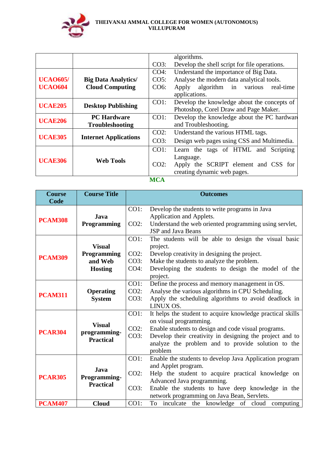

|                 |                                              |                   | algorithms.                                   |
|-----------------|----------------------------------------------|-------------------|-----------------------------------------------|
|                 |                                              | CO3:              | Develop the shell script for file operations. |
|                 |                                              | $CO4$ :           | Understand the importance of Big Data.        |
| <b>UCA0605/</b> | <b>Big Data Analytics/</b>                   | CO5:              | Analyse the modern data analytical tools.     |
| <b>UCA0604</b>  | <b>Cloud Computing</b>                       | CO <sub>6</sub> : | algorithm in various<br>real-time<br>Apply    |
|                 |                                              |                   | applications.                                 |
| <b>UCAE205</b>  |                                              | $CO1$ :           | Develop the knowledge about the concepts of   |
|                 | <b>Desktop Publishing</b>                    |                   | Photoshop, Corel Draw and Page Maker.         |
| <b>UCAE206</b>  | <b>PC Hardware</b><br><b>Troubleshooting</b> | $CO1$ :           | Develop the knowledge about the PC hardward   |
|                 |                                              |                   | and Troubleshooting.                          |
|                 |                                              | $CO2$ :           | Understand the various HTML tags.             |
| <b>UCAE305</b>  | <b>Internet Applications</b>                 | CO3:              | Design web pages using CSS and Multimedia.    |
|                 |                                              | CO1:              | Learn the tags of HTML and Scripting          |
| <b>UCAE306</b>  | <b>Web Tools</b>                             |                   | Language.                                     |
|                 |                                              | $CO2$ :           | Apply the SCRIPT element and CSS for          |
|                 |                                              |                   | creating dynamic web pages.                   |
|                 |                                              | <b>RAO A</b>      |                                               |

**MCA**

| <b>Course</b><br>Code | <b>Course Title</b> |         | <b>Outcomes</b>                                                                      |
|-----------------------|---------------------|---------|--------------------------------------------------------------------------------------|
|                       | Java                | CO1:    | Develop the students to write programs in Java<br>Application and Applets.           |
| <b>PCAM308</b>        | Programming         | $CO2$ : | Understand the web oriented programming using servlet,<br><b>JSP</b> and Java Beans  |
|                       | <b>Visual</b>       | CO1:    | The students will be able to design the visual basic<br>project.                     |
| <b>PCAM309</b>        | Programming         | $CO2$ : | Develop creativity in designing the project.                                         |
|                       | and Web             | CO3:    | Make the students to analyze the problem.                                            |
|                       | <b>Hosting</b>      | $CO4$ : | Developing the students to design the model of the<br>project.                       |
|                       |                     | CO1:    | Define the process and memory management in OS.                                      |
| <b>PCAM311</b>        | <b>Operating</b>    | $CO2$ : | Analyse the various algorithms in CPU Scheduling.                                    |
|                       | <b>System</b>       | CO3:    | Apply the scheduling algorithms to avoid deadlock in<br>LINUX OS.                    |
|                       |                     | CO1:    | It helps the student to acquire knowledge practical skills<br>on visual programming. |
|                       | <b>Visual</b>       | $CO2$ : | Enable students to design and code visual programs.                                  |
| <b>PCAR304</b>        | programming-        | CO3:    | Develop their creativity in designing the project and to                             |
|                       | <b>Practical</b>    |         | analyze the problem and to provide solution to the                                   |
|                       |                     |         | problem                                                                              |
|                       |                     | CO1:    | Enable the students to develop Java Application program                              |
|                       | Java                |         | and Applet program.                                                                  |
| <b>PCAR305</b>        | Programming-        | $CO2$ : | Help the student to acquire practical knowledge on                                   |
|                       | <b>Practical</b>    |         | Advanced Java programming.                                                           |
|                       |                     | CO3:    | Enable the students to have deep knowledge in the                                    |
|                       |                     |         | network programming on Java Bean, Servlets.                                          |
| <b>PCAM407</b>        | <b>Cloud</b>        | CO1:    | To inculcate the knowledge of cloud computing                                        |